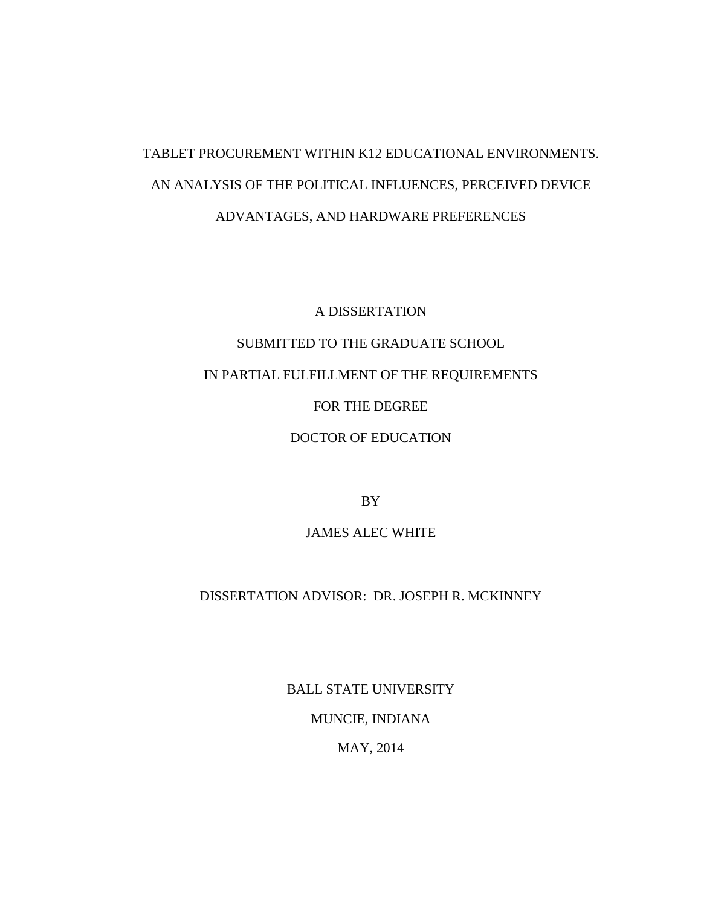# TABLET PROCUREMENT WITHIN K12 EDUCATIONAL ENVIRONMENTS. AN ANALYSIS OF THE POLITICAL INFLUENCES, PERCEIVED DEVICE ADVANTAGES, AND HARDWARE PREFERENCES

A DISSERTATION

SUBMITTED TO THE GRADUATE SCHOOL

IN PARTIAL FULFILLMENT OF THE REQUIREMENTS

FOR THE DEGREE

DOCTOR OF EDUCATION

BY

JAMES ALEC WHITE

DISSERTATION ADVISOR: DR. JOSEPH R. MCKINNEY

BALL STATE UNIVERSITY

MUNCIE, INDIANA

MAY, 2014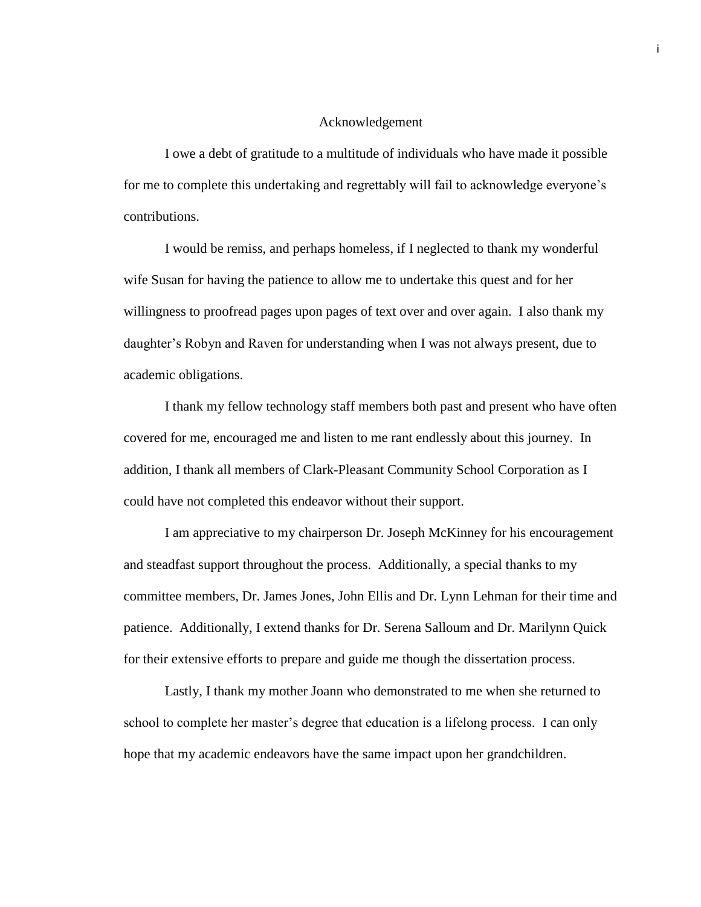#### Acknowledgement

<span id="page-1-0"></span>I owe a debt of gratitude to a multitude of individuals who have made it possible for me to complete this undertaking and regrettably will fail to acknowledge everyone's contributions.

I would be remiss, and perhaps homeless, if I neglected to thank my wonderful wife Susan for having the patience to allow me to undertake this quest and for her willingness to proofread pages upon pages of text over and over again. I also thank my daughter's Robyn and Raven for understanding when I was not always present, due to academic obligations.

I thank my fellow technology staff members both past and present who have often covered for me, encouraged me and listen to me rant endlessly about this journey. In addition, I thank all members of Clark-Pleasant Community School Corporation as I could have not completed this endeavor without their support.

I am appreciative to my chairperson Dr. Joseph McKinney for his encouragement and steadfast support throughout the process. Additionally, a special thanks to my committee members, Dr. James Jones, John Ellis and Dr. Lynn Lehman for their time and patience. Additionally, I extend thanks for Dr. Serena Salloum and Dr. Marilynn Quick for their extensive efforts to prepare and guide me though the dissertation process.

Lastly, I thank my mother Joann who demonstrated to me when she returned to school to complete her master's degree that education is a lifelong process. I can only hope that my academic endeavors have the same impact upon her grandchildren.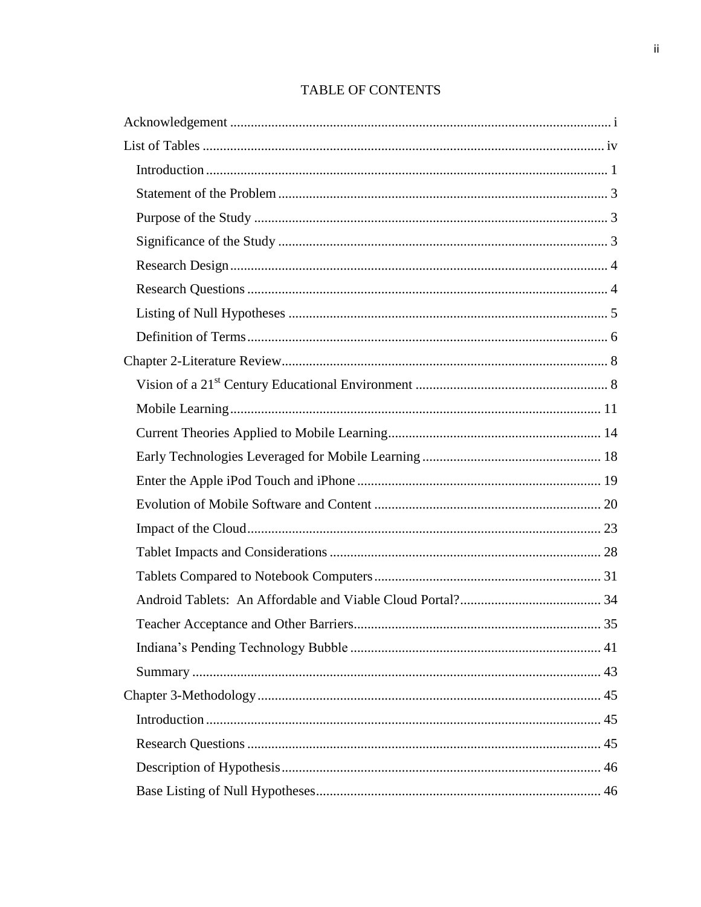# **TABLE OF CONTENTS**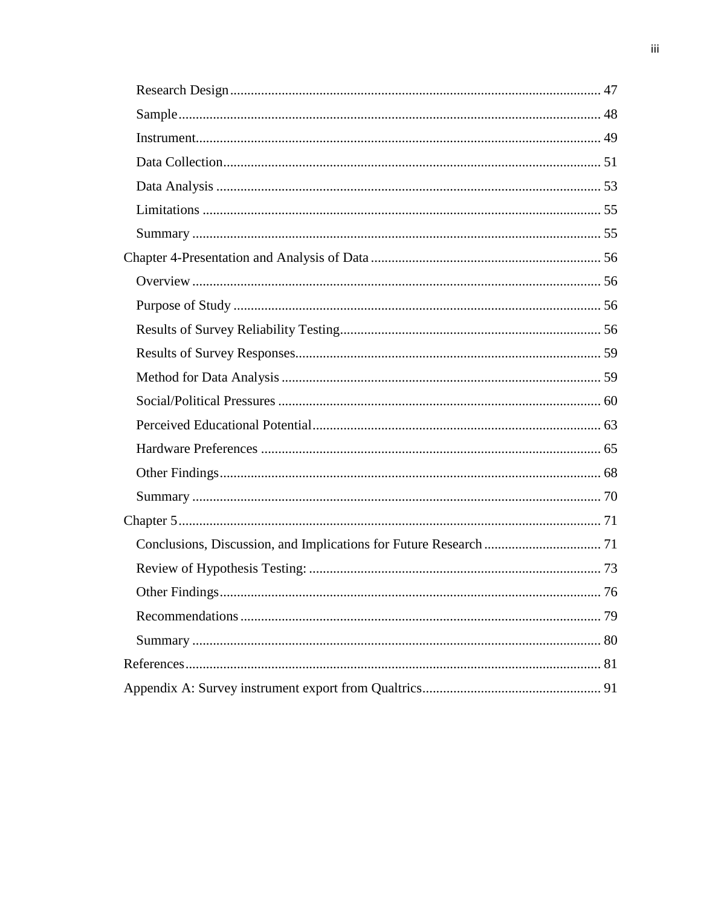| <b>Other Findings</b> | 76 |
|-----------------------|----|
|                       |    |
|                       |    |
|                       |    |
|                       |    |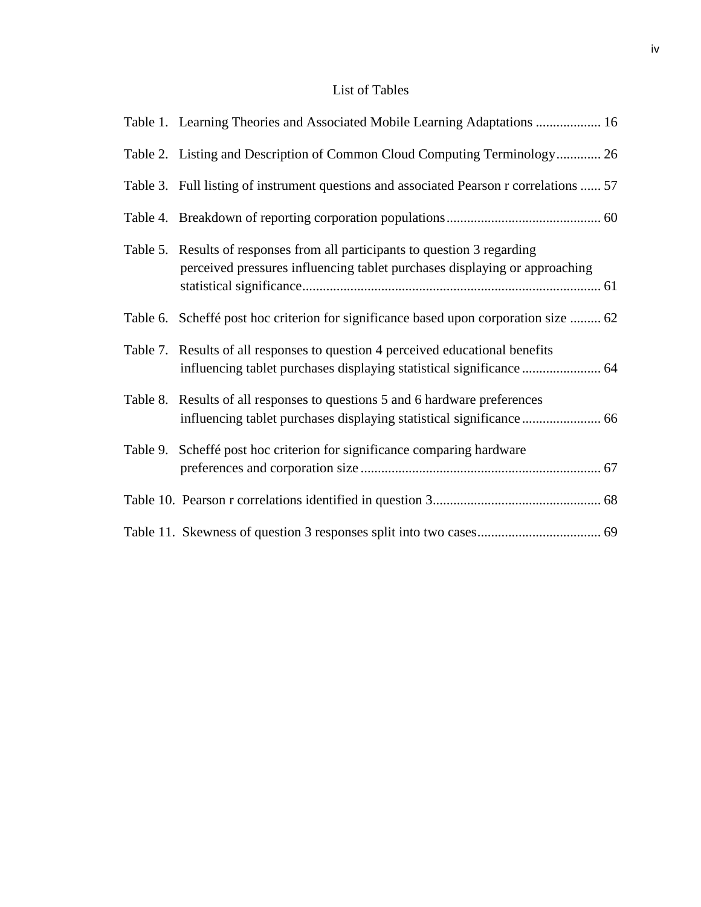# List of Tables

<span id="page-4-0"></span>

| Table 1. Learning Theories and Associated Mobile Learning Adaptations  16                                                                                 |
|-----------------------------------------------------------------------------------------------------------------------------------------------------------|
| Table 2. Listing and Description of Common Cloud Computing Terminology 26                                                                                 |
| Table 3. Full listing of instrument questions and associated Pearson r correlations  57                                                                   |
|                                                                                                                                                           |
| Table 5. Results of responses from all participants to question 3 regarding<br>perceived pressures influencing tablet purchases displaying or approaching |
| Table 6. Scheffé post hoc criterion for significance based upon corporation size  62                                                                      |
| Table 7. Results of all responses to question 4 perceived educational benefits                                                                            |
| Table 8. Results of all responses to questions 5 and 6 hardware preferences                                                                               |
| Table 9. Scheffé post hoc criterion for significance comparing hardware                                                                                   |
|                                                                                                                                                           |
|                                                                                                                                                           |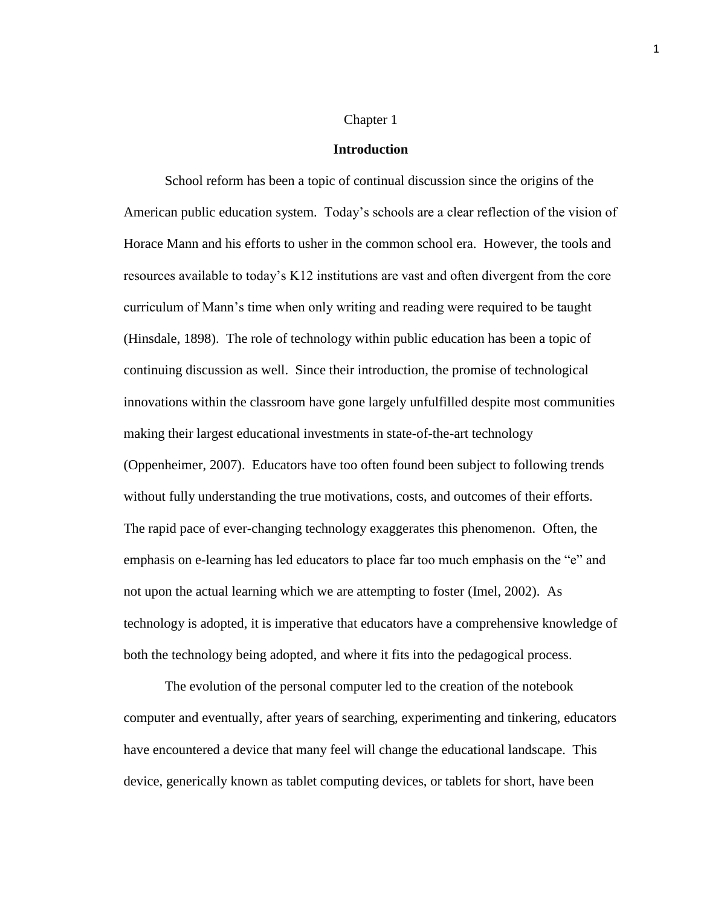#### Chapter 1

#### **Introduction**

<span id="page-5-0"></span>School reform has been a topic of continual discussion since the origins of the American public education system. Today's schools are a clear reflection of the vision of Horace Mann and his efforts to usher in the common school era. However, the tools and resources available to today's K12 institutions are vast and often divergent from the core curriculum of Mann's time when only writing and reading were required to be taught (Hinsdale, 1898). The role of technology within public education has been a topic of continuing discussion as well. Since their introduction, the promise of technological innovations within the classroom have gone largely unfulfilled despite most communities making their largest educational investments in state-of-the-art technology (Oppenheimer, 2007). Educators have too often found been subject to following trends without fully understanding the true motivations, costs, and outcomes of their efforts. The rapid pace of ever-changing technology exaggerates this phenomenon. Often, the emphasis on e-learning has led educators to place far too much emphasis on the "e" and not upon the actual learning which we are attempting to foster (Imel, 2002). As technology is adopted, it is imperative that educators have a comprehensive knowledge of both the technology being adopted, and where it fits into the pedagogical process.

The evolution of the personal computer led to the creation of the notebook computer and eventually, after years of searching, experimenting and tinkering, educators have encountered a device that many feel will change the educational landscape. This device, generically known as tablet computing devices, or tablets for short, have been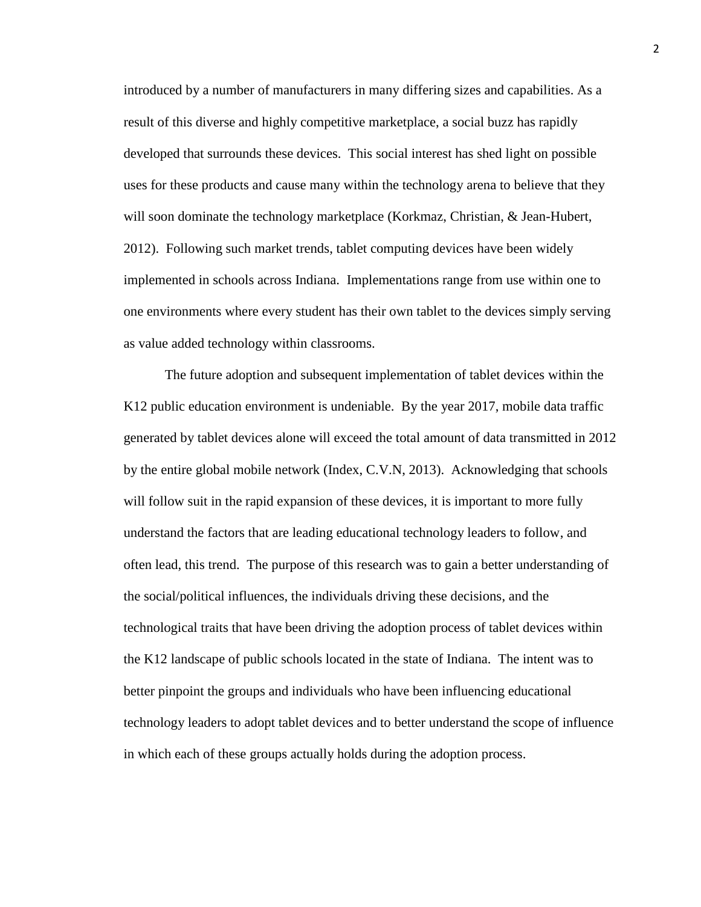introduced by a number of manufacturers in many differing sizes and capabilities. As a result of this diverse and highly competitive marketplace, a social buzz has rapidly developed that surrounds these devices. This social interest has shed light on possible uses for these products and cause many within the technology arena to believe that they will soon dominate the technology marketplace (Korkmaz, Christian, & Jean-Hubert, 2012). Following such market trends, tablet computing devices have been widely implemented in schools across Indiana. Implementations range from use within one to one environments where every student has their own tablet to the devices simply serving as value added technology within classrooms.

The future adoption and subsequent implementation of tablet devices within the K12 public education environment is undeniable. By the year 2017, mobile data traffic generated by tablet devices alone will exceed the total amount of data transmitted in 2012 by the entire global mobile network (Index, C.V.N, 2013). Acknowledging that schools will follow suit in the rapid expansion of these devices, it is important to more fully understand the factors that are leading educational technology leaders to follow, and often lead, this trend. The purpose of this research was to gain a better understanding of the social/political influences, the individuals driving these decisions, and the technological traits that have been driving the adoption process of tablet devices within the K12 landscape of public schools located in the state of Indiana. The intent was to better pinpoint the groups and individuals who have been influencing educational technology leaders to adopt tablet devices and to better understand the scope of influence in which each of these groups actually holds during the adoption process.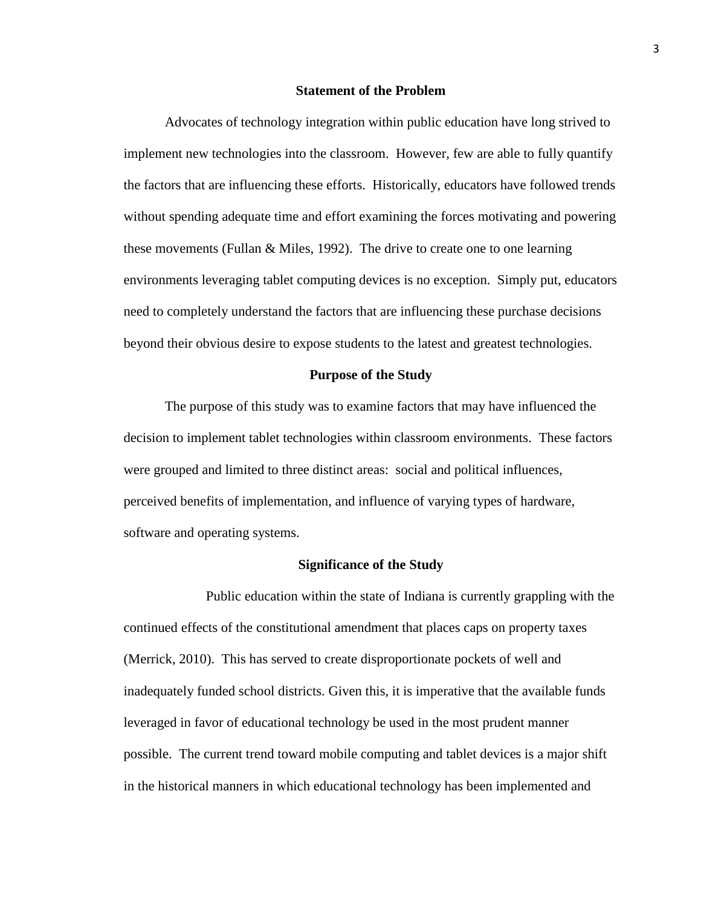#### **Statement of the Problem**

<span id="page-7-0"></span>Advocates of technology integration within public education have long strived to implement new technologies into the classroom. However, few are able to fully quantify the factors that are influencing these efforts. Historically, educators have followed trends without spending adequate time and effort examining the forces motivating and powering these movements (Fullan & Miles, 1992). The drive to create one to one learning environments leveraging tablet computing devices is no exception. Simply put, educators need to completely understand the factors that are influencing these purchase decisions beyond their obvious desire to expose students to the latest and greatest technologies.

#### **Purpose of the Study**

<span id="page-7-1"></span>The purpose of this study was to examine factors that may have influenced the decision to implement tablet technologies within classroom environments. These factors were grouped and limited to three distinct areas: social and political influences, perceived benefits of implementation, and influence of varying types of hardware, software and operating systems.

#### **Significance of the Study**

<span id="page-7-2"></span>Public education within the state of Indiana is currently grappling with the continued effects of the constitutional amendment that places caps on property taxes (Merrick, 2010). This has served to create disproportionate pockets of well and inadequately funded school districts. Given this, it is imperative that the available funds leveraged in favor of educational technology be used in the most prudent manner possible. The current trend toward mobile computing and tablet devices is a major shift in the historical manners in which educational technology has been implemented and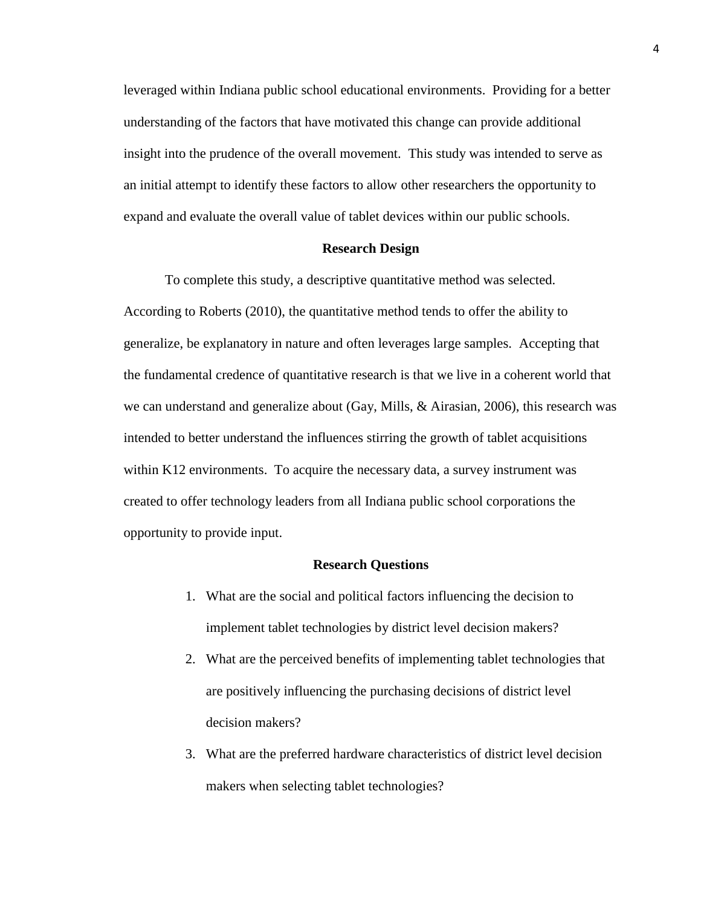leveraged within Indiana public school educational environments. Providing for a better understanding of the factors that have motivated this change can provide additional insight into the prudence of the overall movement. This study was intended to serve as an initial attempt to identify these factors to allow other researchers the opportunity to expand and evaluate the overall value of tablet devices within our public schools.

#### **Research Design**

<span id="page-8-0"></span>To complete this study, a descriptive quantitative method was selected. According to Roberts (2010), the quantitative method tends to offer the ability to generalize, be explanatory in nature and often leverages large samples. Accepting that the fundamental credence of quantitative research is that we live in a coherent world that we can understand and generalize about (Gay, Mills, & Airasian, 2006), this research was intended to better understand the influences stirring the growth of tablet acquisitions within K12 environments. To acquire the necessary data, a survey instrument was created to offer technology leaders from all Indiana public school corporations the opportunity to provide input.

#### **Research Questions**

- <span id="page-8-1"></span>1. What are the social and political factors influencing the decision to implement tablet technologies by district level decision makers?
- 2. What are the perceived benefits of implementing tablet technologies that are positively influencing the purchasing decisions of district level decision makers?
- 3. What are the preferred hardware characteristics of district level decision makers when selecting tablet technologies?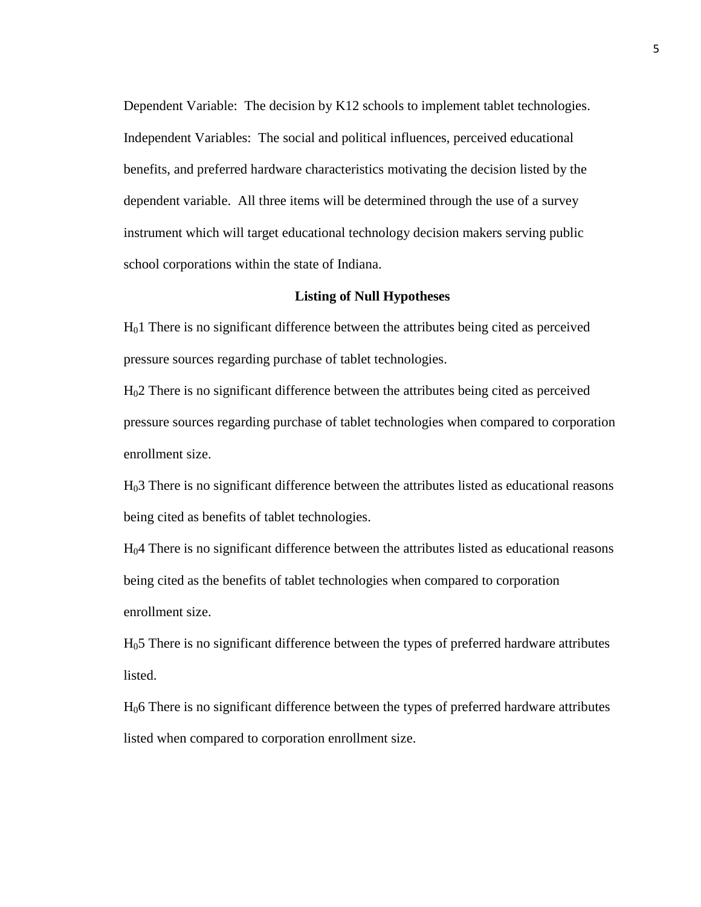Dependent Variable: The decision by K12 schools to implement tablet technologies. Independent Variables: The social and political influences, perceived educational benefits, and preferred hardware characteristics motivating the decision listed by the dependent variable. All three items will be determined through the use of a survey instrument which will target educational technology decision makers serving public school corporations within the state of Indiana.

#### <span id="page-9-0"></span>**Listing of Null Hypotheses**

H01 There is no significant difference between the attributes being cited as perceived pressure sources regarding purchase of tablet technologies.

H02 There is no significant difference between the attributes being cited as perceived pressure sources regarding purchase of tablet technologies when compared to corporation enrollment size.

H03 There is no significant difference between the attributes listed as educational reasons being cited as benefits of tablet technologies.

H04 There is no significant difference between the attributes listed as educational reasons being cited as the benefits of tablet technologies when compared to corporation enrollment size.

H05 There is no significant difference between the types of preferred hardware attributes listed.

H06 There is no significant difference between the types of preferred hardware attributes listed when compared to corporation enrollment size.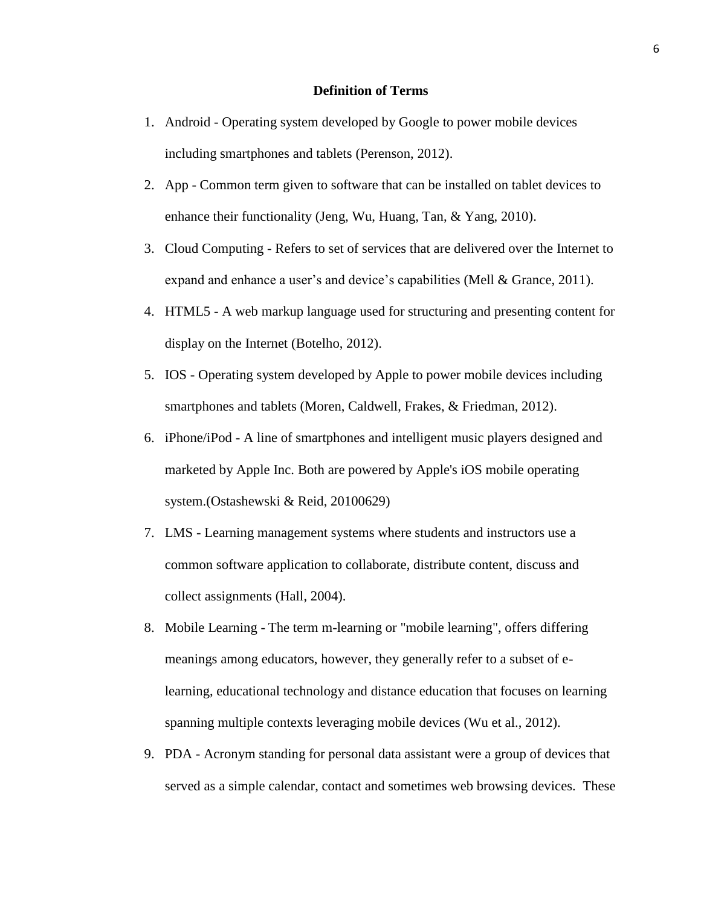#### **Definition of Terms**

- <span id="page-10-0"></span>1. Android - Operating system developed by Google to power mobile devices including smartphones and tablets (Perenson, 2012).
- 2. App Common term given to software that can be installed on tablet devices to enhance their functionality (Jeng, Wu, Huang, Tan, & Yang, 2010).
- 3. Cloud Computing Refers to set of services that are delivered over the Internet to expand and enhance a user's and device's capabilities (Mell & Grance, 2011).
- 4. HTML5 A web markup language used for structuring and presenting content for display on the Internet (Botelho, 2012).
- 5. IOS Operating system developed by Apple to power mobile devices including smartphones and tablets (Moren, Caldwell, Frakes, & Friedman, 2012).
- 6. iPhone/iPod A line of smartphones and intelligent music players designed and marketed by Apple Inc. Both are powered by Apple's iOS mobile operating system.(Ostashewski & Reid, 20100629)
- 7. LMS Learning management systems where students and instructors use a common software application to collaborate, distribute content, discuss and collect assignments (Hall, 2004).
- 8. Mobile Learning The term m-learning or "mobile learning", offers differing meanings among educators, however, they generally refer to a subset of elearning, educational technology and distance education that focuses on learning spanning multiple contexts leveraging mobile devices (Wu et al., 2012).
- 9. PDA Acronym standing for personal data assistant were a group of devices that served as a simple calendar, contact and sometimes web browsing devices. These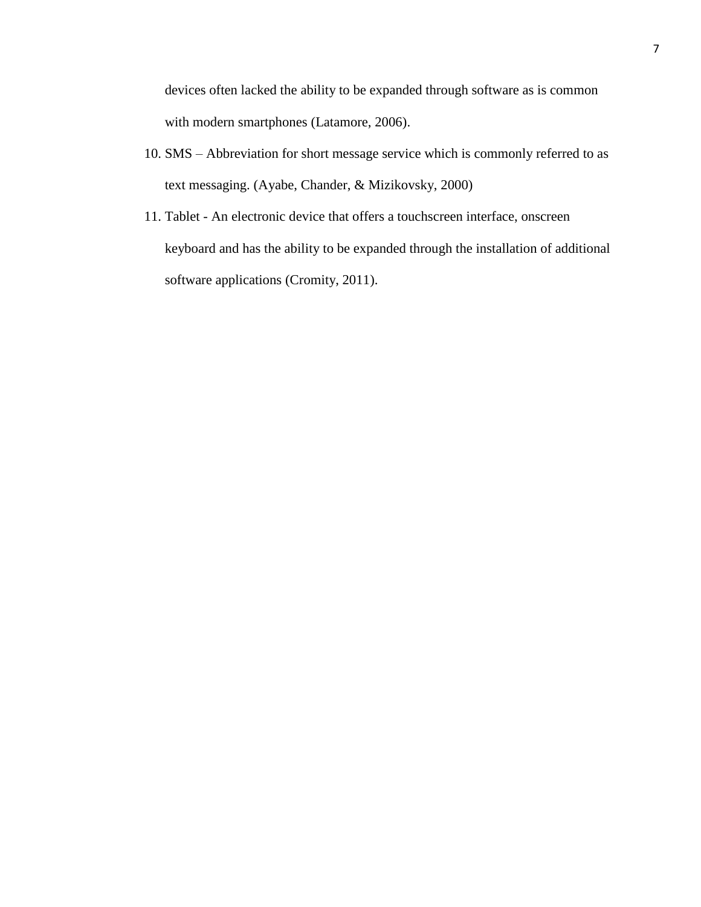devices often lacked the ability to be expanded through software as is common with modern smartphones (Latamore, 2006).

- 10. SMS Abbreviation for short message service which is commonly referred to as text messaging. (Ayabe, Chander, & Mizikovsky, 2000)
- 11. Tablet An electronic device that offers a touchscreen interface, onscreen keyboard and has the ability to be expanded through the installation of additional software applications (Cromity, 2011).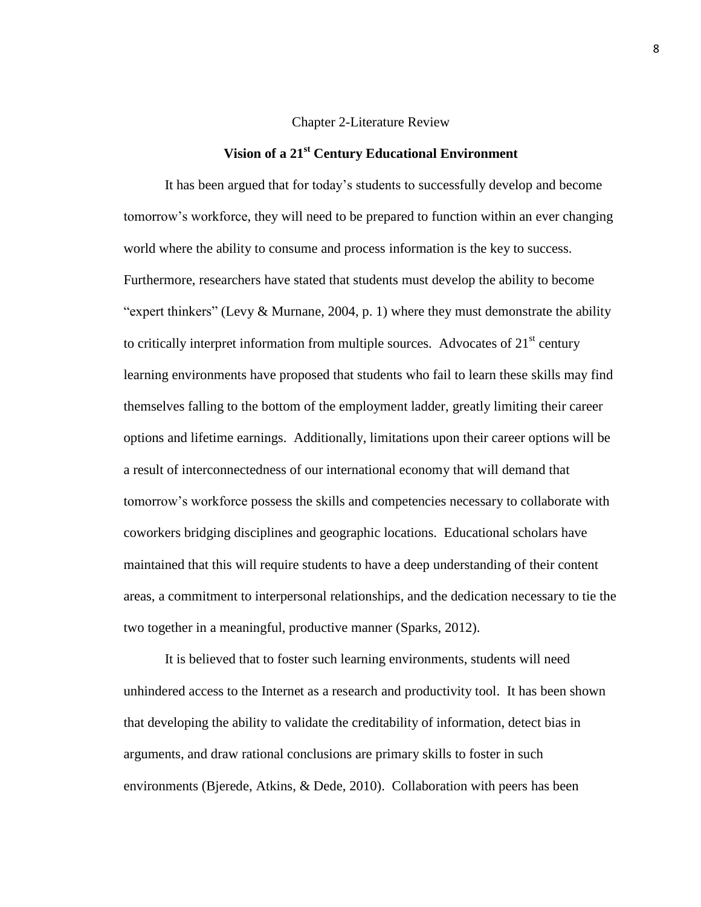#### Chapter 2-Literature Review

### **Vision of a 21st Century Educational Environment**

<span id="page-12-1"></span><span id="page-12-0"></span>It has been argued that for today's students to successfully develop and become tomorrow's workforce, they will need to be prepared to function within an ever changing world where the ability to consume and process information is the key to success. Furthermore, researchers have stated that students must develop the ability to become "expert thinkers" (Levy  $\&$  Murnane, 2004, p. 1) where they must demonstrate the ability to critically interpret information from multiple sources. Advocates of  $21<sup>st</sup>$  century learning environments have proposed that students who fail to learn these skills may find themselves falling to the bottom of the employment ladder, greatly limiting their career options and lifetime earnings. Additionally, limitations upon their career options will be a result of interconnectedness of our international economy that will demand that tomorrow's workforce possess the skills and competencies necessary to collaborate with coworkers bridging disciplines and geographic locations. Educational scholars have maintained that this will require students to have a deep understanding of their content areas, a commitment to interpersonal relationships, and the dedication necessary to tie the two together in a meaningful, productive manner (Sparks, 2012).

It is believed that to foster such learning environments, students will need unhindered access to the Internet as a research and productivity tool. It has been shown that developing the ability to validate the creditability of information, detect bias in arguments, and draw rational conclusions are primary skills to foster in such environments (Bjerede, Atkins, & Dede, 2010). Collaboration with peers has been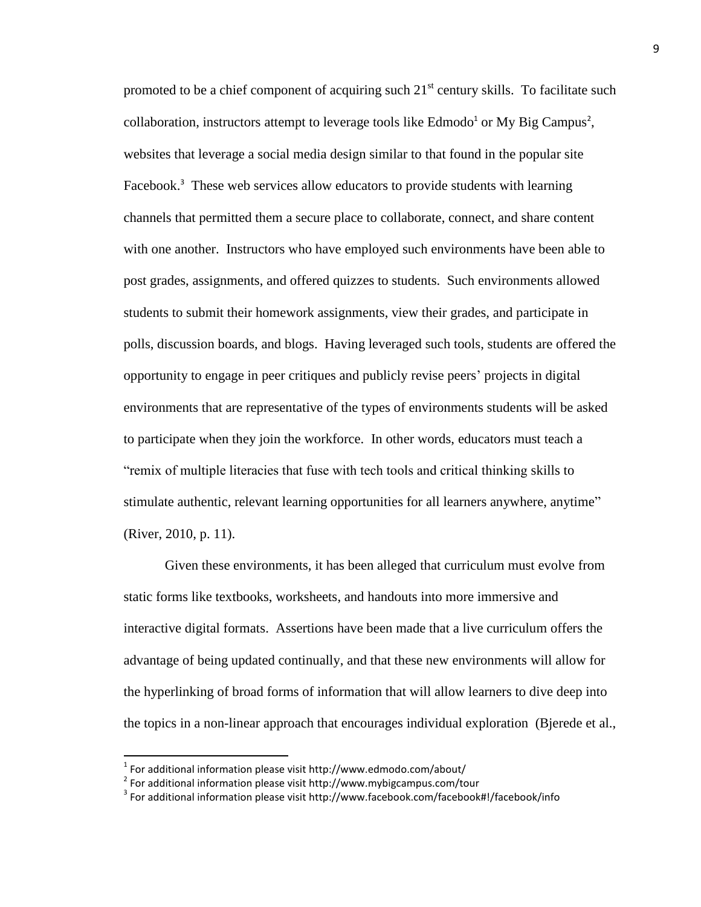promoted to be a chief component of acquiring such  $21<sup>st</sup>$  century skills. To facilitate such collaboration, instructors attempt to leverage tools like Edmodo<sup>1</sup> or My Big Campus<sup>2</sup>, websites that leverage a social media design similar to that found in the popular site Facebook.<sup>3</sup> These web services allow educators to provide students with learning channels that permitted them a secure place to collaborate, connect, and share content with one another. Instructors who have employed such environments have been able to post grades, assignments, and offered quizzes to students. Such environments allowed students to submit their homework assignments, view their grades, and participate in polls, discussion boards, and blogs. Having leveraged such tools, students are offered the opportunity to engage in peer critiques and publicly revise peers' projects in digital environments that are representative of the types of environments students will be asked to participate when they join the workforce. In other words, educators must teach a "remix of multiple literacies that fuse with tech tools and critical thinking skills to stimulate authentic, relevant learning opportunities for all learners anywhere, anytime" (River, 2010, p. 11).

Given these environments, it has been alleged that curriculum must evolve from static forms like textbooks, worksheets, and handouts into more immersive and interactive digital formats. Assertions have been made that a live curriculum offers the advantage of being updated continually, and that these new environments will allow for the hyperlinking of broad forms of information that will allow learners to dive deep into the topics in a non-linear approach that encourages individual exploration (Bjerede et al.,

 $\overline{\phantom{a}}$ 

 $<sup>1</sup>$  For additional information please visit http://www.edmodo.com/about/</sup>

 $^{2}$  For additional information please visit http://www.mybigcampus.com/tour

 $^3$  For additional information please visit http://www.facebook.com/facebook#!/facebook/info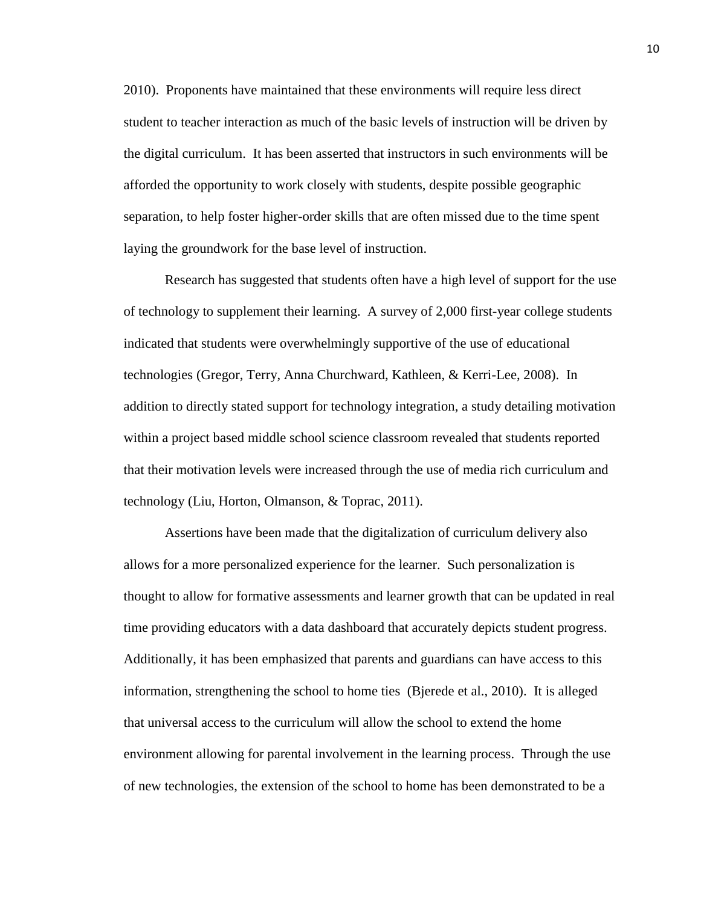2010). Proponents have maintained that these environments will require less direct student to teacher interaction as much of the basic levels of instruction will be driven by the digital curriculum. It has been asserted that instructors in such environments will be afforded the opportunity to work closely with students, despite possible geographic separation, to help foster higher-order skills that are often missed due to the time spent laying the groundwork for the base level of instruction.

Research has suggested that students often have a high level of support for the use of technology to supplement their learning. A survey of 2,000 first-year college students indicated that students were overwhelmingly supportive of the use of educational technologies (Gregor, Terry, Anna Churchward, Kathleen, & Kerri-Lee, 2008). In addition to directly stated support for technology integration, a study detailing motivation within a project based middle school science classroom revealed that students reported that their motivation levels were increased through the use of media rich curriculum and technology (Liu, Horton, Olmanson, & Toprac, 2011).

Assertions have been made that the digitalization of curriculum delivery also allows for a more personalized experience for the learner. Such personalization is thought to allow for formative assessments and learner growth that can be updated in real time providing educators with a data dashboard that accurately depicts student progress. Additionally, it has been emphasized that parents and guardians can have access to this information, strengthening the school to home ties (Bjerede et al., 2010). It is alleged that universal access to the curriculum will allow the school to extend the home environment allowing for parental involvement in the learning process. Through the use of new technologies, the extension of the school to home has been demonstrated to be a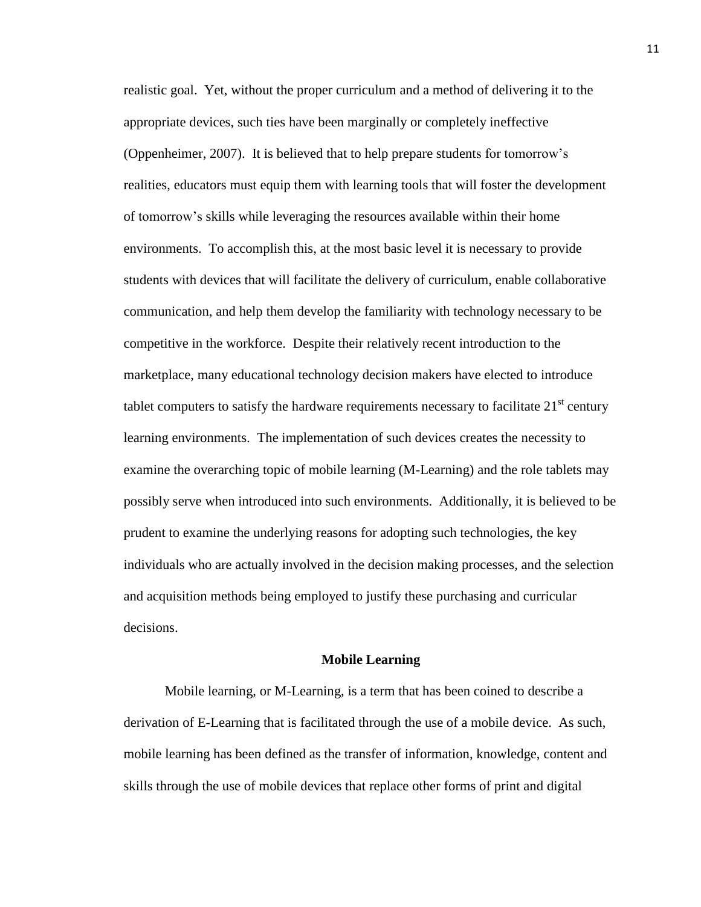realistic goal. Yet, without the proper curriculum and a method of delivering it to the appropriate devices, such ties have been marginally or completely ineffective (Oppenheimer, 2007). It is believed that to help prepare students for tomorrow's realities, educators must equip them with learning tools that will foster the development of tomorrow's skills while leveraging the resources available within their home environments. To accomplish this, at the most basic level it is necessary to provide students with devices that will facilitate the delivery of curriculum, enable collaborative communication, and help them develop the familiarity with technology necessary to be competitive in the workforce. Despite their relatively recent introduction to the marketplace, many educational technology decision makers have elected to introduce tablet computers to satisfy the hardware requirements necessary to facilitate  $21<sup>st</sup>$  century learning environments. The implementation of such devices creates the necessity to examine the overarching topic of mobile learning (M-Learning) and the role tablets may possibly serve when introduced into such environments. Additionally, it is believed to be prudent to examine the underlying reasons for adopting such technologies, the key individuals who are actually involved in the decision making processes, and the selection and acquisition methods being employed to justify these purchasing and curricular decisions.

#### **Mobile Learning**

<span id="page-15-0"></span>Mobile learning, or M-Learning, is a term that has been coined to describe a derivation of E-Learning that is facilitated through the use of a mobile device. As such, mobile learning has been defined as the transfer of information, knowledge, content and skills through the use of mobile devices that replace other forms of print and digital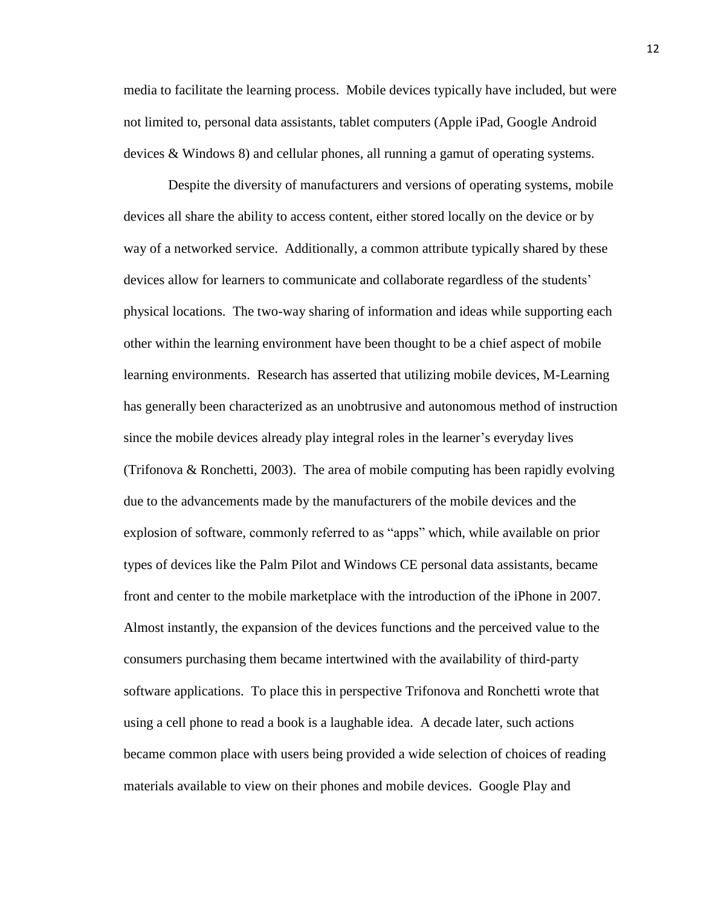media to facilitate the learning process. Mobile devices typically have included, but were not limited to, personal data assistants, tablet computers (Apple iPad, Google Android devices & Windows 8) and cellular phones, all running a gamut of operating systems.

Despite the diversity of manufacturers and versions of operating systems, mobile devices all share the ability to access content, either stored locally on the device or by way of a networked service. Additionally, a common attribute typically shared by these devices allow for learners to communicate and collaborate regardless of the students' physical locations. The two-way sharing of information and ideas while supporting each other within the learning environment have been thought to be a chief aspect of mobile learning environments. Research has asserted that utilizing mobile devices, M-Learning has generally been characterized as an unobtrusive and autonomous method of instruction since the mobile devices already play integral roles in the learner's everyday lives (Trifonova & Ronchetti, 2003). The area of mobile computing has been rapidly evolving due to the advancements made by the manufacturers of the mobile devices and the explosion of software, commonly referred to as "apps" which, while available on prior types of devices like the Palm Pilot and Windows CE personal data assistants, became front and center to the mobile marketplace with the introduction of the iPhone in 2007. Almost instantly, the expansion of the devices functions and the perceived value to the consumers purchasing them became intertwined with the availability of third-party software applications. To place this in perspective Trifonova and Ronchetti wrote that using a cell phone to read a book is a laughable idea. A decade later, such actions became common place with users being provided a wide selection of choices of reading materials available to view on their phones and mobile devices. Google Play and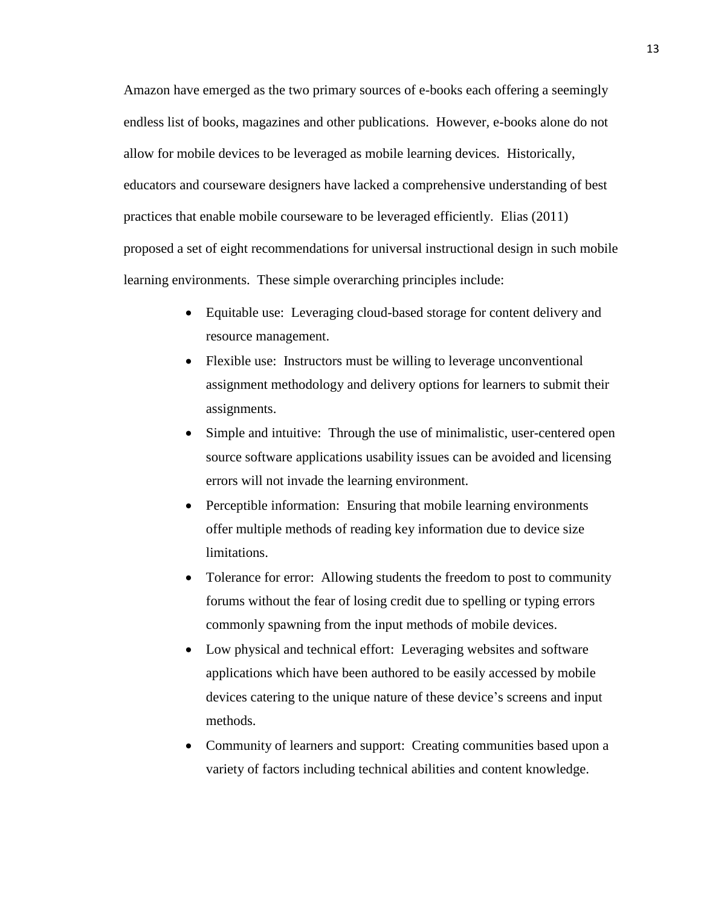Amazon have emerged as the two primary sources of e-books each offering a seemingly endless list of books, magazines and other publications. However, e-books alone do not allow for mobile devices to be leveraged as mobile learning devices. Historically, educators and courseware designers have lacked a comprehensive understanding of best practices that enable mobile courseware to be leveraged efficiently. Elias (2011) proposed a set of eight recommendations for universal instructional design in such mobile learning environments. These simple overarching principles include:

- Equitable use: Leveraging cloud-based storage for content delivery and resource management.
- Flexible use: Instructors must be willing to leverage unconventional assignment methodology and delivery options for learners to submit their assignments.
- Simple and intuitive: Through the use of minimalistic, user-centered open source software applications usability issues can be avoided and licensing errors will not invade the learning environment.
- Perceptible information: Ensuring that mobile learning environments offer multiple methods of reading key information due to device size limitations.
- Tolerance for error: Allowing students the freedom to post to community forums without the fear of losing credit due to spelling or typing errors commonly spawning from the input methods of mobile devices.
- Low physical and technical effort: Leveraging websites and software applications which have been authored to be easily accessed by mobile devices catering to the unique nature of these device's screens and input methods.
- Community of learners and support: Creating communities based upon a variety of factors including technical abilities and content knowledge.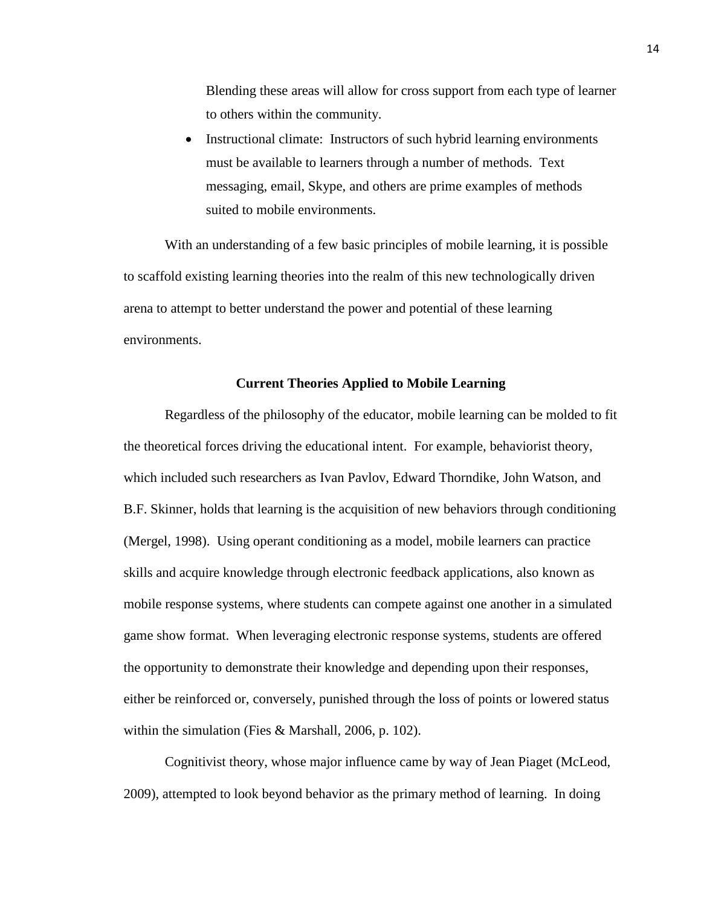Blending these areas will allow for cross support from each type of learner to others within the community.

• Instructional climate: Instructors of such hybrid learning environments must be available to learners through a number of methods. Text messaging, email, Skype, and others are prime examples of methods suited to mobile environments.

With an understanding of a few basic principles of mobile learning, it is possible to scaffold existing learning theories into the realm of this new technologically driven arena to attempt to better understand the power and potential of these learning environments.

#### **Current Theories Applied to Mobile Learning**

<span id="page-18-0"></span>Regardless of the philosophy of the educator, mobile learning can be molded to fit the theoretical forces driving the educational intent. For example, behaviorist theory, which included such researchers as Ivan Pavlov, Edward Thorndike, John Watson, and B.F. Skinner, holds that learning is the acquisition of new behaviors through conditioning (Mergel, 1998). Using operant conditioning as a model, mobile learners can practice skills and acquire knowledge through electronic feedback applications, also known as mobile response systems, where students can compete against one another in a simulated game show format. When leveraging electronic response systems, students are offered the opportunity to demonstrate their knowledge and depending upon their responses, either be reinforced or, conversely, punished through the loss of points or lowered status within the simulation (Fies & Marshall, 2006, p. 102).

Cognitivist theory, whose major influence came by way of Jean Piaget (McLeod, 2009), attempted to look beyond behavior as the primary method of learning. In doing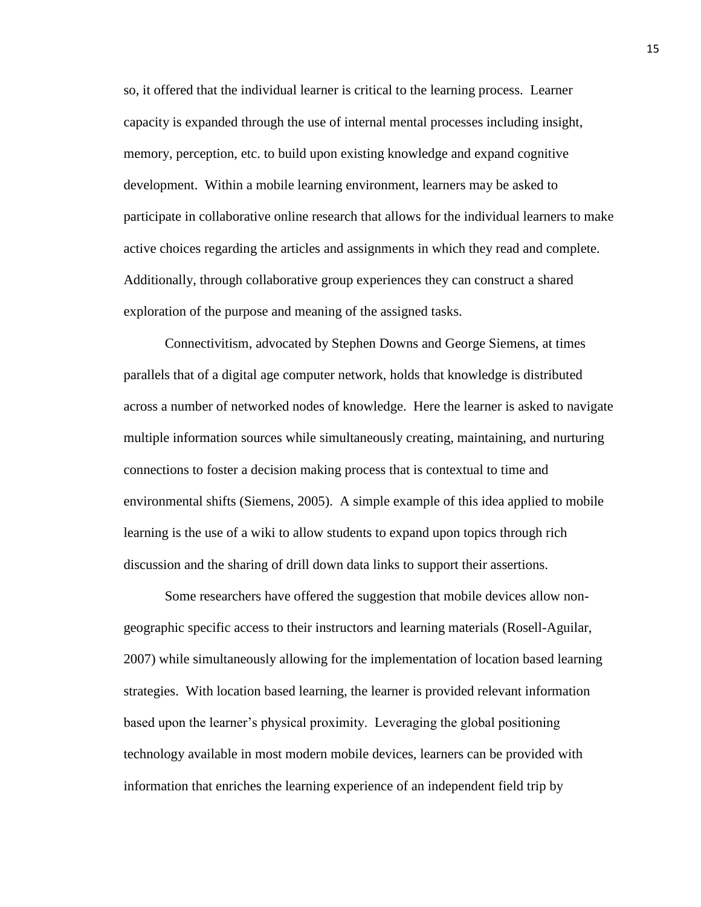so, it offered that the individual learner is critical to the learning process. Learner capacity is expanded through the use of internal mental processes including insight, memory, perception, etc. to build upon existing knowledge and expand cognitive development. Within a mobile learning environment, learners may be asked to participate in collaborative online research that allows for the individual learners to make active choices regarding the articles and assignments in which they read and complete. Additionally, through collaborative group experiences they can construct a shared exploration of the purpose and meaning of the assigned tasks.

Connectivitism, advocated by Stephen Downs and George Siemens, at times parallels that of a digital age computer network, holds that knowledge is distributed across a number of networked nodes of knowledge. Here the learner is asked to navigate multiple information sources while simultaneously creating, maintaining, and nurturing connections to foster a decision making process that is contextual to time and environmental shifts (Siemens, 2005). A simple example of this idea applied to mobile learning is the use of a wiki to allow students to expand upon topics through rich discussion and the sharing of drill down data links to support their assertions.

Some researchers have offered the suggestion that mobile devices allow nongeographic specific access to their instructors and learning materials (Rosell-Aguilar, 2007) while simultaneously allowing for the implementation of location based learning strategies. With location based learning, the learner is provided relevant information based upon the learner's physical proximity. Leveraging the global positioning technology available in most modern mobile devices, learners can be provided with information that enriches the learning experience of an independent field trip by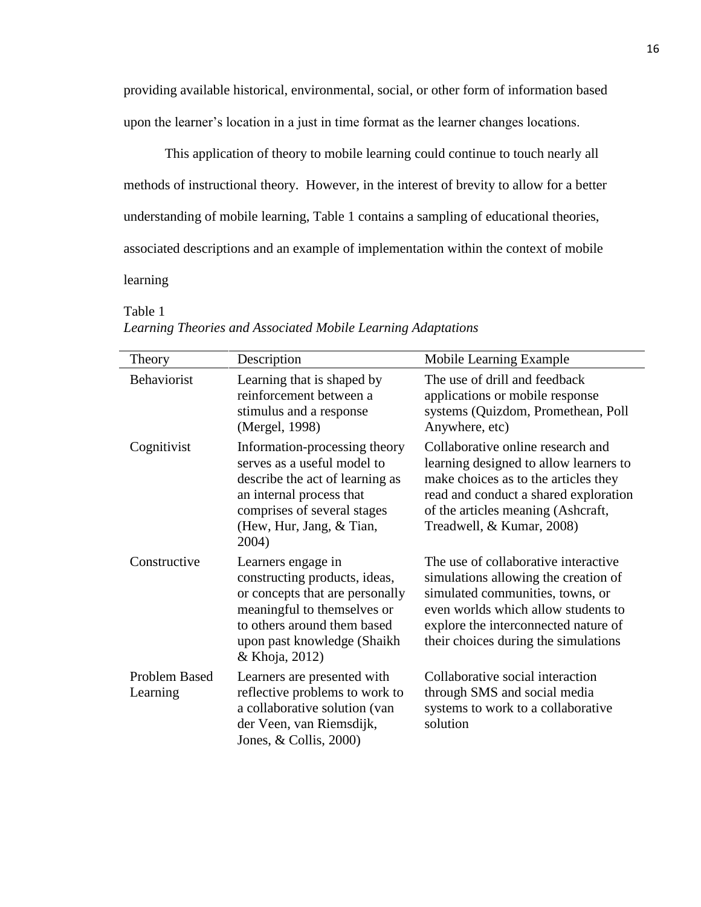providing available historical, environmental, social, or other form of information based upon the learner's location in a just in time format as the learner changes locations.

This application of theory to mobile learning could continue to touch nearly all methods of instructional theory. However, in the interest of brevity to allow for a better understanding of mobile learning, Table 1 contains a sampling of educational theories, associated descriptions and an example of implementation within the context of mobile learning

<span id="page-20-0"></span>Table 1

| Theory                           | Description                                                                                                                                                                                           | Mobile Learning Example                                                                                                                                                                                                                 |
|----------------------------------|-------------------------------------------------------------------------------------------------------------------------------------------------------------------------------------------------------|-----------------------------------------------------------------------------------------------------------------------------------------------------------------------------------------------------------------------------------------|
| Behaviorist                      | Learning that is shaped by<br>reinforcement between a<br>stimulus and a response<br>(Mergel, 1998)                                                                                                    | The use of drill and feedback<br>applications or mobile response<br>systems (Quizdom, Promethean, Poll<br>Anywhere, etc)                                                                                                                |
| Cognitivist                      | Information-processing theory<br>serves as a useful model to<br>describe the act of learning as<br>an internal process that<br>comprises of several stages<br>(Hew, Hur, Jang, & Tian,<br>2004)       | Collaborative online research and<br>learning designed to allow learners to<br>make choices as to the articles they<br>read and conduct a shared exploration<br>of the articles meaning (Ashcraft,<br>Treadwell, & Kumar, 2008)         |
| Constructive                     | Learners engage in<br>constructing products, ideas,<br>or concepts that are personally<br>meaningful to themselves or<br>to others around them based<br>upon past knowledge (Shaikh<br>& Khoja, 2012) | The use of collaborative interactive<br>simulations allowing the creation of<br>simulated communities, towns, or<br>even worlds which allow students to<br>explore the interconnected nature of<br>their choices during the simulations |
| <b>Problem Based</b><br>Learning | Learners are presented with<br>reflective problems to work to<br>a collaborative solution (van<br>der Veen, van Riemsdijk,<br>Jones, $& Collins, 2000)$                                               | Collaborative social interaction<br>through SMS and social media<br>systems to work to a collaborative<br>solution                                                                                                                      |

## *Learning Theories and Associated Mobile Learning Adaptations*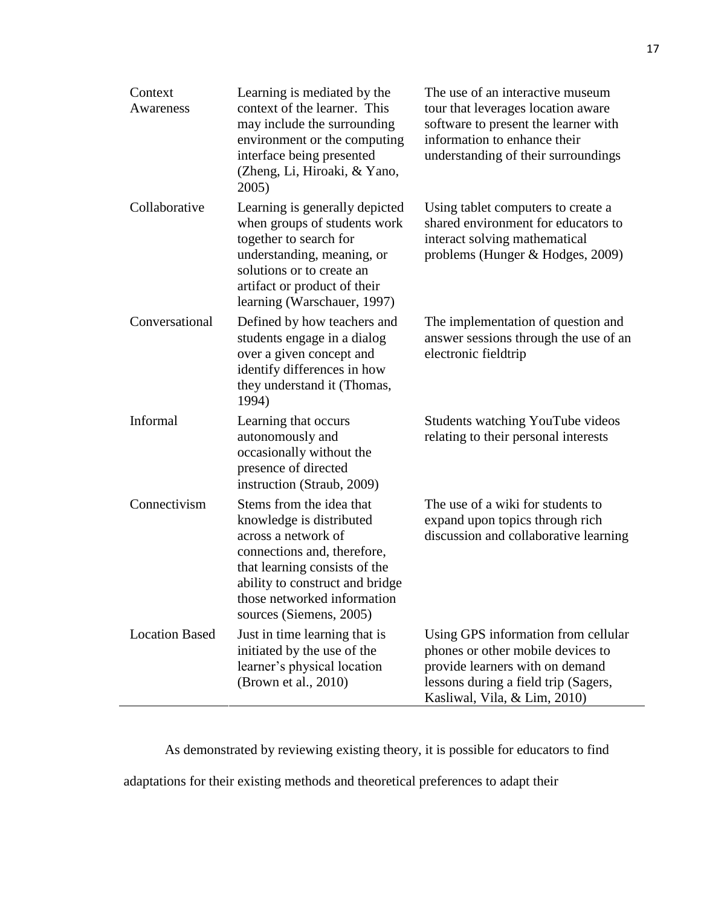| Context<br>Awareness  | Learning is mediated by the<br>context of the learner. This<br>may include the surrounding<br>environment or the computing<br>interface being presented<br>(Zheng, Li, Hiroaki, & Yano,<br>2005)                                         | The use of an interactive museum<br>tour that leverages location aware<br>software to present the learner with<br>information to enhance their<br>understanding of their surroundings |
|-----------------------|------------------------------------------------------------------------------------------------------------------------------------------------------------------------------------------------------------------------------------------|---------------------------------------------------------------------------------------------------------------------------------------------------------------------------------------|
| Collaborative         | Learning is generally depicted<br>when groups of students work<br>together to search for<br>understanding, meaning, or<br>solutions or to create an<br>artifact or product of their<br>learning (Warschauer, 1997)                       | Using tablet computers to create a<br>shared environment for educators to<br>interact solving mathematical<br>problems (Hunger & Hodges, 2009)                                        |
| Conversational        | Defined by how teachers and<br>students engage in a dialog<br>over a given concept and<br>identify differences in how<br>they understand it (Thomas,<br>1994)                                                                            | The implementation of question and<br>answer sessions through the use of an<br>electronic fieldtrip                                                                                   |
| Informal              | Learning that occurs<br>autonomously and<br>occasionally without the<br>presence of directed<br>instruction (Straub, 2009)                                                                                                               | Students watching YouTube videos<br>relating to their personal interests                                                                                                              |
| Connectivism          | Stems from the idea that<br>knowledge is distributed<br>across a network of<br>connections and, therefore,<br>that learning consists of the<br>ability to construct and bridge<br>those networked information<br>sources (Siemens, 2005) | The use of a wiki for students to<br>expand upon topics through rich<br>discussion and collaborative learning                                                                         |
| <b>Location Based</b> | Just in time learning that is<br>initiated by the use of the<br>learner's physical location<br>(Brown et al., 2010)                                                                                                                      | Using GPS information from cellular<br>phones or other mobile devices to<br>provide learners with on demand<br>lessons during a field trip (Sagers,<br>Kasliwal, Vila, & Lim, 2010)   |

As demonstrated by reviewing existing theory, it is possible for educators to find

adaptations for their existing methods and theoretical preferences to adapt their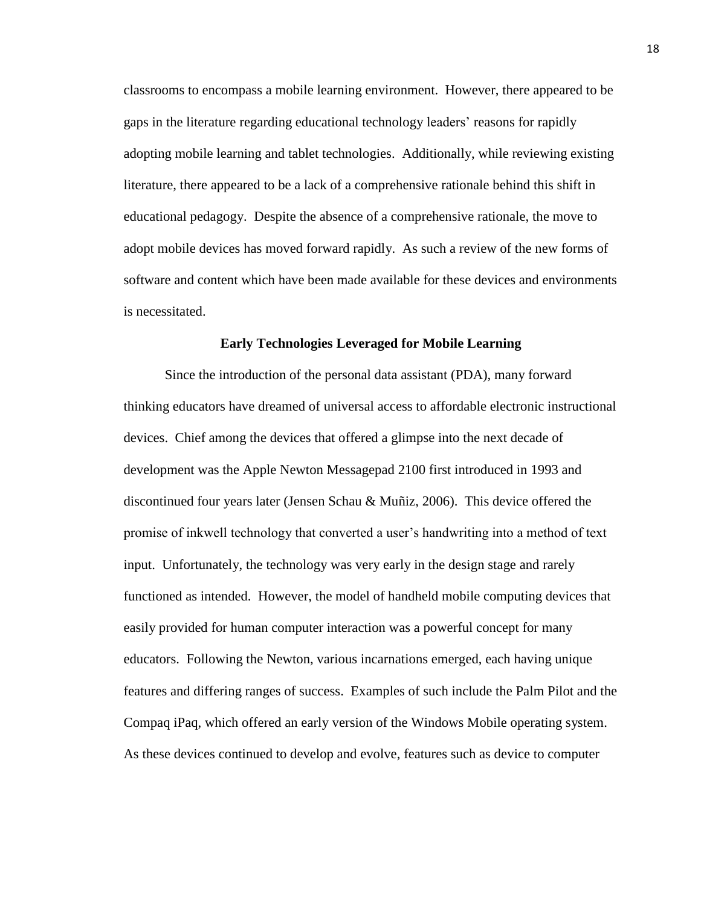classrooms to encompass a mobile learning environment. However, there appeared to be gaps in the literature regarding educational technology leaders' reasons for rapidly adopting mobile learning and tablet technologies. Additionally, while reviewing existing literature, there appeared to be a lack of a comprehensive rationale behind this shift in educational pedagogy. Despite the absence of a comprehensive rationale, the move to adopt mobile devices has moved forward rapidly. As such a review of the new forms of software and content which have been made available for these devices and environments is necessitated.

#### **Early Technologies Leveraged for Mobile Learning**

<span id="page-22-0"></span>Since the introduction of the personal data assistant (PDA), many forward thinking educators have dreamed of universal access to affordable electronic instructional devices. Chief among the devices that offered a glimpse into the next decade of development was the Apple Newton Messagepad 2100 first introduced in 1993 and discontinued four years later (Jensen Schau & Muñiz, 2006). This device offered the promise of inkwell technology that converted a user's handwriting into a method of text input. Unfortunately, the technology was very early in the design stage and rarely functioned as intended. However, the model of handheld mobile computing devices that easily provided for human computer interaction was a powerful concept for many educators. Following the Newton, various incarnations emerged, each having unique features and differing ranges of success. Examples of such include the Palm Pilot and the Compaq iPaq, which offered an early version of the Windows Mobile operating system. As these devices continued to develop and evolve, features such as device to computer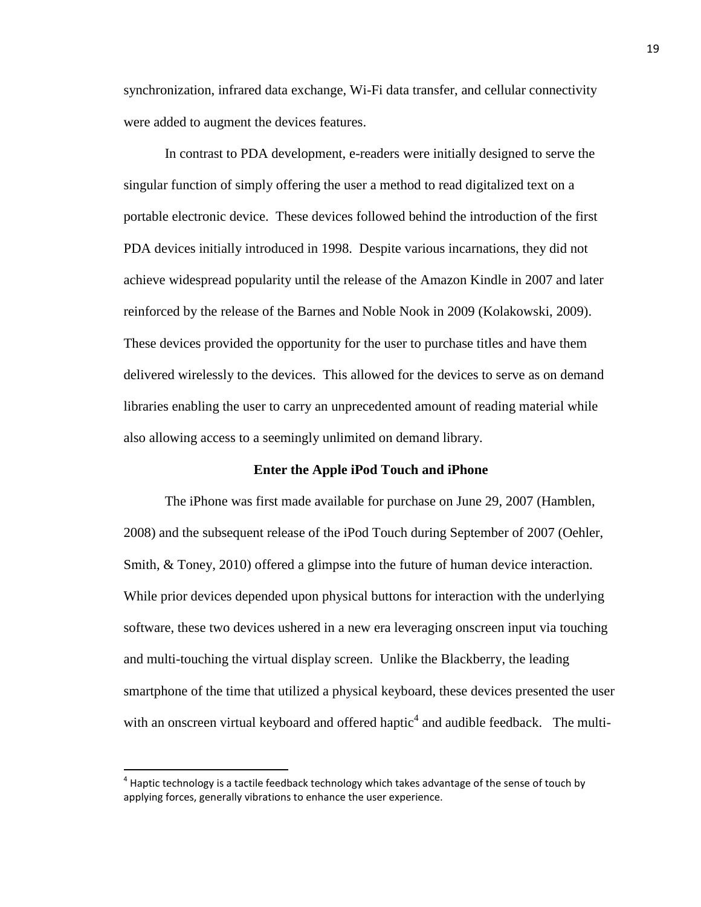synchronization, infrared data exchange, Wi-Fi data transfer, and cellular connectivity were added to augment the devices features.

In contrast to PDA development, e-readers were initially designed to serve the singular function of simply offering the user a method to read digitalized text on a portable electronic device. These devices followed behind the introduction of the first PDA devices initially introduced in 1998. Despite various incarnations, they did not achieve widespread popularity until the release of the Amazon Kindle in 2007 and later reinforced by the release of the Barnes and Noble Nook in 2009 (Kolakowski, 2009). These devices provided the opportunity for the user to purchase titles and have them delivered wirelessly to the devices. This allowed for the devices to serve as on demand libraries enabling the user to carry an unprecedented amount of reading material while also allowing access to a seemingly unlimited on demand library.

#### **Enter the Apple iPod Touch and iPhone**

<span id="page-23-0"></span>The iPhone was first made available for purchase on June 29, 2007 (Hamblen, 2008) and the subsequent release of the iPod Touch during September of 2007 (Oehler, Smith, & Toney, 2010) offered a glimpse into the future of human device interaction. While prior devices depended upon physical buttons for interaction with the underlying software, these two devices ushered in a new era leveraging onscreen input via touching and multi-touching the virtual display screen. Unlike the Blackberry, the leading smartphone of the time that utilized a physical keyboard, these devices presented the user with an onscreen virtual keyboard and offered haptic<sup>4</sup> and audible feedback. The multi-

l

 $^4$  Haptic technology is a tactile feedback technology which takes advantage of the sense of touch by applying forces, generally vibrations to enhance the user experience.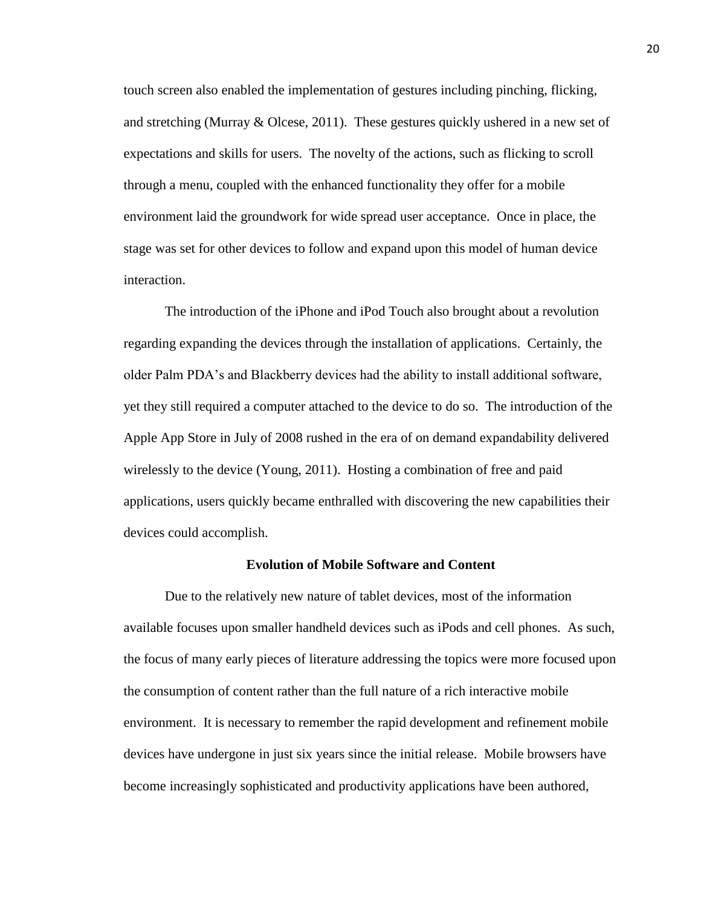touch screen also enabled the implementation of gestures including pinching, flicking, and stretching (Murray & Olcese, 2011). These gestures quickly ushered in a new set of expectations and skills for users. The novelty of the actions, such as flicking to scroll through a menu, coupled with the enhanced functionality they offer for a mobile environment laid the groundwork for wide spread user acceptance. Once in place, the stage was set for other devices to follow and expand upon this model of human device interaction.

The introduction of the iPhone and iPod Touch also brought about a revolution regarding expanding the devices through the installation of applications. Certainly, the older Palm PDA's and Blackberry devices had the ability to install additional software, yet they still required a computer attached to the device to do so. The introduction of the Apple App Store in July of 2008 rushed in the era of on demand expandability delivered wirelessly to the device (Young, 2011). Hosting a combination of free and paid applications, users quickly became enthralled with discovering the new capabilities their devices could accomplish.

#### **Evolution of Mobile Software and Content**

<span id="page-24-0"></span>Due to the relatively new nature of tablet devices, most of the information available focuses upon smaller handheld devices such as iPods and cell phones. As such, the focus of many early pieces of literature addressing the topics were more focused upon the consumption of content rather than the full nature of a rich interactive mobile environment. It is necessary to remember the rapid development and refinement mobile devices have undergone in just six years since the initial release. Mobile browsers have become increasingly sophisticated and productivity applications have been authored,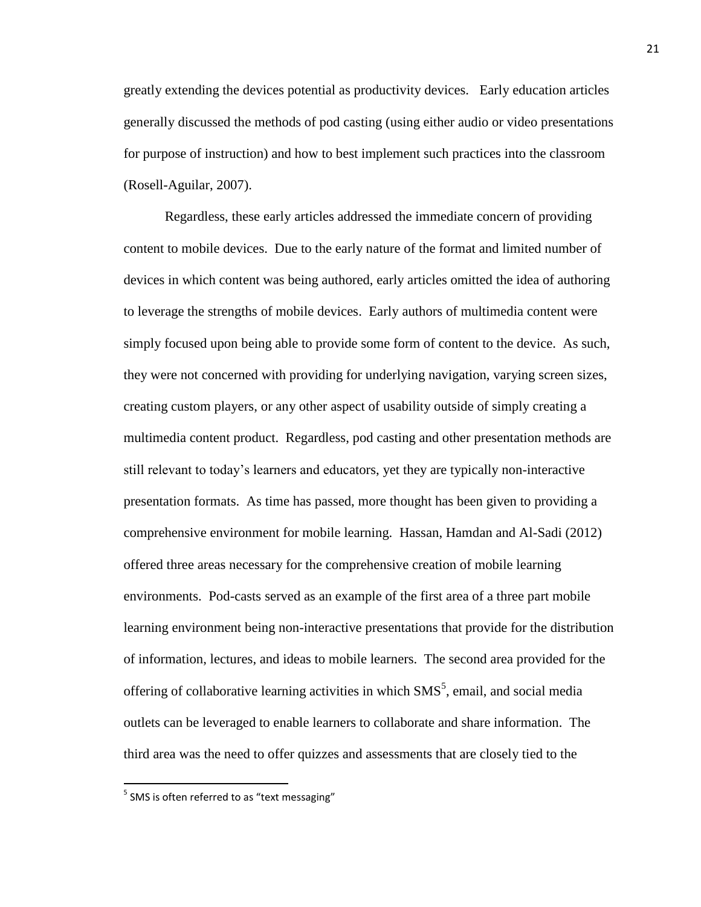greatly extending the devices potential as productivity devices. Early education articles generally discussed the methods of pod casting (using either audio or video presentations for purpose of instruction) and how to best implement such practices into the classroom (Rosell-Aguilar, 2007).

Regardless, these early articles addressed the immediate concern of providing content to mobile devices. Due to the early nature of the format and limited number of devices in which content was being authored, early articles omitted the idea of authoring to leverage the strengths of mobile devices. Early authors of multimedia content were simply focused upon being able to provide some form of content to the device. As such, they were not concerned with providing for underlying navigation, varying screen sizes, creating custom players, or any other aspect of usability outside of simply creating a multimedia content product. Regardless, pod casting and other presentation methods are still relevant to today's learners and educators, yet they are typically non-interactive presentation formats. As time has passed, more thought has been given to providing a comprehensive environment for mobile learning. Hassan, Hamdan and Al-Sadi (2012) offered three areas necessary for the comprehensive creation of mobile learning environments. Pod-casts served as an example of the first area of a three part mobile learning environment being non-interactive presentations that provide for the distribution of information, lectures, and ideas to mobile learners. The second area provided for the offering of collaborative learning activities in which  $SMS<sup>5</sup>$ , email, and social media outlets can be leveraged to enable learners to collaborate and share information. The third area was the need to offer quizzes and assessments that are closely tied to the

 $\overline{\phantom{a}}$ 

 $<sup>5</sup>$  SMS is often referred to as "text messaging"</sup>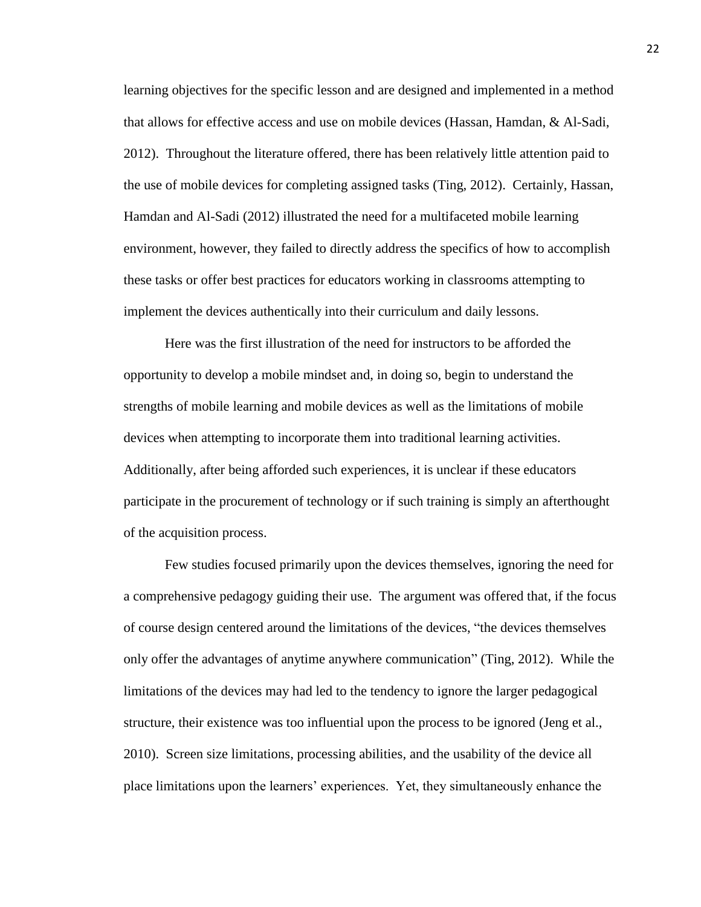learning objectives for the specific lesson and are designed and implemented in a method that allows for effective access and use on mobile devices (Hassan, Hamdan, & Al-Sadi, 2012). Throughout the literature offered, there has been relatively little attention paid to the use of mobile devices for completing assigned tasks (Ting, 2012). Certainly, Hassan, Hamdan and Al-Sadi (2012) illustrated the need for a multifaceted mobile learning environment, however, they failed to directly address the specifics of how to accomplish these tasks or offer best practices for educators working in classrooms attempting to implement the devices authentically into their curriculum and daily lessons.

Here was the first illustration of the need for instructors to be afforded the opportunity to develop a mobile mindset and, in doing so, begin to understand the strengths of mobile learning and mobile devices as well as the limitations of mobile devices when attempting to incorporate them into traditional learning activities. Additionally, after being afforded such experiences, it is unclear if these educators participate in the procurement of technology or if such training is simply an afterthought of the acquisition process.

Few studies focused primarily upon the devices themselves, ignoring the need for a comprehensive pedagogy guiding their use. The argument was offered that, if the focus of course design centered around the limitations of the devices, "the devices themselves only offer the advantages of anytime anywhere communication" (Ting, 2012). While the limitations of the devices may had led to the tendency to ignore the larger pedagogical structure, their existence was too influential upon the process to be ignored (Jeng et al., 2010). Screen size limitations, processing abilities, and the usability of the device all place limitations upon the learners' experiences. Yet, they simultaneously enhance the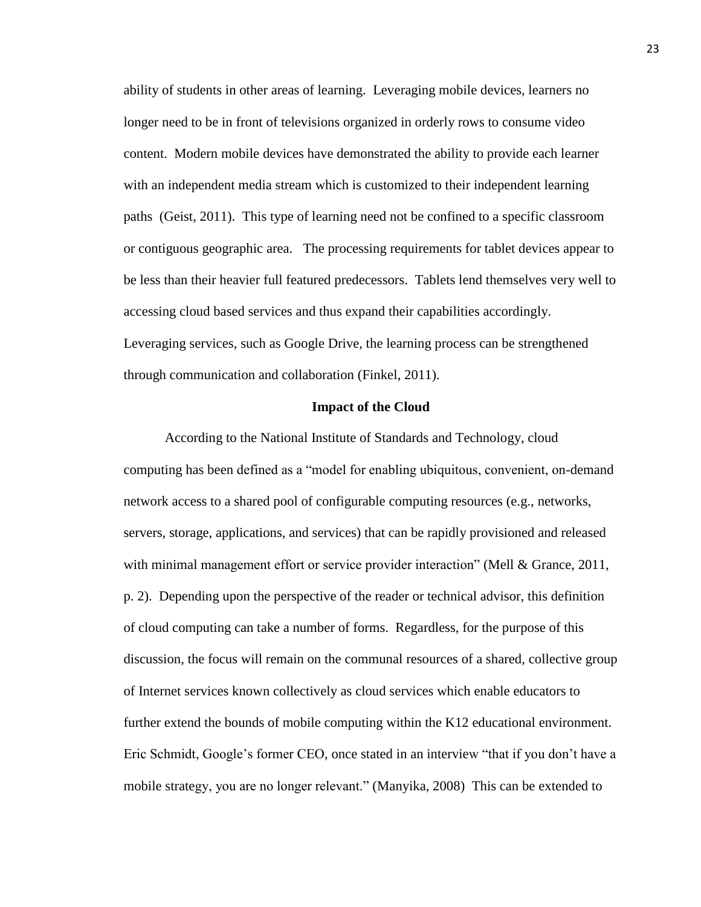ability of students in other areas of learning. Leveraging mobile devices, learners no longer need to be in front of televisions organized in orderly rows to consume video content. Modern mobile devices have demonstrated the ability to provide each learner with an independent media stream which is customized to their independent learning paths (Geist, 2011). This type of learning need not be confined to a specific classroom or contiguous geographic area. The processing requirements for tablet devices appear to be less than their heavier full featured predecessors. Tablets lend themselves very well to accessing cloud based services and thus expand their capabilities accordingly. Leveraging services, such as Google Drive, the learning process can be strengthened through communication and collaboration (Finkel, 2011).

#### **Impact of the Cloud**

<span id="page-27-0"></span>According to the National Institute of Standards and Technology, cloud computing has been defined as a "model for enabling ubiquitous, convenient, on-demand network access to a shared pool of configurable computing resources (e.g., networks, servers, storage, applications, and services) that can be rapidly provisioned and released with minimal management effort or service provider interaction" (Mell & Grance, 2011, p. 2). Depending upon the perspective of the reader or technical advisor, this definition of cloud computing can take a number of forms. Regardless, for the purpose of this discussion, the focus will remain on the communal resources of a shared, collective group of Internet services known collectively as cloud services which enable educators to further extend the bounds of mobile computing within the K12 educational environment. Eric Schmidt, Google's former CEO, once stated in an interview "that if you don't have a mobile strategy, you are no longer relevant." (Manyika, 2008) This can be extended to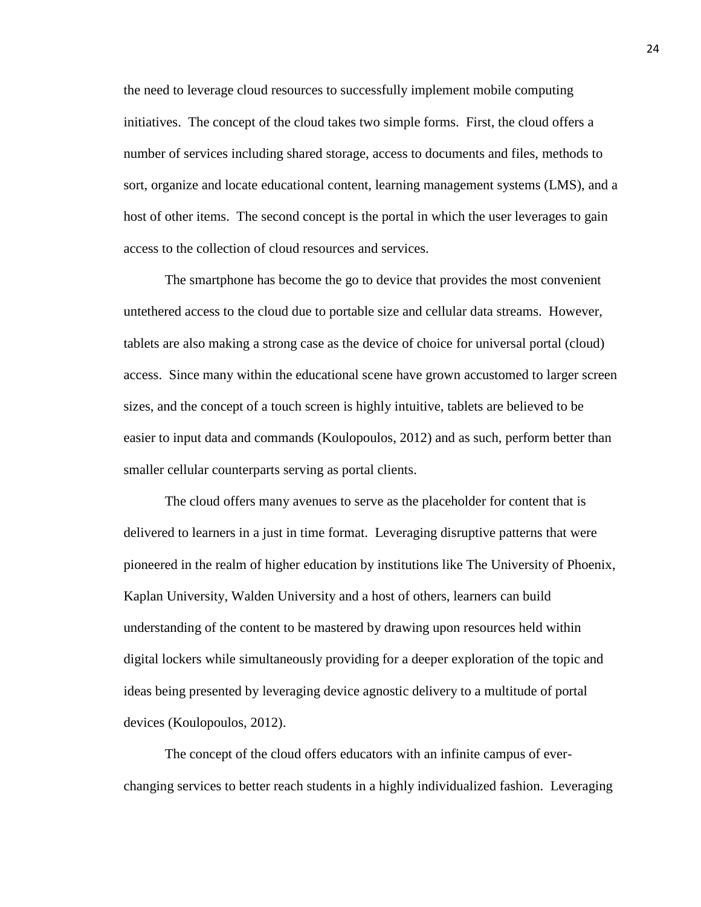the need to leverage cloud resources to successfully implement mobile computing initiatives. The concept of the cloud takes two simple forms. First, the cloud offers a number of services including shared storage, access to documents and files, methods to sort, organize and locate educational content, learning management systems (LMS), and a host of other items. The second concept is the portal in which the user leverages to gain access to the collection of cloud resources and services.

The smartphone has become the go to device that provides the most convenient untethered access to the cloud due to portable size and cellular data streams. However, tablets are also making a strong case as the device of choice for universal portal (cloud) access. Since many within the educational scene have grown accustomed to larger screen sizes, and the concept of a touch screen is highly intuitive, tablets are believed to be easier to input data and commands (Koulopoulos, 2012) and as such, perform better than smaller cellular counterparts serving as portal clients.

The cloud offers many avenues to serve as the placeholder for content that is delivered to learners in a just in time format. Leveraging disruptive patterns that were pioneered in the realm of higher education by institutions like The University of Phoenix, Kaplan University, Walden University and a host of others, learners can build understanding of the content to be mastered by drawing upon resources held within digital lockers while simultaneously providing for a deeper exploration of the topic and ideas being presented by leveraging device agnostic delivery to a multitude of portal devices (Koulopoulos, 2012).

The concept of the cloud offers educators with an infinite campus of everchanging services to better reach students in a highly individualized fashion. Leveraging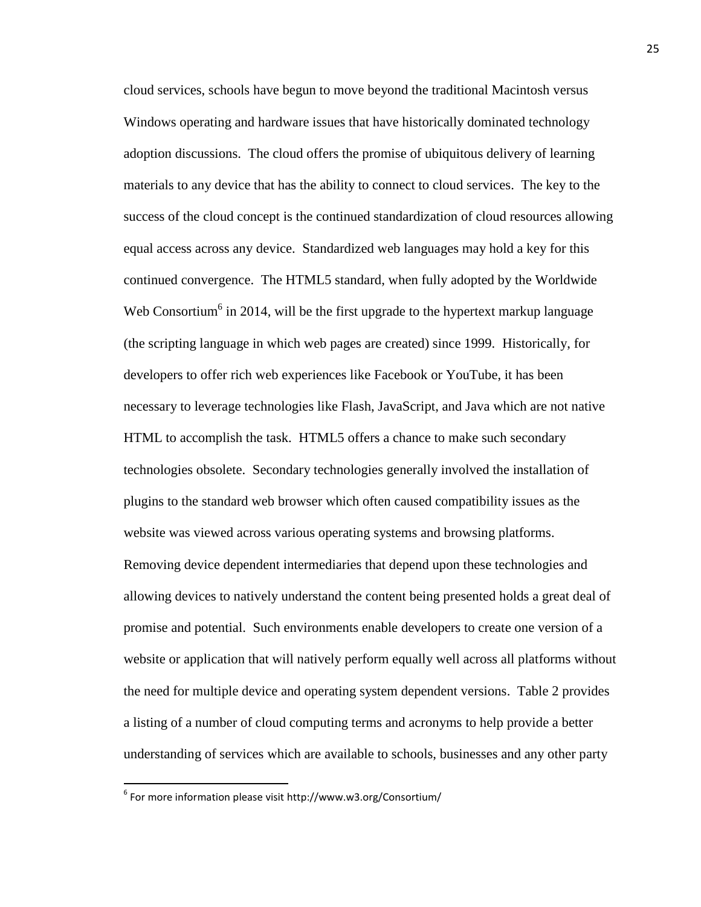cloud services, schools have begun to move beyond the traditional Macintosh versus Windows operating and hardware issues that have historically dominated technology adoption discussions. The cloud offers the promise of ubiquitous delivery of learning materials to any device that has the ability to connect to cloud services. The key to the success of the cloud concept is the continued standardization of cloud resources allowing equal access across any device. Standardized web languages may hold a key for this continued convergence. The HTML5 standard, when fully adopted by the Worldwide Web Consortium<sup>6</sup> in 2014, will be the first upgrade to the hypertext markup language (the scripting language in which web pages are created) since 1999. Historically, for developers to offer rich web experiences like Facebook or YouTube, it has been necessary to leverage technologies like Flash, JavaScript, and Java which are not native HTML to accomplish the task. HTML5 offers a chance to make such secondary technologies obsolete. Secondary technologies generally involved the installation of plugins to the standard web browser which often caused compatibility issues as the website was viewed across various operating systems and browsing platforms. Removing device dependent intermediaries that depend upon these technologies and allowing devices to natively understand the content being presented holds a great deal of promise and potential. Such environments enable developers to create one version of a website or application that will natively perform equally well across all platforms without the need for multiple device and operating system dependent versions. Table 2 provides a listing of a number of cloud computing terms and acronyms to help provide a better understanding of services which are available to schools, businesses and any other party

 $\overline{\phantom{a}}$ 

<sup>6</sup> For more information please visit http://www.w3.org/Consortium/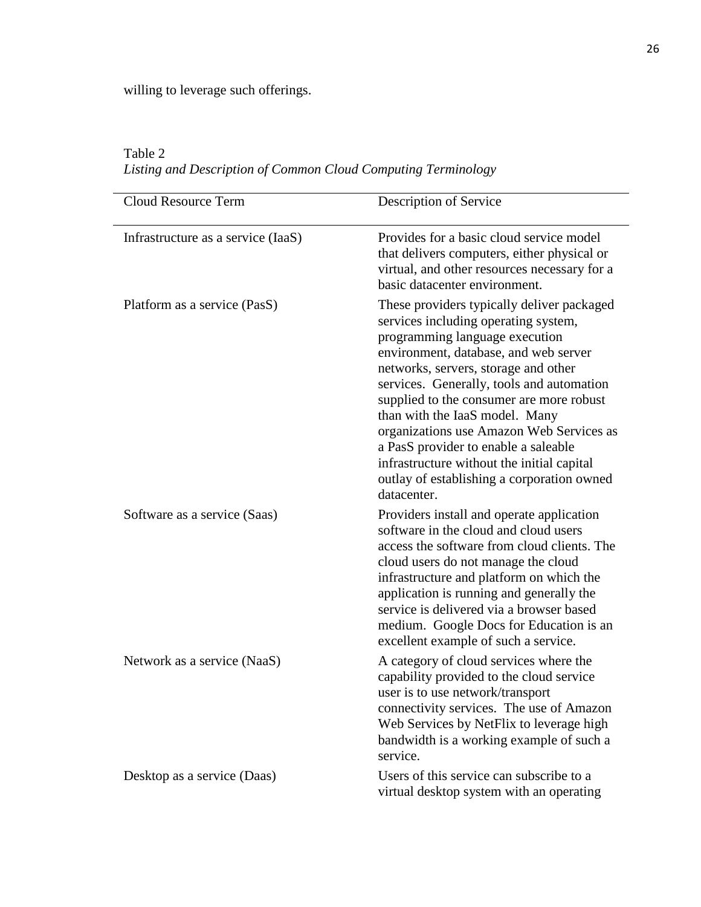willing to leverage such offerings.

<span id="page-30-0"></span>Table 2 *Listing and Description of Common Cloud Computing Terminology*

| <b>Cloud Resource Term</b>         | Description of Service                                                                                                                                                                                                                                                                                                                                                                                                                                                                                                          |
|------------------------------------|---------------------------------------------------------------------------------------------------------------------------------------------------------------------------------------------------------------------------------------------------------------------------------------------------------------------------------------------------------------------------------------------------------------------------------------------------------------------------------------------------------------------------------|
| Infrastructure as a service (IaaS) | Provides for a basic cloud service model<br>that delivers computers, either physical or<br>virtual, and other resources necessary for a<br>basic datacenter environment.                                                                                                                                                                                                                                                                                                                                                        |
| Platform as a service (PasS)       | These providers typically deliver packaged<br>services including operating system,<br>programming language execution<br>environment, database, and web server<br>networks, servers, storage and other<br>services. Generally, tools and automation<br>supplied to the consumer are more robust<br>than with the IaaS model. Many<br>organizations use Amazon Web Services as<br>a PasS provider to enable a saleable<br>infrastructure without the initial capital<br>outlay of establishing a corporation owned<br>datacenter. |
| Software as a service (Saas)       | Providers install and operate application<br>software in the cloud and cloud users<br>access the software from cloud clients. The<br>cloud users do not manage the cloud<br>infrastructure and platform on which the<br>application is running and generally the<br>service is delivered via a browser based<br>medium. Google Docs for Education is an<br>excellent example of such a service.                                                                                                                                 |
| Network as a service (NaaS)        | A category of cloud services where the<br>capability provided to the cloud service<br>user is to use network/transport<br>connectivity services. The use of Amazon<br>Web Services by NetFlix to leverage high<br>bandwidth is a working example of such a<br>service.                                                                                                                                                                                                                                                          |
| Desktop as a service (Daas)        | Users of this service can subscribe to a<br>virtual desktop system with an operating                                                                                                                                                                                                                                                                                                                                                                                                                                            |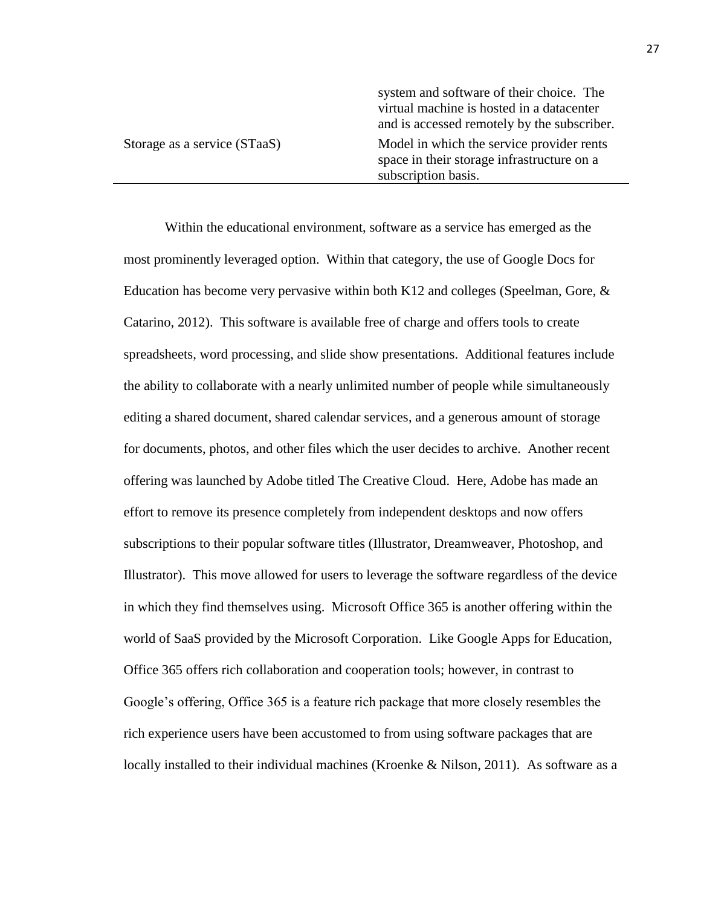|                              | system and software of their choice. The<br>virtual machine is hosted in a datacenter<br>and is accessed remotely by the subscriber. |
|------------------------------|--------------------------------------------------------------------------------------------------------------------------------------|
| Storage as a service (STaaS) | Model in which the service provider rents<br>space in their storage infrastructure on a<br>subscription basis.                       |

Within the educational environment, software as a service has emerged as the most prominently leveraged option. Within that category, the use of Google Docs for Education has become very pervasive within both K12 and colleges (Speelman, Gore,  $\&$ Catarino, 2012). This software is available free of charge and offers tools to create spreadsheets, word processing, and slide show presentations. Additional features include the ability to collaborate with a nearly unlimited number of people while simultaneously editing a shared document, shared calendar services, and a generous amount of storage for documents, photos, and other files which the user decides to archive. Another recent offering was launched by Adobe titled The Creative Cloud. Here, Adobe has made an effort to remove its presence completely from independent desktops and now offers subscriptions to their popular software titles (Illustrator, Dreamweaver, Photoshop, and Illustrator). This move allowed for users to leverage the software regardless of the device in which they find themselves using. Microsoft Office 365 is another offering within the world of SaaS provided by the Microsoft Corporation. Like Google Apps for Education, Office 365 offers rich collaboration and cooperation tools; however, in contrast to Google's offering, Office 365 is a feature rich package that more closely resembles the rich experience users have been accustomed to from using software packages that are locally installed to their individual machines (Kroenke & Nilson, 2011). As software as a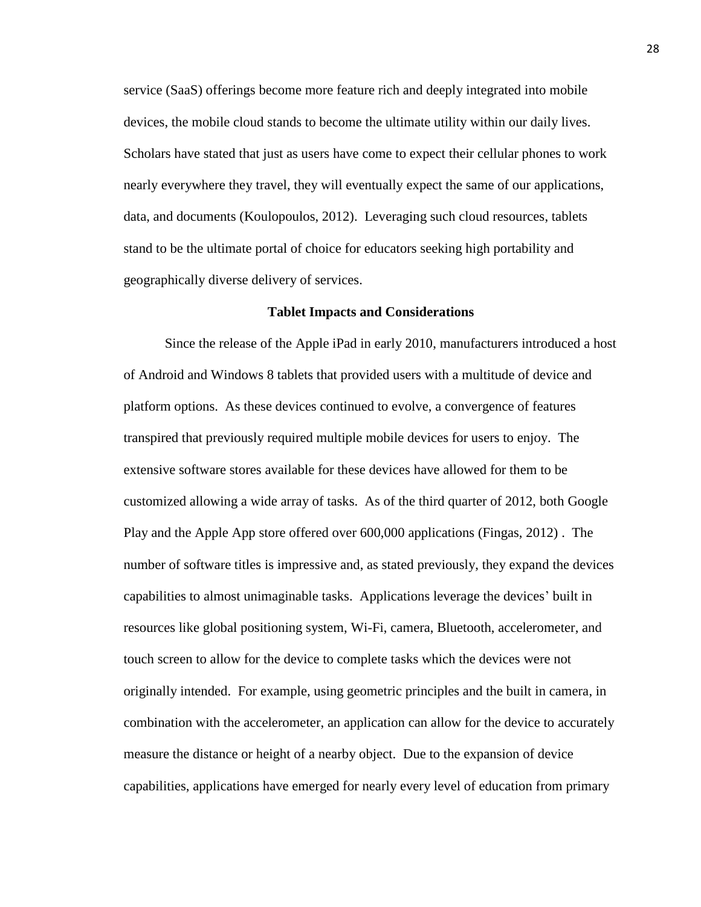service (SaaS) offerings become more feature rich and deeply integrated into mobile devices, the mobile cloud stands to become the ultimate utility within our daily lives. Scholars have stated that just as users have come to expect their cellular phones to work nearly everywhere they travel, they will eventually expect the same of our applications, data, and documents (Koulopoulos, 2012). Leveraging such cloud resources, tablets stand to be the ultimate portal of choice for educators seeking high portability and geographically diverse delivery of services.

#### **Tablet Impacts and Considerations**

<span id="page-32-0"></span>Since the release of the Apple iPad in early 2010, manufacturers introduced a host of Android and Windows 8 tablets that provided users with a multitude of device and platform options. As these devices continued to evolve, a convergence of features transpired that previously required multiple mobile devices for users to enjoy. The extensive software stores available for these devices have allowed for them to be customized allowing a wide array of tasks. As of the third quarter of 2012, both Google Play and the Apple App store offered over 600,000 applications (Fingas, 2012) . The number of software titles is impressive and, as stated previously, they expand the devices capabilities to almost unimaginable tasks. Applications leverage the devices' built in resources like global positioning system, Wi-Fi, camera, Bluetooth, accelerometer, and touch screen to allow for the device to complete tasks which the devices were not originally intended. For example, using geometric principles and the built in camera, in combination with the accelerometer, an application can allow for the device to accurately measure the distance or height of a nearby object. Due to the expansion of device capabilities, applications have emerged for nearly every level of education from primary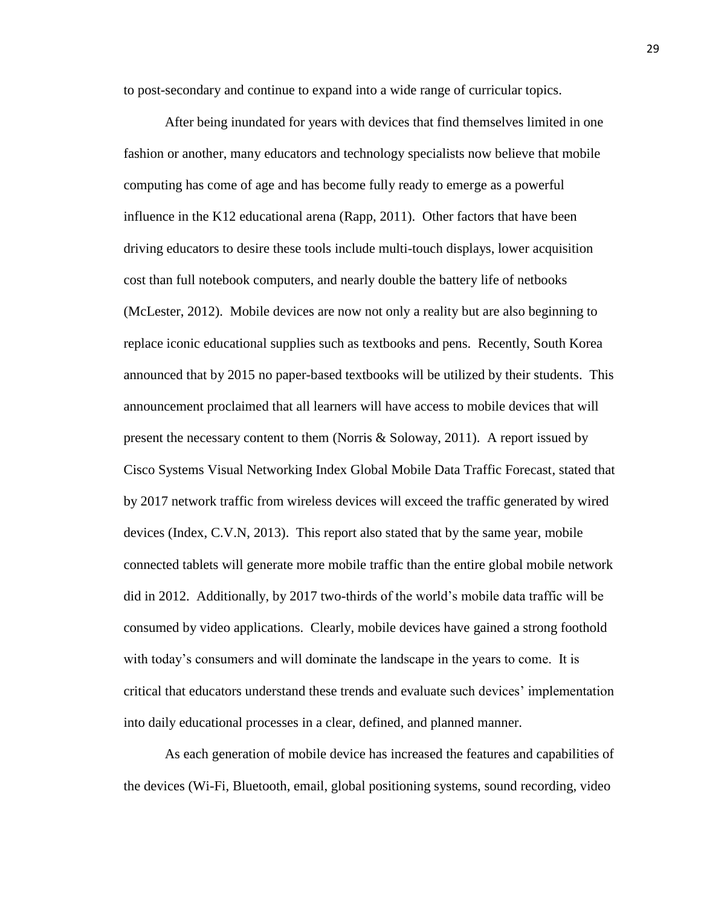to post-secondary and continue to expand into a wide range of curricular topics.

After being inundated for years with devices that find themselves limited in one fashion or another, many educators and technology specialists now believe that mobile computing has come of age and has become fully ready to emerge as a powerful influence in the K12 educational arena (Rapp, 2011). Other factors that have been driving educators to desire these tools include multi-touch displays, lower acquisition cost than full notebook computers, and nearly double the battery life of netbooks (McLester, 2012). Mobile devices are now not only a reality but are also beginning to replace iconic educational supplies such as textbooks and pens. Recently, South Korea announced that by 2015 no paper-based textbooks will be utilized by their students. This announcement proclaimed that all learners will have access to mobile devices that will present the necessary content to them (Norris & Soloway, 2011). A report issued by Cisco Systems Visual Networking Index Global Mobile Data Traffic Forecast, stated that by 2017 network traffic from wireless devices will exceed the traffic generated by wired devices (Index, C.V.N, 2013). This report also stated that by the same year, mobile connected tablets will generate more mobile traffic than the entire global mobile network did in 2012. Additionally, by 2017 two-thirds of the world's mobile data traffic will be consumed by video applications. Clearly, mobile devices have gained a strong foothold with today's consumers and will dominate the landscape in the years to come. It is critical that educators understand these trends and evaluate such devices' implementation into daily educational processes in a clear, defined, and planned manner.

As each generation of mobile device has increased the features and capabilities of the devices (Wi-Fi, Bluetooth, email, global positioning systems, sound recording, video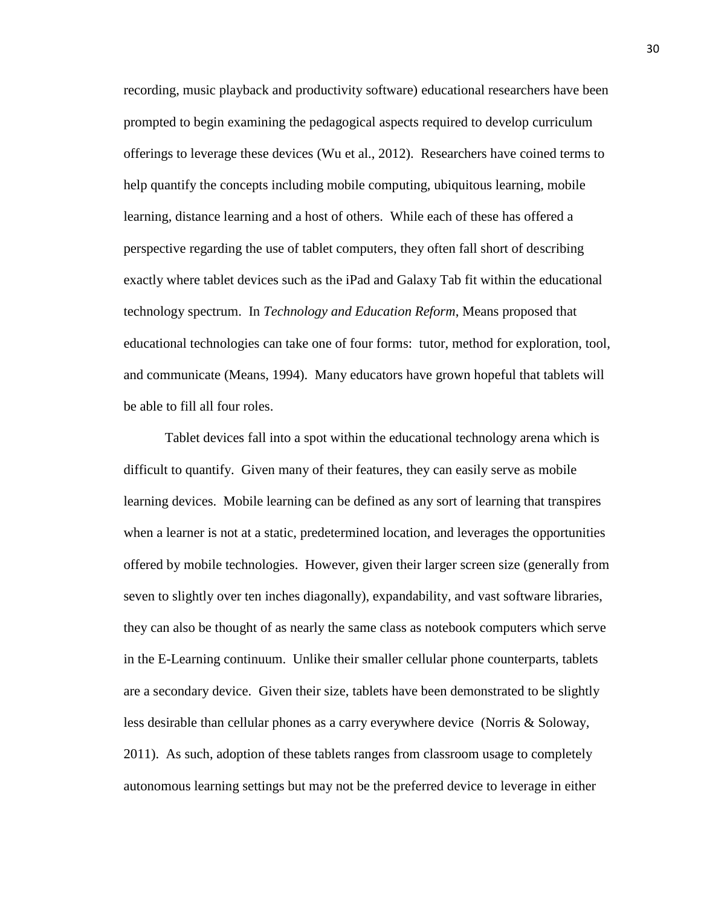recording, music playback and productivity software) educational researchers have been prompted to begin examining the pedagogical aspects required to develop curriculum offerings to leverage these devices (Wu et al., 2012). Researchers have coined terms to help quantify the concepts including mobile computing, ubiquitous learning, mobile learning, distance learning and a host of others. While each of these has offered a perspective regarding the use of tablet computers, they often fall short of describing exactly where tablet devices such as the iPad and Galaxy Tab fit within the educational technology spectrum. In *Technology and Education Reform*, Means proposed that educational technologies can take one of four forms: tutor, method for exploration, tool, and communicate (Means, 1994). Many educators have grown hopeful that tablets will be able to fill all four roles.

Tablet devices fall into a spot within the educational technology arena which is difficult to quantify. Given many of their features, they can easily serve as mobile learning devices. Mobile learning can be defined as any sort of learning that transpires when a learner is not at a static, predetermined location, and leverages the opportunities offered by mobile technologies. However, given their larger screen size (generally from seven to slightly over ten inches diagonally), expandability, and vast software libraries, they can also be thought of as nearly the same class as notebook computers which serve in the E-Learning continuum. Unlike their smaller cellular phone counterparts, tablets are a secondary device. Given their size, tablets have been demonstrated to be slightly less desirable than cellular phones as a carry everywhere device (Norris & Soloway, 2011). As such, adoption of these tablets ranges from classroom usage to completely autonomous learning settings but may not be the preferred device to leverage in either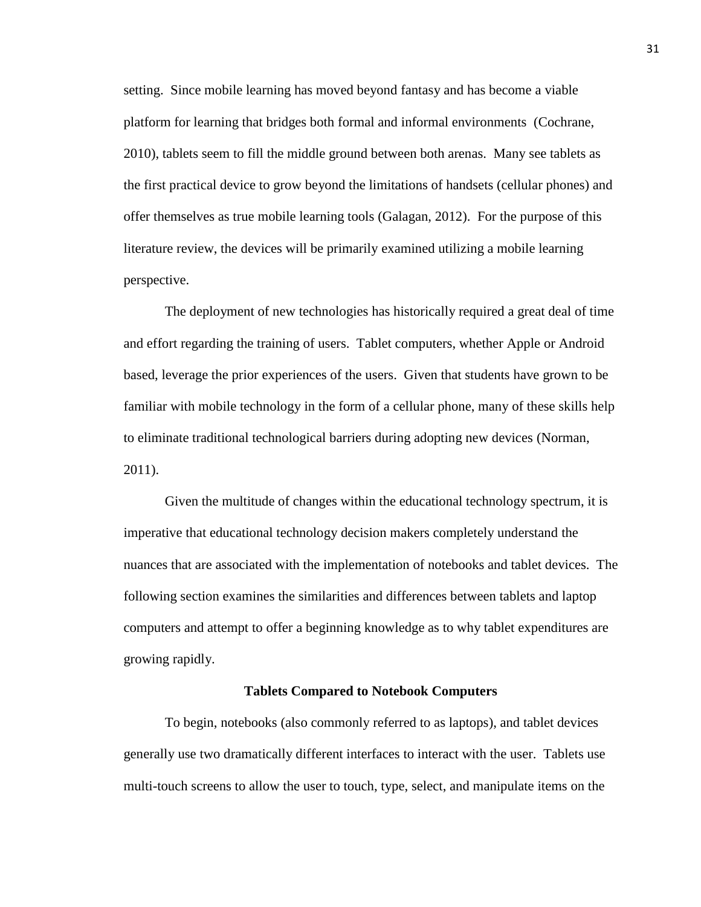setting. Since mobile learning has moved beyond fantasy and has become a viable platform for learning that bridges both formal and informal environments (Cochrane, 2010), tablets seem to fill the middle ground between both arenas. Many see tablets as the first practical device to grow beyond the limitations of handsets (cellular phones) and offer themselves as true mobile learning tools (Galagan, 2012). For the purpose of this literature review, the devices will be primarily examined utilizing a mobile learning perspective.

The deployment of new technologies has historically required a great deal of time and effort regarding the training of users. Tablet computers, whether Apple or Android based, leverage the prior experiences of the users. Given that students have grown to be familiar with mobile technology in the form of a cellular phone, many of these skills help to eliminate traditional technological barriers during adopting new devices (Norman, 2011).

Given the multitude of changes within the educational technology spectrum, it is imperative that educational technology decision makers completely understand the nuances that are associated with the implementation of notebooks and tablet devices. The following section examines the similarities and differences between tablets and laptop computers and attempt to offer a beginning knowledge as to why tablet expenditures are growing rapidly.

#### **Tablets Compared to Notebook Computers**

<span id="page-35-0"></span>To begin, notebooks (also commonly referred to as laptops), and tablet devices generally use two dramatically different interfaces to interact with the user. Tablets use multi-touch screens to allow the user to touch, type, select, and manipulate items on the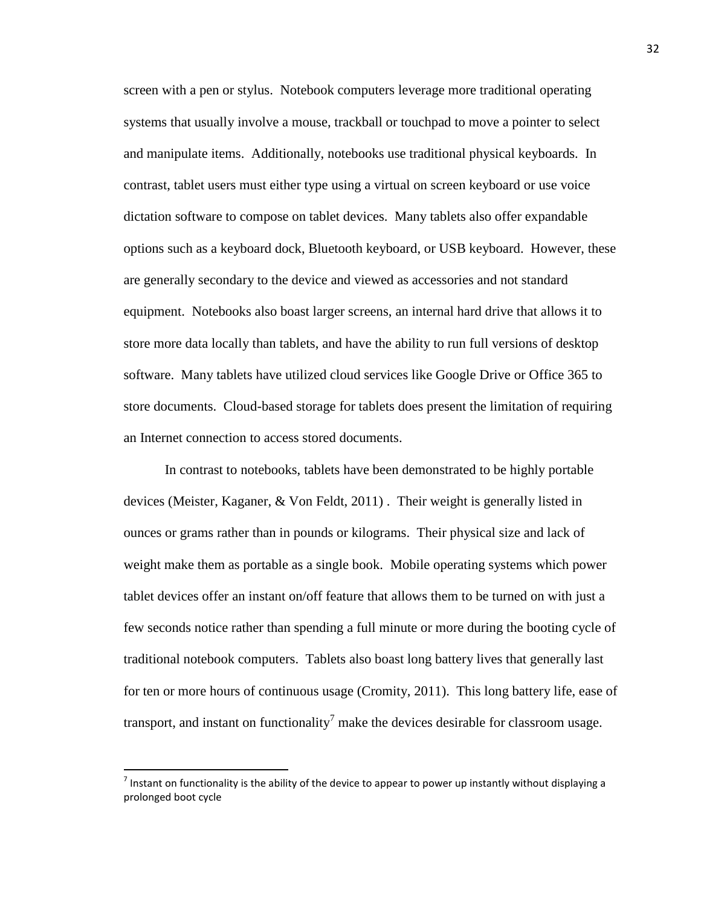screen with a pen or stylus. Notebook computers leverage more traditional operating systems that usually involve a mouse, trackball or touchpad to move a pointer to select and manipulate items. Additionally, notebooks use traditional physical keyboards. In contrast, tablet users must either type using a virtual on screen keyboard or use voice dictation software to compose on tablet devices. Many tablets also offer expandable options such as a keyboard dock, Bluetooth keyboard, or USB keyboard. However, these are generally secondary to the device and viewed as accessories and not standard equipment. Notebooks also boast larger screens, an internal hard drive that allows it to store more data locally than tablets, and have the ability to run full versions of desktop software. Many tablets have utilized cloud services like Google Drive or Office 365 to store documents. Cloud-based storage for tablets does present the limitation of requiring an Internet connection to access stored documents.

In contrast to notebooks, tablets have been demonstrated to be highly portable devices (Meister, Kaganer, & Von Feldt, 2011) . Their weight is generally listed in ounces or grams rather than in pounds or kilograms. Their physical size and lack of weight make them as portable as a single book. Mobile operating systems which power tablet devices offer an instant on/off feature that allows them to be turned on with just a few seconds notice rather than spending a full minute or more during the booting cycle of traditional notebook computers. Tablets also boast long battery lives that generally last for ten or more hours of continuous usage (Cromity, 2011). This long battery life, ease of transport, and instant on functionality<sup>7</sup> make the devices desirable for classroom usage.

l

 $^7$  Instant on functionality is the ability of the device to appear to power up instantly without displaying a prolonged boot cycle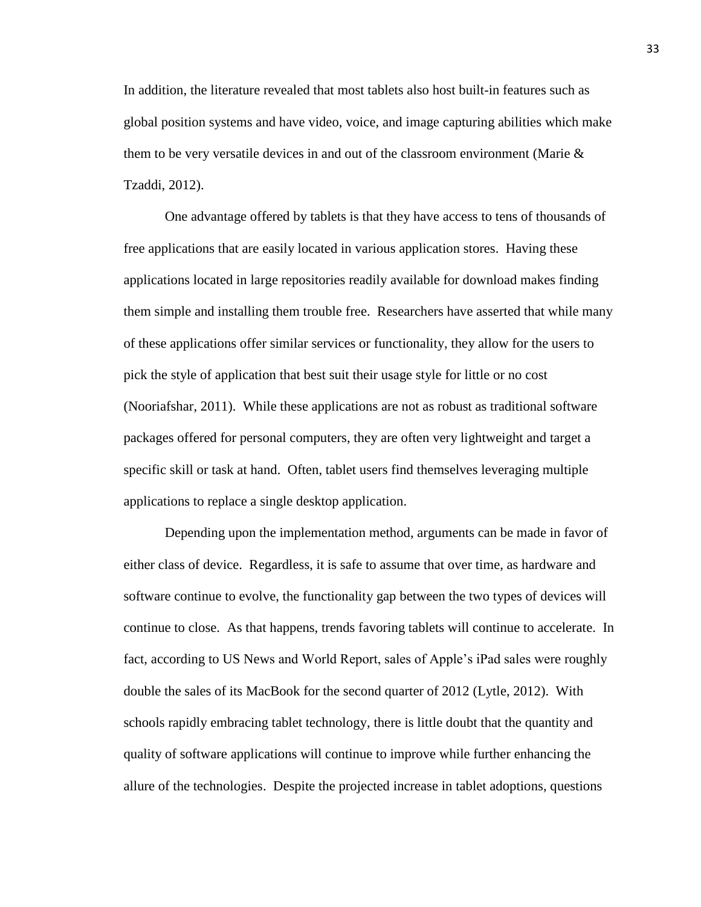In addition, the literature revealed that most tablets also host built-in features such as global position systems and have video, voice, and image capturing abilities which make them to be very versatile devices in and out of the classroom environment (Marie  $\&$ Tzaddi, 2012).

One advantage offered by tablets is that they have access to tens of thousands of free applications that are easily located in various application stores. Having these applications located in large repositories readily available for download makes finding them simple and installing them trouble free. Researchers have asserted that while many of these applications offer similar services or functionality, they allow for the users to pick the style of application that best suit their usage style for little or no cost (Nooriafshar, 2011). While these applications are not as robust as traditional software packages offered for personal computers, they are often very lightweight and target a specific skill or task at hand. Often, tablet users find themselves leveraging multiple applications to replace a single desktop application.

Depending upon the implementation method, arguments can be made in favor of either class of device. Regardless, it is safe to assume that over time, as hardware and software continue to evolve, the functionality gap between the two types of devices will continue to close. As that happens, trends favoring tablets will continue to accelerate. In fact, according to US News and World Report, sales of Apple's iPad sales were roughly double the sales of its MacBook for the second quarter of 2012 (Lytle, 2012). With schools rapidly embracing tablet technology, there is little doubt that the quantity and quality of software applications will continue to improve while further enhancing the allure of the technologies. Despite the projected increase in tablet adoptions, questions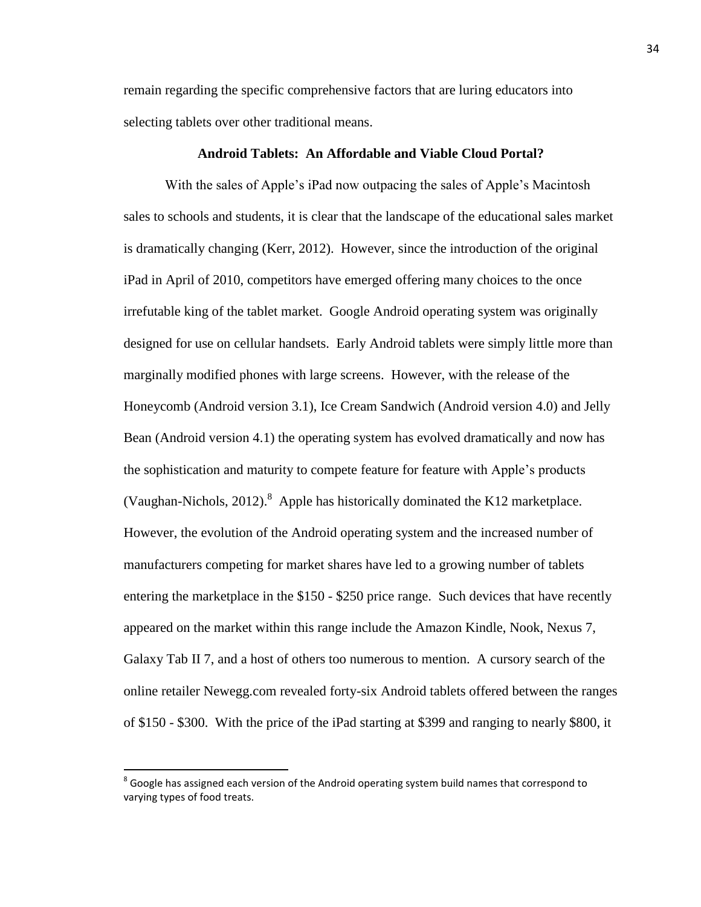remain regarding the specific comprehensive factors that are luring educators into selecting tablets over other traditional means.

# **Android Tablets: An Affordable and Viable Cloud Portal?**

With the sales of Apple's iPad now outpacing the sales of Apple's Macintosh sales to schools and students, it is clear that the landscape of the educational sales market is dramatically changing (Kerr, 2012). However, since the introduction of the original iPad in April of 2010, competitors have emerged offering many choices to the once irrefutable king of the tablet market. Google Android operating system was originally designed for use on cellular handsets. Early Android tablets were simply little more than marginally modified phones with large screens. However, with the release of the Honeycomb (Android version 3.1), Ice Cream Sandwich (Android version 4.0) and Jelly Bean (Android version 4.1) the operating system has evolved dramatically and now has the sophistication and maturity to compete feature for feature with Apple's products (Vaughan-Nichols, 2012).  $8$  Apple has historically dominated the K12 marketplace. However, the evolution of the Android operating system and the increased number of manufacturers competing for market shares have led to a growing number of tablets entering the marketplace in the \$150 - \$250 price range. Such devices that have recently appeared on the market within this range include the Amazon Kindle, Nook, Nexus 7, Galaxy Tab II 7, and a host of others too numerous to mention. A cursory search of the online retailer Newegg.com revealed forty-six Android tablets offered between the ranges of \$150 - \$300. With the price of the iPad starting at \$399 and ranging to nearly \$800, it

l

 $^8$  Google has assigned each version of the Android operating system build names that correspond to varying types of food treats.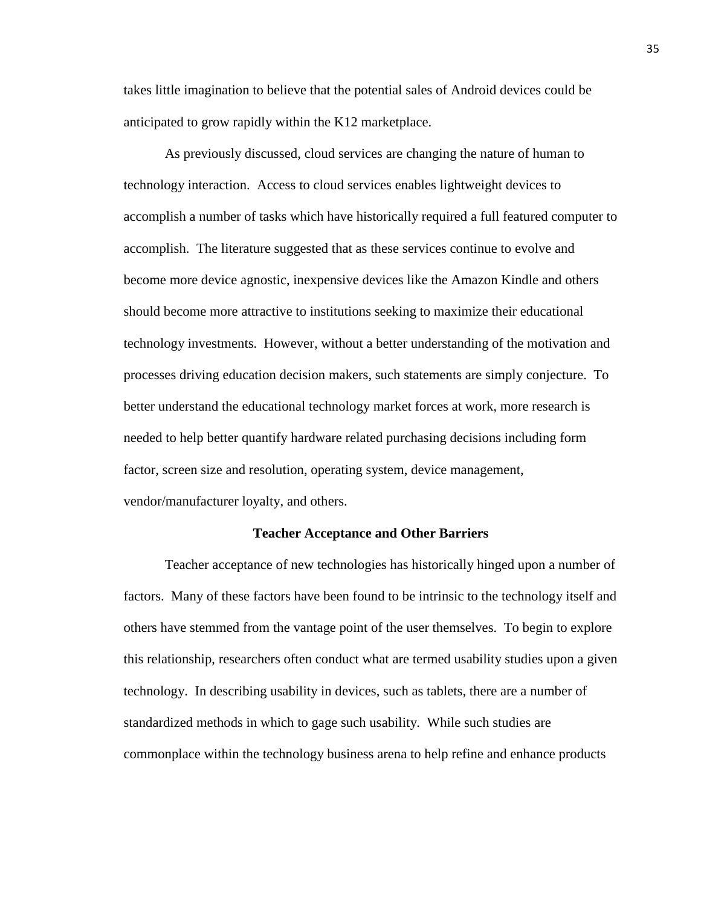takes little imagination to believe that the potential sales of Android devices could be anticipated to grow rapidly within the K12 marketplace.

As previously discussed, cloud services are changing the nature of human to technology interaction. Access to cloud services enables lightweight devices to accomplish a number of tasks which have historically required a full featured computer to accomplish. The literature suggested that as these services continue to evolve and become more device agnostic, inexpensive devices like the Amazon Kindle and others should become more attractive to institutions seeking to maximize their educational technology investments. However, without a better understanding of the motivation and processes driving education decision makers, such statements are simply conjecture. To better understand the educational technology market forces at work, more research is needed to help better quantify hardware related purchasing decisions including form factor, screen size and resolution, operating system, device management, vendor/manufacturer loyalty, and others.

# **Teacher Acceptance and Other Barriers**

Teacher acceptance of new technologies has historically hinged upon a number of factors. Many of these factors have been found to be intrinsic to the technology itself and others have stemmed from the vantage point of the user themselves. To begin to explore this relationship, researchers often conduct what are termed usability studies upon a given technology. In describing usability in devices, such as tablets, there are a number of standardized methods in which to gage such usability. While such studies are commonplace within the technology business arena to help refine and enhance products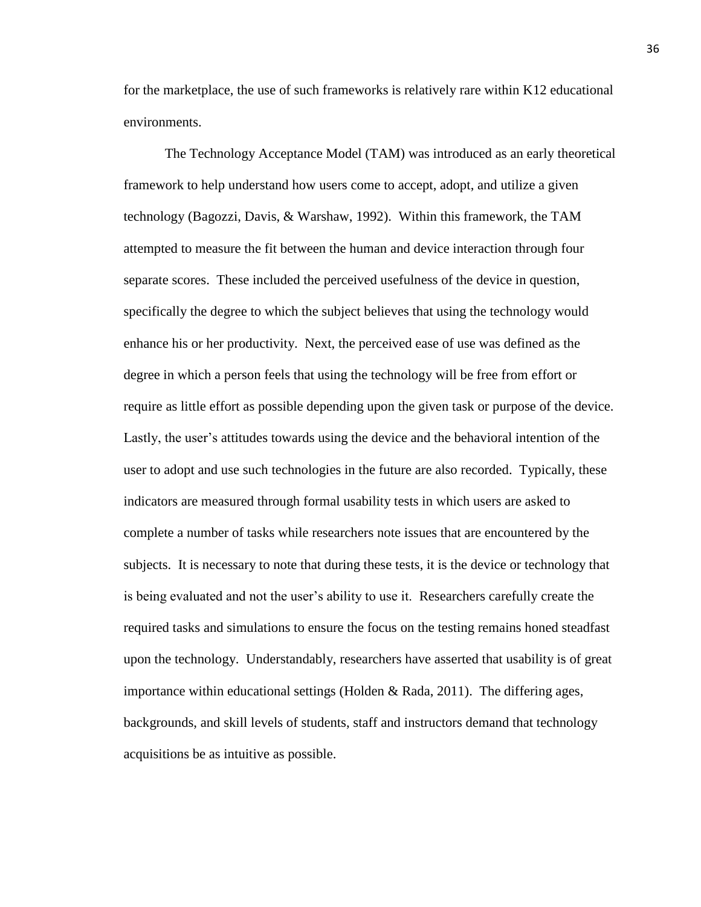for the marketplace, the use of such frameworks is relatively rare within K12 educational environments.

The Technology Acceptance Model (TAM) was introduced as an early theoretical framework to help understand how users come to accept, adopt, and utilize a given technology (Bagozzi, Davis, & Warshaw, 1992). Within this framework, the TAM attempted to measure the fit between the human and device interaction through four separate scores. These included the perceived usefulness of the device in question, specifically the degree to which the subject believes that using the technology would enhance his or her productivity. Next, the perceived ease of use was defined as the degree in which a person feels that using the technology will be free from effort or require as little effort as possible depending upon the given task or purpose of the device. Lastly, the user's attitudes towards using the device and the behavioral intention of the user to adopt and use such technologies in the future are also recorded. Typically, these indicators are measured through formal usability tests in which users are asked to complete a number of tasks while researchers note issues that are encountered by the subjects. It is necessary to note that during these tests, it is the device or technology that is being evaluated and not the user's ability to use it. Researchers carefully create the required tasks and simulations to ensure the focus on the testing remains honed steadfast upon the technology. Understandably, researchers have asserted that usability is of great importance within educational settings (Holden  $\&$  Rada, 2011). The differing ages, backgrounds, and skill levels of students, staff and instructors demand that technology acquisitions be as intuitive as possible.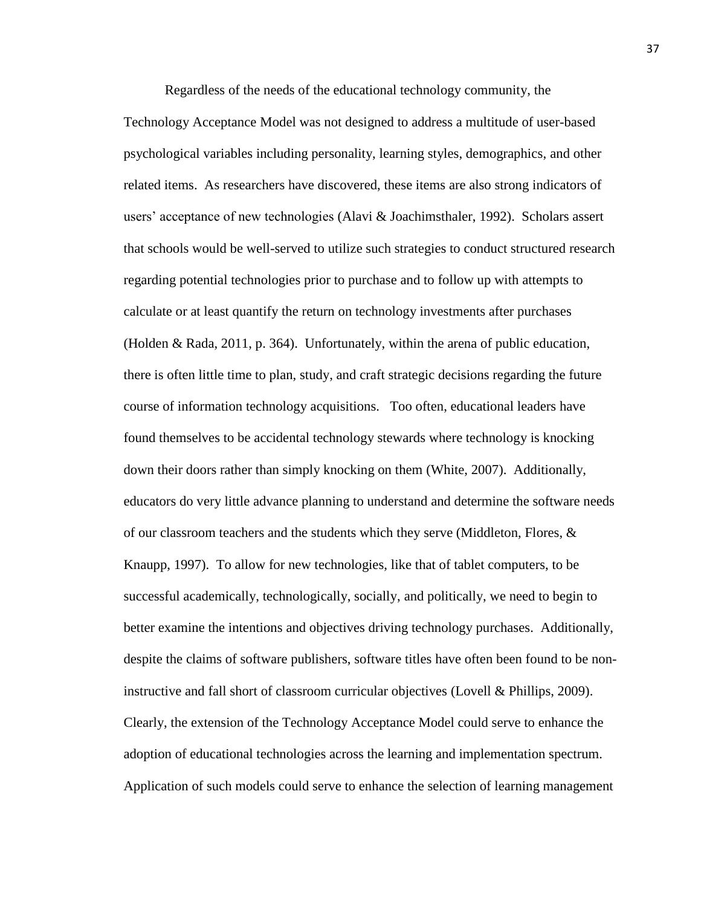Regardless of the needs of the educational technology community, the

Technology Acceptance Model was not designed to address a multitude of user-based psychological variables including personality, learning styles, demographics, and other related items. As researchers have discovered, these items are also strong indicators of users' acceptance of new technologies (Alavi & Joachimsthaler, 1992). Scholars assert that schools would be well-served to utilize such strategies to conduct structured research regarding potential technologies prior to purchase and to follow up with attempts to calculate or at least quantify the return on technology investments after purchases (Holden & Rada, 2011, p. 364). Unfortunately, within the arena of public education, there is often little time to plan, study, and craft strategic decisions regarding the future course of information technology acquisitions. Too often, educational leaders have found themselves to be accidental technology stewards where technology is knocking down their doors rather than simply knocking on them (White, 2007). Additionally, educators do very little advance planning to understand and determine the software needs of our classroom teachers and the students which they serve (Middleton, Flores,  $\&$ Knaupp, 1997). To allow for new technologies, like that of tablet computers, to be successful academically, technologically, socially, and politically, we need to begin to better examine the intentions and objectives driving technology purchases. Additionally, despite the claims of software publishers, software titles have often been found to be noninstructive and fall short of classroom curricular objectives (Lovell & Phillips, 2009). Clearly, the extension of the Technology Acceptance Model could serve to enhance the adoption of educational technologies across the learning and implementation spectrum. Application of such models could serve to enhance the selection of learning management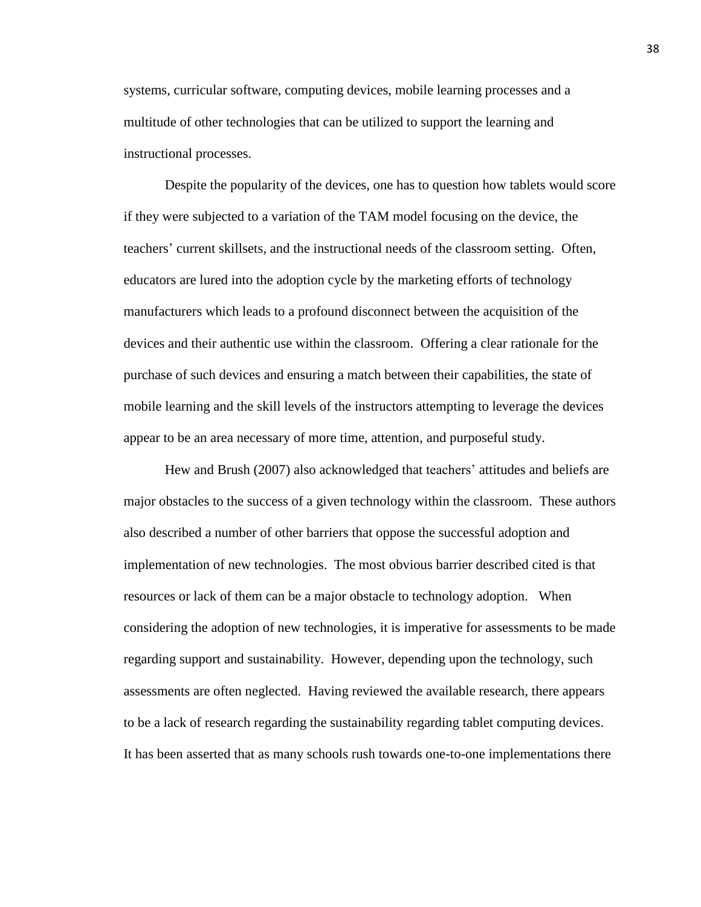systems, curricular software, computing devices, mobile learning processes and a multitude of other technologies that can be utilized to support the learning and instructional processes.

Despite the popularity of the devices, one has to question how tablets would score if they were subjected to a variation of the TAM model focusing on the device, the teachers' current skillsets, and the instructional needs of the classroom setting. Often, educators are lured into the adoption cycle by the marketing efforts of technology manufacturers which leads to a profound disconnect between the acquisition of the devices and their authentic use within the classroom. Offering a clear rationale for the purchase of such devices and ensuring a match between their capabilities, the state of mobile learning and the skill levels of the instructors attempting to leverage the devices appear to be an area necessary of more time, attention, and purposeful study.

Hew and Brush (2007) also acknowledged that teachers' attitudes and beliefs are major obstacles to the success of a given technology within the classroom. These authors also described a number of other barriers that oppose the successful adoption and implementation of new technologies. The most obvious barrier described cited is that resources or lack of them can be a major obstacle to technology adoption. When considering the adoption of new technologies, it is imperative for assessments to be made regarding support and sustainability. However, depending upon the technology, such assessments are often neglected. Having reviewed the available research, there appears to be a lack of research regarding the sustainability regarding tablet computing devices. It has been asserted that as many schools rush towards one-to-one implementations there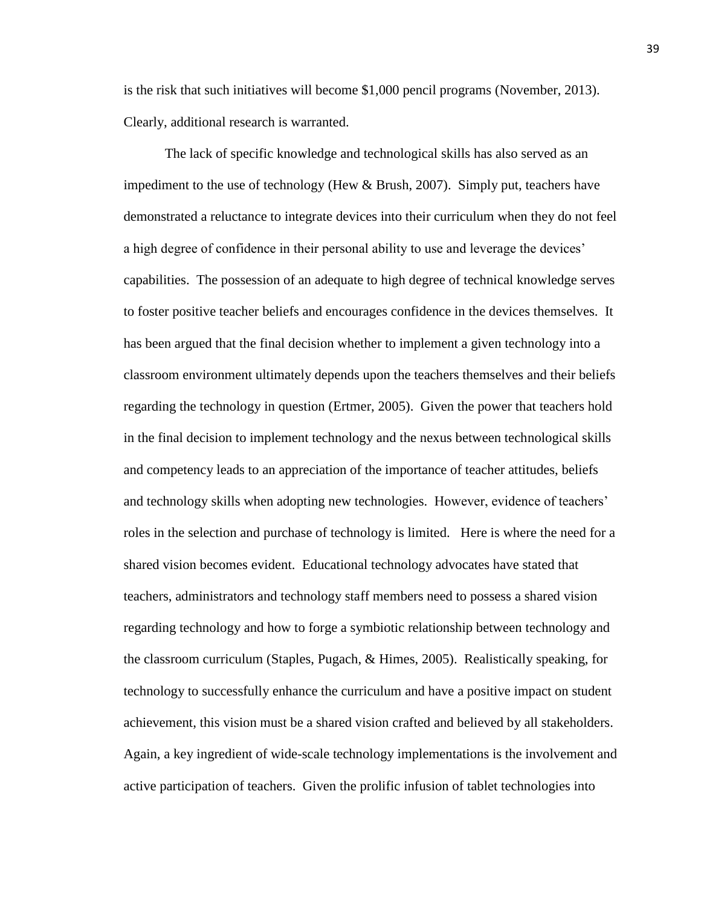is the risk that such initiatives will become \$1,000 pencil programs (November, 2013). Clearly, additional research is warranted.

The lack of specific knowledge and technological skills has also served as an impediment to the use of technology (Hew & Brush, 2007). Simply put, teachers have demonstrated a reluctance to integrate devices into their curriculum when they do not feel a high degree of confidence in their personal ability to use and leverage the devices' capabilities. The possession of an adequate to high degree of technical knowledge serves to foster positive teacher beliefs and encourages confidence in the devices themselves. It has been argued that the final decision whether to implement a given technology into a classroom environment ultimately depends upon the teachers themselves and their beliefs regarding the technology in question (Ertmer, 2005). Given the power that teachers hold in the final decision to implement technology and the nexus between technological skills and competency leads to an appreciation of the importance of teacher attitudes, beliefs and technology skills when adopting new technologies. However, evidence of teachers' roles in the selection and purchase of technology is limited. Here is where the need for a shared vision becomes evident. Educational technology advocates have stated that teachers, administrators and technology staff members need to possess a shared vision regarding technology and how to forge a symbiotic relationship between technology and the classroom curriculum (Staples, Pugach, & Himes, 2005). Realistically speaking, for technology to successfully enhance the curriculum and have a positive impact on student achievement, this vision must be a shared vision crafted and believed by all stakeholders. Again, a key ingredient of wide-scale technology implementations is the involvement and active participation of teachers. Given the prolific infusion of tablet technologies into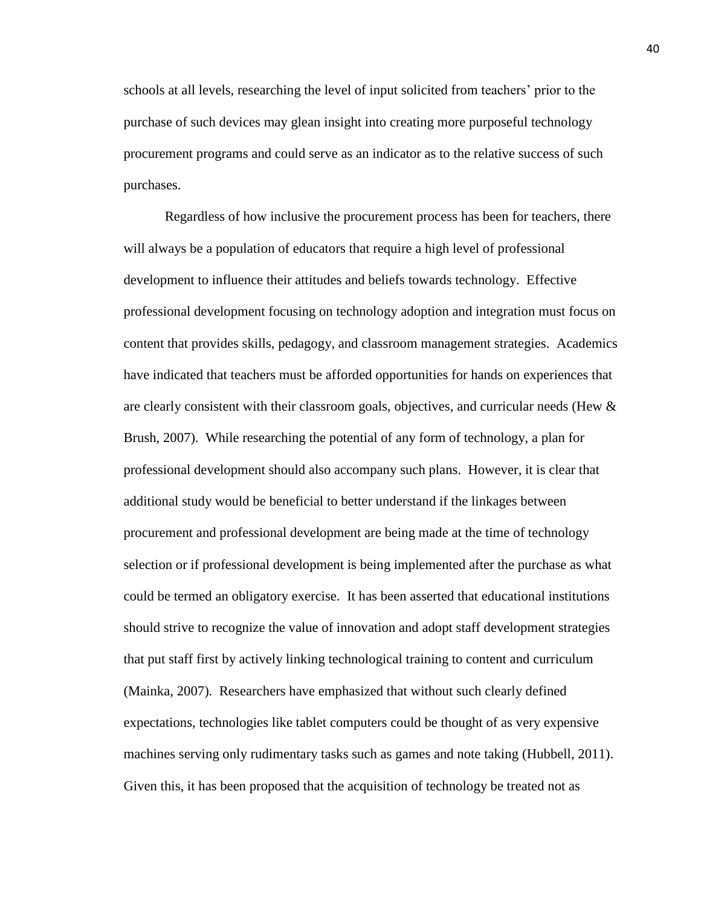schools at all levels, researching the level of input solicited from teachers' prior to the purchase of such devices may glean insight into creating more purposeful technology procurement programs and could serve as an indicator as to the relative success of such purchases.

Regardless of how inclusive the procurement process has been for teachers, there will always be a population of educators that require a high level of professional development to influence their attitudes and beliefs towards technology. Effective professional development focusing on technology adoption and integration must focus on content that provides skills, pedagogy, and classroom management strategies. Academics have indicated that teachers must be afforded opportunities for hands on experiences that are clearly consistent with their classroom goals, objectives, and curricular needs (Hew  $\&$ Brush, 2007). While researching the potential of any form of technology, a plan for professional development should also accompany such plans. However, it is clear that additional study would be beneficial to better understand if the linkages between procurement and professional development are being made at the time of technology selection or if professional development is being implemented after the purchase as what could be termed an obligatory exercise. It has been asserted that educational institutions should strive to recognize the value of innovation and adopt staff development strategies that put staff first by actively linking technological training to content and curriculum (Mainka, 2007). Researchers have emphasized that without such clearly defined expectations, technologies like tablet computers could be thought of as very expensive machines serving only rudimentary tasks such as games and note taking (Hubbell, 2011). Given this, it has been proposed that the acquisition of technology be treated not as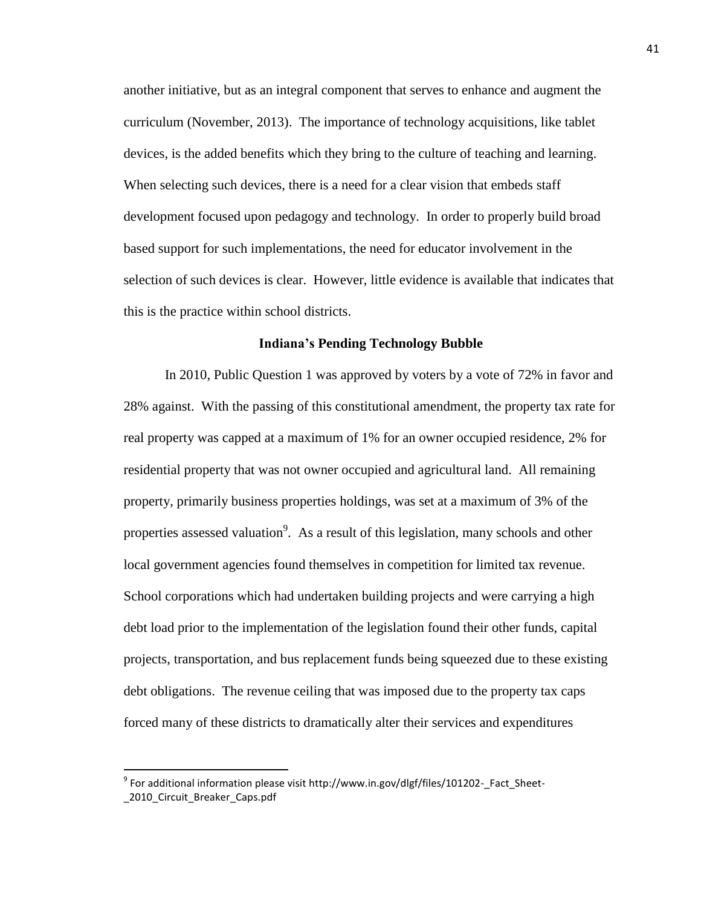another initiative, but as an integral component that serves to enhance and augment the curriculum (November, 2013). The importance of technology acquisitions, like tablet devices, is the added benefits which they bring to the culture of teaching and learning. When selecting such devices, there is a need for a clear vision that embeds staff development focused upon pedagogy and technology. In order to properly build broad based support for such implementations, the need for educator involvement in the selection of such devices is clear. However, little evidence is available that indicates that this is the practice within school districts.

# **Indiana's Pending Technology Bubble**

In 2010, Public Question 1 was approved by voters by a vote of 72% in favor and 28% against. With the passing of this constitutional amendment, the property tax rate for real property was capped at a maximum of 1% for an owner occupied residence, 2% for residential property that was not owner occupied and agricultural land. All remaining property, primarily business properties holdings, was set at a maximum of 3% of the properties assessed valuation<sup>9</sup>. As a result of this legislation, many schools and other local government agencies found themselves in competition for limited tax revenue. School corporations which had undertaken building projects and were carrying a high debt load prior to the implementation of the legislation found their other funds, capital projects, transportation, and bus replacement funds being squeezed due to these existing debt obligations. The revenue ceiling that was imposed due to the property tax caps forced many of these districts to dramatically alter their services and expenditures

l

<sup>&</sup>lt;sup>9</sup> For additional information please visit http://www.in.gov/dlgf/files/101202-\_Fact\_Sheet-2010 Circuit Breaker Caps.pdf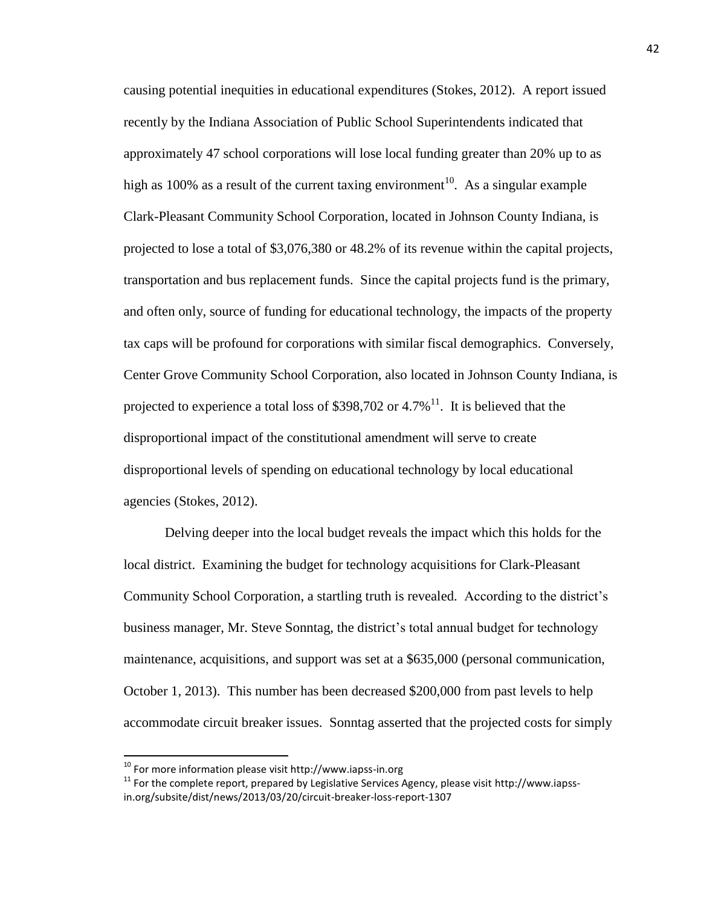causing potential inequities in educational expenditures (Stokes, 2012). A report issued recently by the Indiana Association of Public School Superintendents indicated that approximately 47 school corporations will lose local funding greater than 20% up to as high as 100% as a result of the current taxing environment<sup>10</sup>. As a singular example Clark-Pleasant Community School Corporation, located in Johnson County Indiana, is projected to lose a total of \$3,076,380 or 48.2% of its revenue within the capital projects, transportation and bus replacement funds. Since the capital projects fund is the primary, and often only, source of funding for educational technology, the impacts of the property tax caps will be profound for corporations with similar fiscal demographics. Conversely, Center Grove Community School Corporation, also located in Johnson County Indiana, is projected to experience a total loss of \$398,702 or  $4.7\%$ <sup>11</sup>. It is believed that the disproportional impact of the constitutional amendment will serve to create disproportional levels of spending on educational technology by local educational agencies (Stokes, 2012).

Delving deeper into the local budget reveals the impact which this holds for the local district. Examining the budget for technology acquisitions for Clark-Pleasant Community School Corporation, a startling truth is revealed. According to the district's business manager, Mr. Steve Sonntag, the district's total annual budget for technology maintenance, acquisitions, and support was set at a \$635,000 (personal communication, October 1, 2013). This number has been decreased \$200,000 from past levels to help accommodate circuit breaker issues. Sonntag asserted that the projected costs for simply

 $\overline{\phantom{a}}$ 

 $^{10}$  For more information please visit http://www.iapss-in.org

 $11$  For the complete report, prepared by Legislative Services Agency, please visit http://www.iapssin.org/subsite/dist/news/2013/03/20/circuit-breaker-loss-report-1307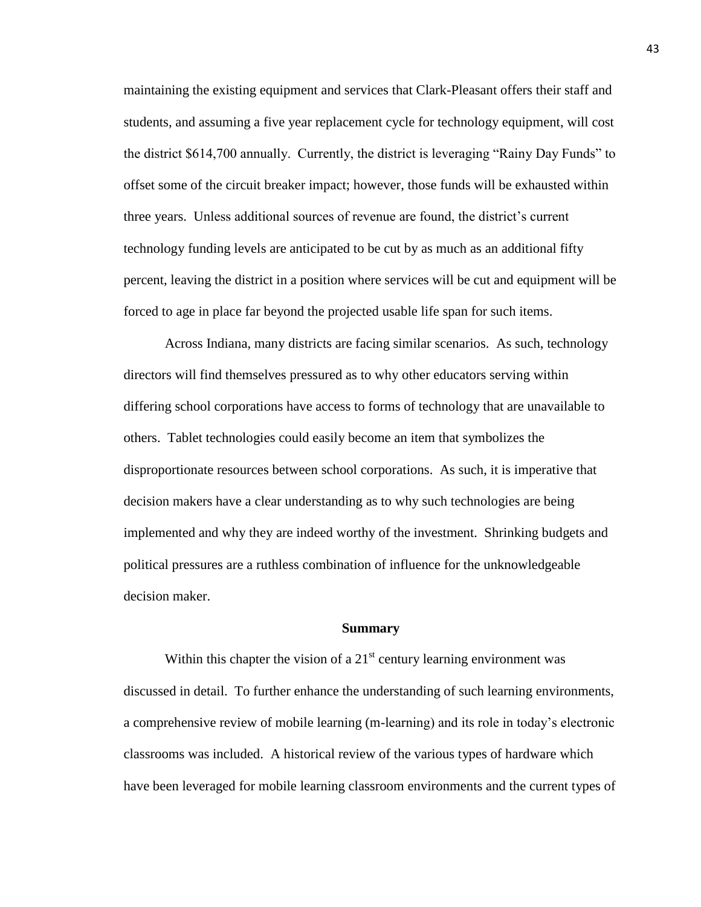maintaining the existing equipment and services that Clark-Pleasant offers their staff and students, and assuming a five year replacement cycle for technology equipment, will cost the district \$614,700 annually. Currently, the district is leveraging "Rainy Day Funds" to offset some of the circuit breaker impact; however, those funds will be exhausted within three years. Unless additional sources of revenue are found, the district's current technology funding levels are anticipated to be cut by as much as an additional fifty percent, leaving the district in a position where services will be cut and equipment will be forced to age in place far beyond the projected usable life span for such items.

Across Indiana, many districts are facing similar scenarios. As such, technology directors will find themselves pressured as to why other educators serving within differing school corporations have access to forms of technology that are unavailable to others. Tablet technologies could easily become an item that symbolizes the disproportionate resources between school corporations. As such, it is imperative that decision makers have a clear understanding as to why such technologies are being implemented and why they are indeed worthy of the investment. Shrinking budgets and political pressures are a ruthless combination of influence for the unknowledgeable decision maker.

#### **Summary**

Within this chapter the vision of a  $21<sup>st</sup>$  century learning environment was discussed in detail. To further enhance the understanding of such learning environments, a comprehensive review of mobile learning (m-learning) and its role in today's electronic classrooms was included. A historical review of the various types of hardware which have been leveraged for mobile learning classroom environments and the current types of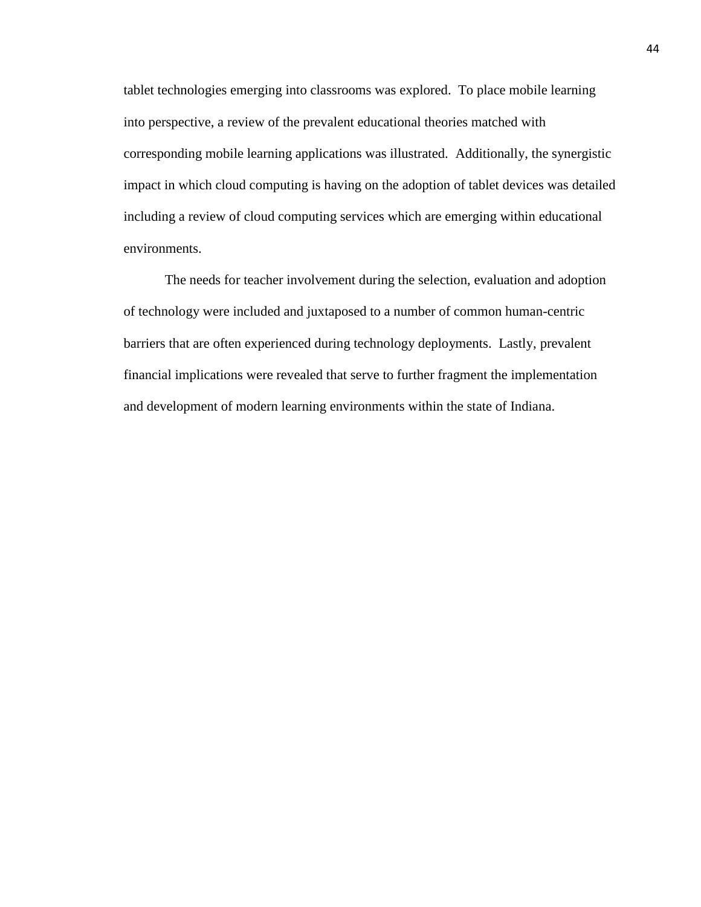tablet technologies emerging into classrooms was explored. To place mobile learning into perspective, a review of the prevalent educational theories matched with corresponding mobile learning applications was illustrated. Additionally, the synergistic impact in which cloud computing is having on the adoption of tablet devices was detailed including a review of cloud computing services which are emerging within educational environments.

The needs for teacher involvement during the selection, evaluation and adoption of technology were included and juxtaposed to a number of common human-centric barriers that are often experienced during technology deployments. Lastly, prevalent financial implications were revealed that serve to further fragment the implementation and development of modern learning environments within the state of Indiana.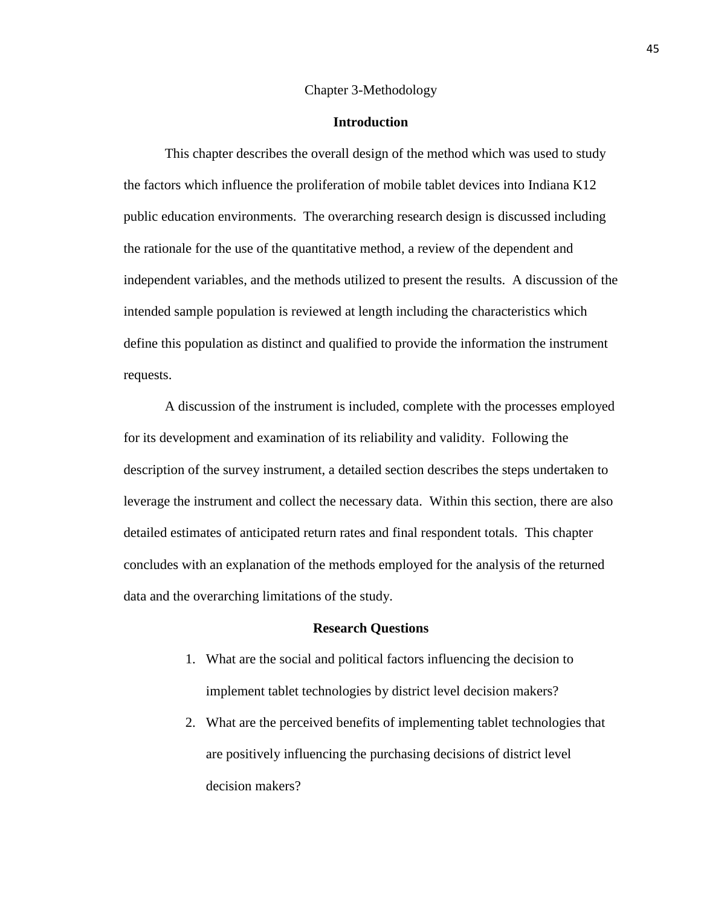#### Chapter 3-Methodology

# **Introduction**

This chapter describes the overall design of the method which was used to study the factors which influence the proliferation of mobile tablet devices into Indiana K12 public education environments. The overarching research design is discussed including the rationale for the use of the quantitative method, a review of the dependent and independent variables, and the methods utilized to present the results. A discussion of the intended sample population is reviewed at length including the characteristics which define this population as distinct and qualified to provide the information the instrument requests.

A discussion of the instrument is included, complete with the processes employed for its development and examination of its reliability and validity. Following the description of the survey instrument, a detailed section describes the steps undertaken to leverage the instrument and collect the necessary data. Within this section, there are also detailed estimates of anticipated return rates and final respondent totals. This chapter concludes with an explanation of the methods employed for the analysis of the returned data and the overarching limitations of the study.

#### **Research Questions**

- 1. What are the social and political factors influencing the decision to implement tablet technologies by district level decision makers?
- 2. What are the perceived benefits of implementing tablet technologies that are positively influencing the purchasing decisions of district level decision makers?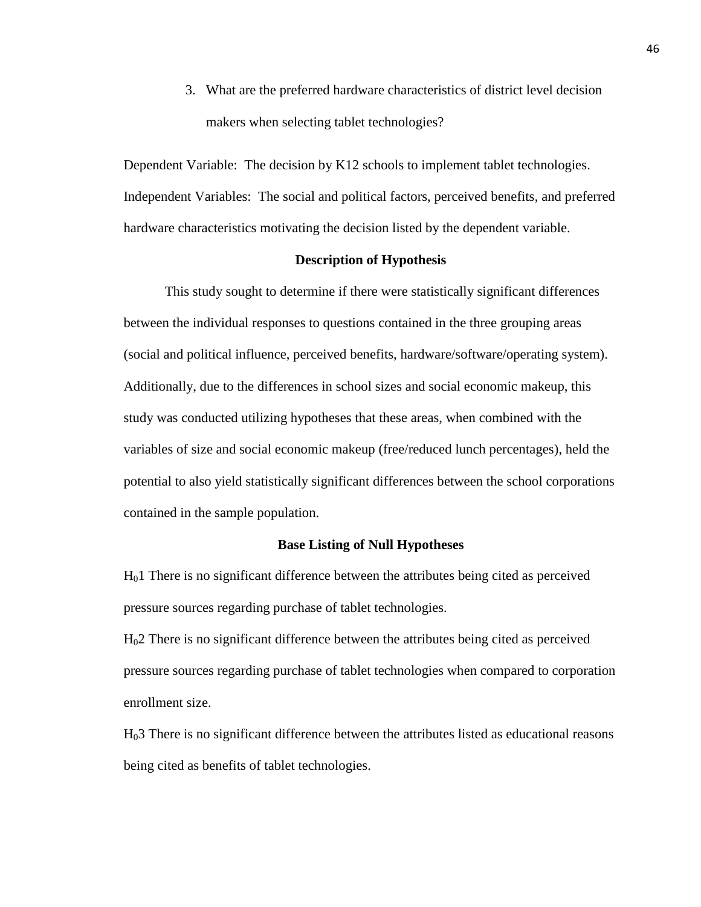3. What are the preferred hardware characteristics of district level decision makers when selecting tablet technologies?

Dependent Variable: The decision by K12 schools to implement tablet technologies. Independent Variables: The social and political factors, perceived benefits, and preferred hardware characteristics motivating the decision listed by the dependent variable.

# **Description of Hypothesis**

This study sought to determine if there were statistically significant differences between the individual responses to questions contained in the three grouping areas (social and political influence, perceived benefits, hardware/software/operating system). Additionally, due to the differences in school sizes and social economic makeup, this study was conducted utilizing hypotheses that these areas, when combined with the variables of size and social economic makeup (free/reduced lunch percentages), held the potential to also yield statistically significant differences between the school corporations contained in the sample population.

## **Base Listing of Null Hypotheses**

H01 There is no significant difference between the attributes being cited as perceived pressure sources regarding purchase of tablet technologies.

H02 There is no significant difference between the attributes being cited as perceived pressure sources regarding purchase of tablet technologies when compared to corporation enrollment size.

H03 There is no significant difference between the attributes listed as educational reasons being cited as benefits of tablet technologies.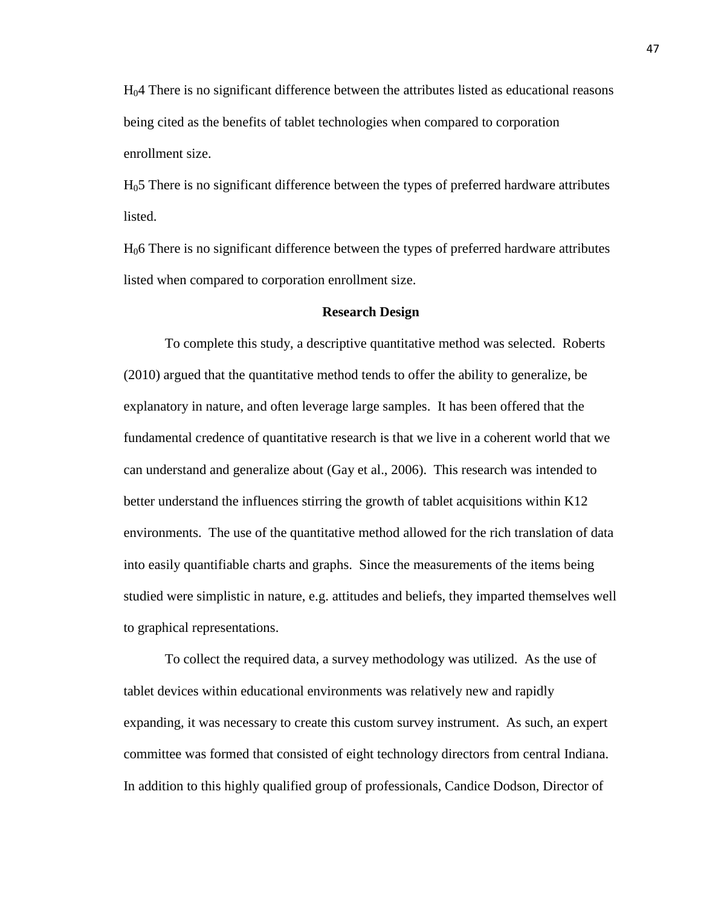H04 There is no significant difference between the attributes listed as educational reasons being cited as the benefits of tablet technologies when compared to corporation enrollment size.

H05 There is no significant difference between the types of preferred hardware attributes listed.

H06 There is no significant difference between the types of preferred hardware attributes listed when compared to corporation enrollment size.

#### **Research Design**

To complete this study, a descriptive quantitative method was selected. Roberts (2010) argued that the quantitative method tends to offer the ability to generalize, be explanatory in nature, and often leverage large samples. It has been offered that the fundamental credence of quantitative research is that we live in a coherent world that we can understand and generalize about (Gay et al., 2006). This research was intended to better understand the influences stirring the growth of tablet acquisitions within K12 environments. The use of the quantitative method allowed for the rich translation of data into easily quantifiable charts and graphs. Since the measurements of the items being studied were simplistic in nature, e.g. attitudes and beliefs, they imparted themselves well to graphical representations.

To collect the required data, a survey methodology was utilized. As the use of tablet devices within educational environments was relatively new and rapidly expanding, it was necessary to create this custom survey instrument. As such, an expert committee was formed that consisted of eight technology directors from central Indiana. In addition to this highly qualified group of professionals, Candice Dodson, Director of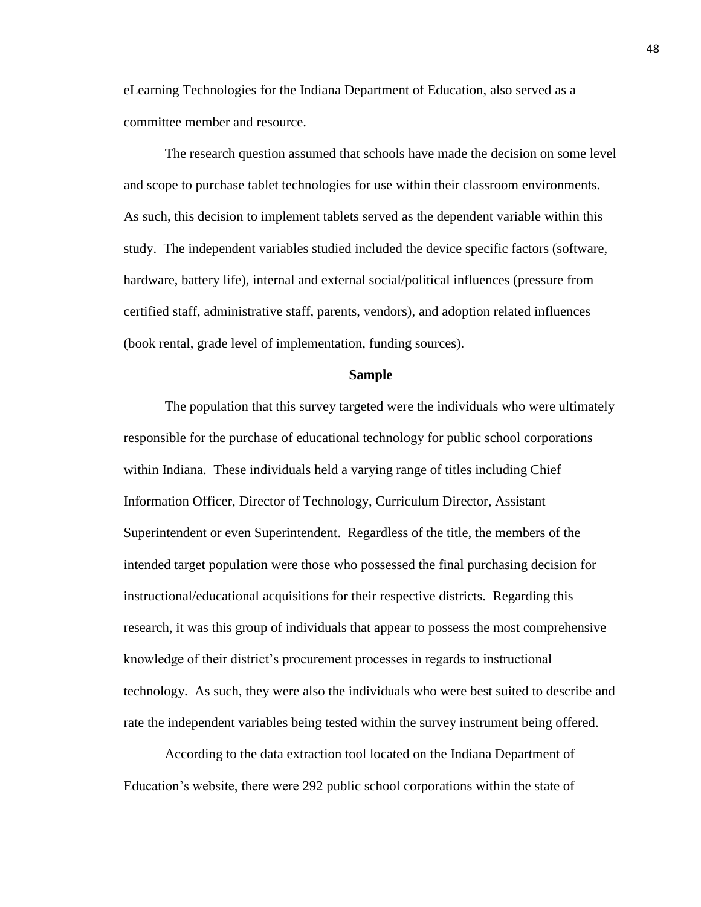eLearning Technologies for the Indiana Department of Education, also served as a committee member and resource.

The research question assumed that schools have made the decision on some level and scope to purchase tablet technologies for use within their classroom environments. As such, this decision to implement tablets served as the dependent variable within this study. The independent variables studied included the device specific factors (software, hardware, battery life), internal and external social/political influences (pressure from certified staff, administrative staff, parents, vendors), and adoption related influences (book rental, grade level of implementation, funding sources).

## **Sample**

The population that this survey targeted were the individuals who were ultimately responsible for the purchase of educational technology for public school corporations within Indiana. These individuals held a varying range of titles including Chief Information Officer, Director of Technology, Curriculum Director, Assistant Superintendent or even Superintendent. Regardless of the title, the members of the intended target population were those who possessed the final purchasing decision for instructional/educational acquisitions for their respective districts. Regarding this research, it was this group of individuals that appear to possess the most comprehensive knowledge of their district's procurement processes in regards to instructional technology. As such, they were also the individuals who were best suited to describe and rate the independent variables being tested within the survey instrument being offered.

According to the data extraction tool located on the Indiana Department of Education's website, there were 292 public school corporations within the state of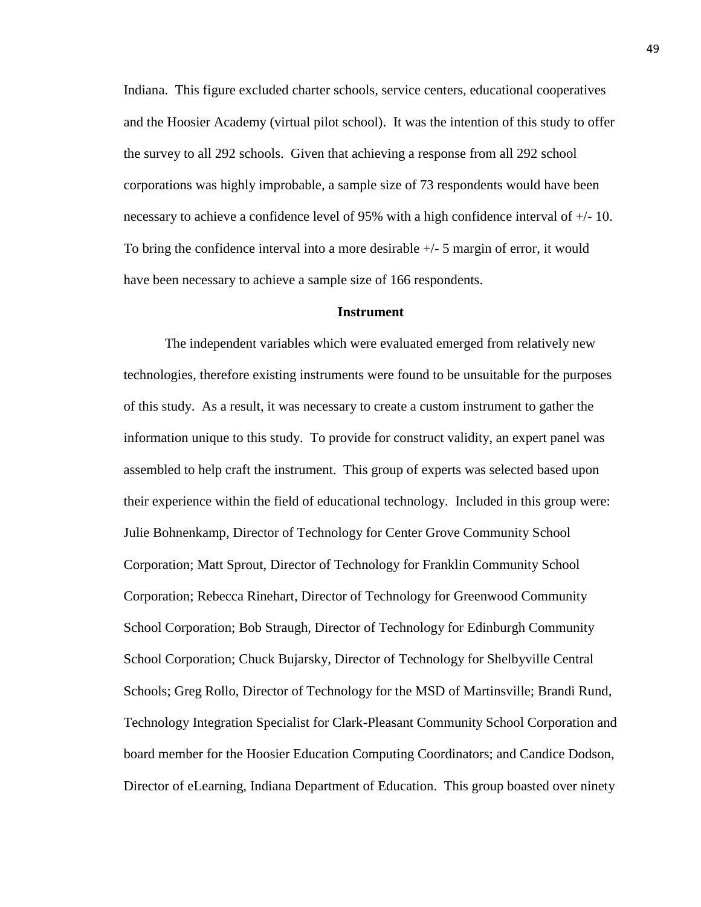Indiana. This figure excluded charter schools, service centers, educational cooperatives and the Hoosier Academy (virtual pilot school). It was the intention of this study to offer the survey to all 292 schools. Given that achieving a response from all 292 school corporations was highly improbable, a sample size of 73 respondents would have been necessary to achieve a confidence level of 95% with a high confidence interval of +/- 10. To bring the confidence interval into a more desirable +/- 5 margin of error, it would have been necessary to achieve a sample size of 166 respondents.

#### **Instrument**

The independent variables which were evaluated emerged from relatively new technologies, therefore existing instruments were found to be unsuitable for the purposes of this study. As a result, it was necessary to create a custom instrument to gather the information unique to this study. To provide for construct validity, an expert panel was assembled to help craft the instrument. This group of experts was selected based upon their experience within the field of educational technology. Included in this group were: Julie Bohnenkamp, Director of Technology for Center Grove Community School Corporation; Matt Sprout, Director of Technology for Franklin Community School Corporation; Rebecca Rinehart, Director of Technology for Greenwood Community School Corporation; Bob Straugh, Director of Technology for Edinburgh Community School Corporation; Chuck Bujarsky, Director of Technology for Shelbyville Central Schools; Greg Rollo, Director of Technology for the MSD of Martinsville; Brandi Rund, Technology Integration Specialist for Clark-Pleasant Community School Corporation and board member for the Hoosier Education Computing Coordinators; and Candice Dodson, Director of eLearning, Indiana Department of Education. This group boasted over ninety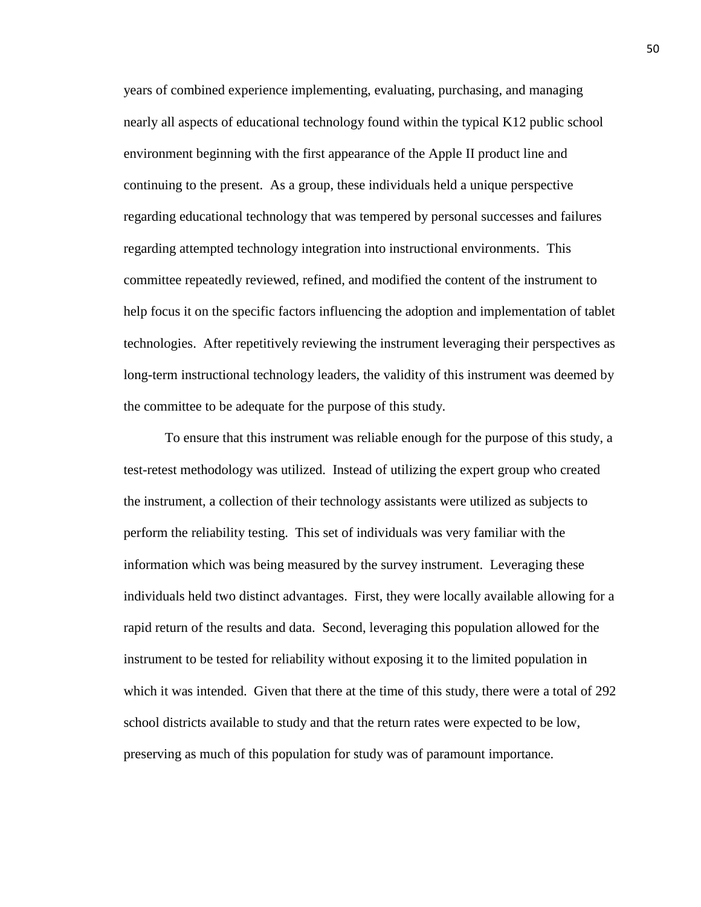years of combined experience implementing, evaluating, purchasing, and managing nearly all aspects of educational technology found within the typical K12 public school environment beginning with the first appearance of the Apple II product line and continuing to the present. As a group, these individuals held a unique perspective regarding educational technology that was tempered by personal successes and failures regarding attempted technology integration into instructional environments. This committee repeatedly reviewed, refined, and modified the content of the instrument to help focus it on the specific factors influencing the adoption and implementation of tablet technologies. After repetitively reviewing the instrument leveraging their perspectives as long-term instructional technology leaders, the validity of this instrument was deemed by the committee to be adequate for the purpose of this study.

To ensure that this instrument was reliable enough for the purpose of this study, a test-retest methodology was utilized. Instead of utilizing the expert group who created the instrument, a collection of their technology assistants were utilized as subjects to perform the reliability testing. This set of individuals was very familiar with the information which was being measured by the survey instrument. Leveraging these individuals held two distinct advantages. First, they were locally available allowing for a rapid return of the results and data. Second, leveraging this population allowed for the instrument to be tested for reliability without exposing it to the limited population in which it was intended. Given that there at the time of this study, there were a total of 292 school districts available to study and that the return rates were expected to be low, preserving as much of this population for study was of paramount importance.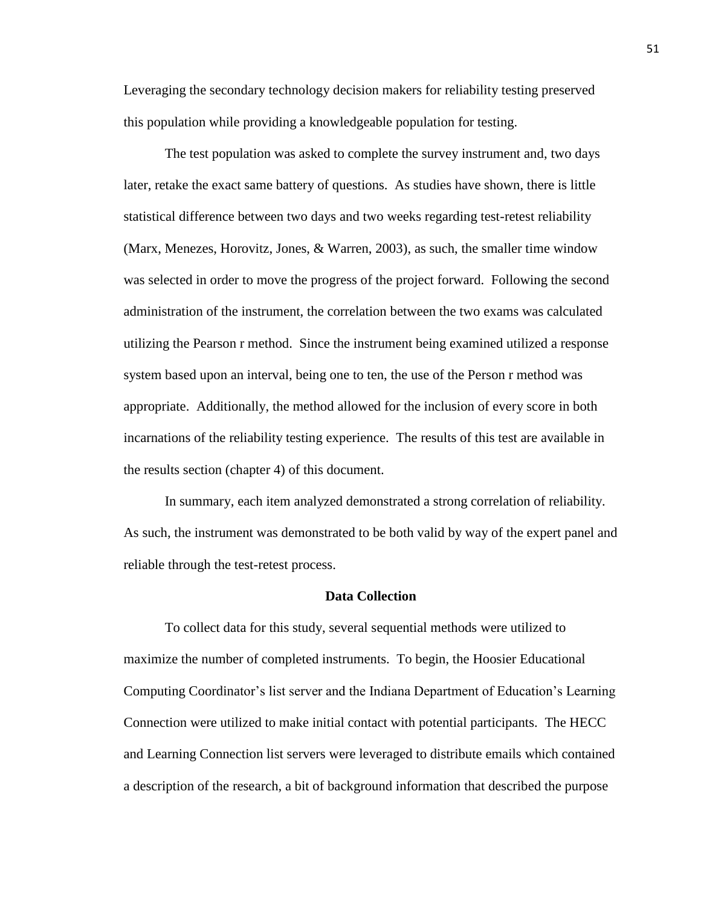Leveraging the secondary technology decision makers for reliability testing preserved this population while providing a knowledgeable population for testing.

The test population was asked to complete the survey instrument and, two days later, retake the exact same battery of questions. As studies have shown, there is little statistical difference between two days and two weeks regarding test-retest reliability (Marx, Menezes, Horovitz, Jones, & Warren, 2003), as such, the smaller time window was selected in order to move the progress of the project forward. Following the second administration of the instrument, the correlation between the two exams was calculated utilizing the Pearson r method. Since the instrument being examined utilized a response system based upon an interval, being one to ten, the use of the Person r method was appropriate. Additionally, the method allowed for the inclusion of every score in both incarnations of the reliability testing experience. The results of this test are available in the results section (chapter 4) of this document.

In summary, each item analyzed demonstrated a strong correlation of reliability. As such, the instrument was demonstrated to be both valid by way of the expert panel and reliable through the test-retest process.

# **Data Collection**

To collect data for this study, several sequential methods were utilized to maximize the number of completed instruments. To begin, the Hoosier Educational Computing Coordinator's list server and the Indiana Department of Education's Learning Connection were utilized to make initial contact with potential participants. The HECC and Learning Connection list servers were leveraged to distribute emails which contained a description of the research, a bit of background information that described the purpose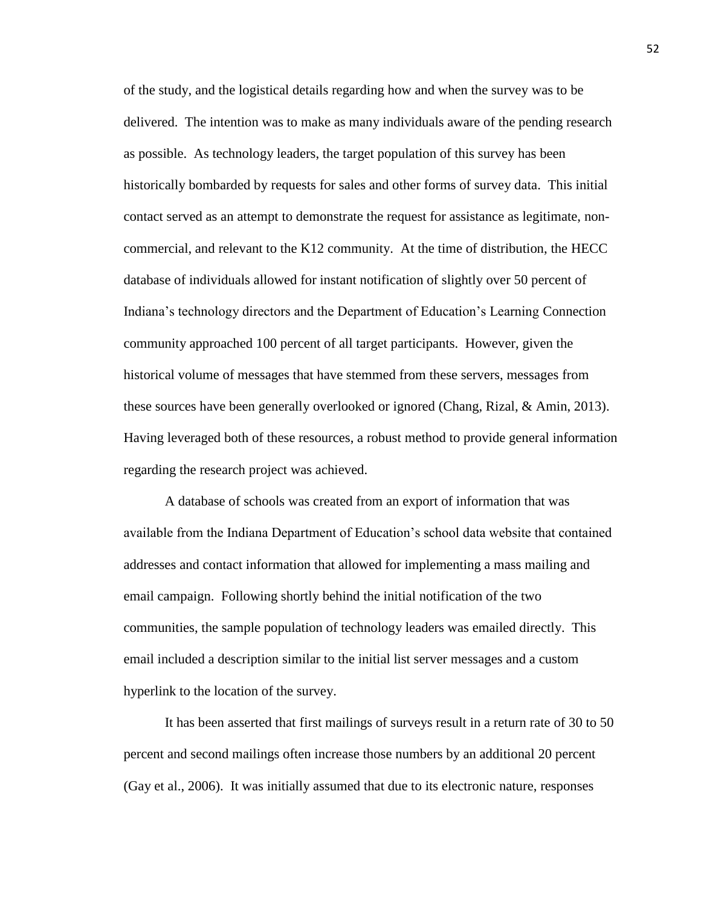of the study, and the logistical details regarding how and when the survey was to be delivered. The intention was to make as many individuals aware of the pending research as possible. As technology leaders, the target population of this survey has been historically bombarded by requests for sales and other forms of survey data. This initial contact served as an attempt to demonstrate the request for assistance as legitimate, noncommercial, and relevant to the K12 community. At the time of distribution, the HECC database of individuals allowed for instant notification of slightly over 50 percent of Indiana's technology directors and the Department of Education's Learning Connection community approached 100 percent of all target participants. However, given the historical volume of messages that have stemmed from these servers, messages from these sources have been generally overlooked or ignored (Chang, Rizal, & Amin, 2013). Having leveraged both of these resources, a robust method to provide general information regarding the research project was achieved.

A database of schools was created from an export of information that was available from the Indiana Department of Education's school data website that contained addresses and contact information that allowed for implementing a mass mailing and email campaign. Following shortly behind the initial notification of the two communities, the sample population of technology leaders was emailed directly. This email included a description similar to the initial list server messages and a custom hyperlink to the location of the survey.

It has been asserted that first mailings of surveys result in a return rate of 30 to 50 percent and second mailings often increase those numbers by an additional 20 percent (Gay et al., 2006). It was initially assumed that due to its electronic nature, responses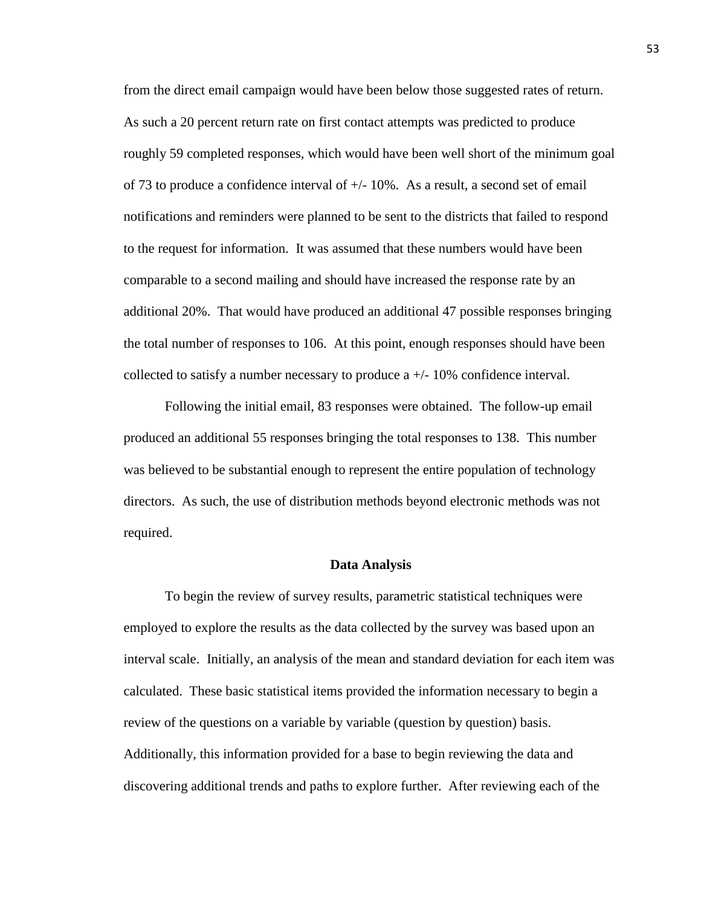from the direct email campaign would have been below those suggested rates of return. As such a 20 percent return rate on first contact attempts was predicted to produce roughly 59 completed responses, which would have been well short of the minimum goal of 73 to produce a confidence interval of  $\pm$ /-10%. As a result, a second set of email notifications and reminders were planned to be sent to the districts that failed to respond to the request for information. It was assumed that these numbers would have been comparable to a second mailing and should have increased the response rate by an additional 20%. That would have produced an additional 47 possible responses bringing the total number of responses to 106. At this point, enough responses should have been collected to satisfy a number necessary to produce  $a +/-10\%$  confidence interval.

Following the initial email, 83 responses were obtained. The follow-up email produced an additional 55 responses bringing the total responses to 138. This number was believed to be substantial enough to represent the entire population of technology directors. As such, the use of distribution methods beyond electronic methods was not required.

#### **Data Analysis**

To begin the review of survey results, parametric statistical techniques were employed to explore the results as the data collected by the survey was based upon an interval scale. Initially, an analysis of the mean and standard deviation for each item was calculated. These basic statistical items provided the information necessary to begin a review of the questions on a variable by variable (question by question) basis. Additionally, this information provided for a base to begin reviewing the data and discovering additional trends and paths to explore further. After reviewing each of the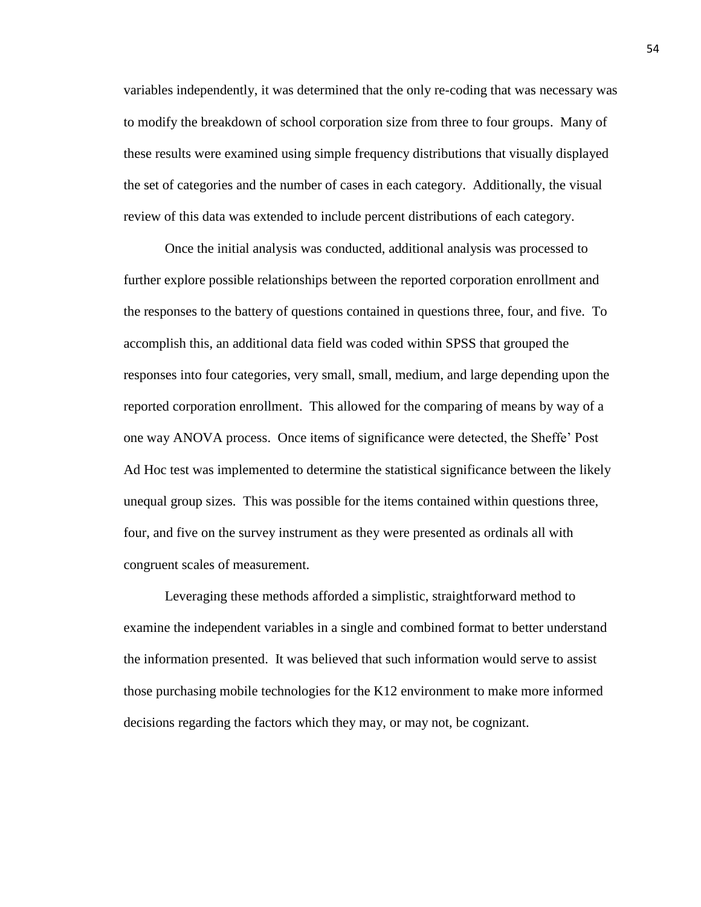variables independently, it was determined that the only re-coding that was necessary was to modify the breakdown of school corporation size from three to four groups. Many of these results were examined using simple frequency distributions that visually displayed the set of categories and the number of cases in each category. Additionally, the visual review of this data was extended to include percent distributions of each category.

Once the initial analysis was conducted, additional analysis was processed to further explore possible relationships between the reported corporation enrollment and the responses to the battery of questions contained in questions three, four, and five. To accomplish this, an additional data field was coded within SPSS that grouped the responses into four categories, very small, small, medium, and large depending upon the reported corporation enrollment. This allowed for the comparing of means by way of a one way ANOVA process. Once items of significance were detected, the Sheffe' Post Ad Hoc test was implemented to determine the statistical significance between the likely unequal group sizes. This was possible for the items contained within questions three, four, and five on the survey instrument as they were presented as ordinals all with congruent scales of measurement.

Leveraging these methods afforded a simplistic, straightforward method to examine the independent variables in a single and combined format to better understand the information presented. It was believed that such information would serve to assist those purchasing mobile technologies for the K12 environment to make more informed decisions regarding the factors which they may, or may not, be cognizant.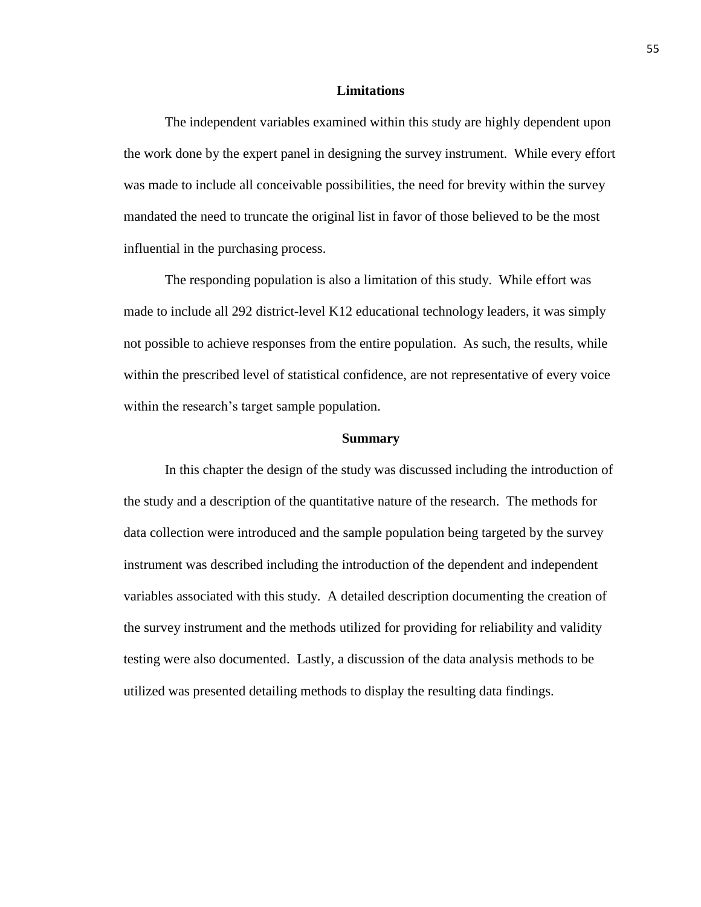# **Limitations**

The independent variables examined within this study are highly dependent upon the work done by the expert panel in designing the survey instrument. While every effort was made to include all conceivable possibilities, the need for brevity within the survey mandated the need to truncate the original list in favor of those believed to be the most influential in the purchasing process.

The responding population is also a limitation of this study. While effort was made to include all 292 district-level K12 educational technology leaders, it was simply not possible to achieve responses from the entire population. As such, the results, while within the prescribed level of statistical confidence, are not representative of every voice within the research's target sample population.

#### **Summary**

In this chapter the design of the study was discussed including the introduction of the study and a description of the quantitative nature of the research. The methods for data collection were introduced and the sample population being targeted by the survey instrument was described including the introduction of the dependent and independent variables associated with this study. A detailed description documenting the creation of the survey instrument and the methods utilized for providing for reliability and validity testing were also documented. Lastly, a discussion of the data analysis methods to be utilized was presented detailing methods to display the resulting data findings.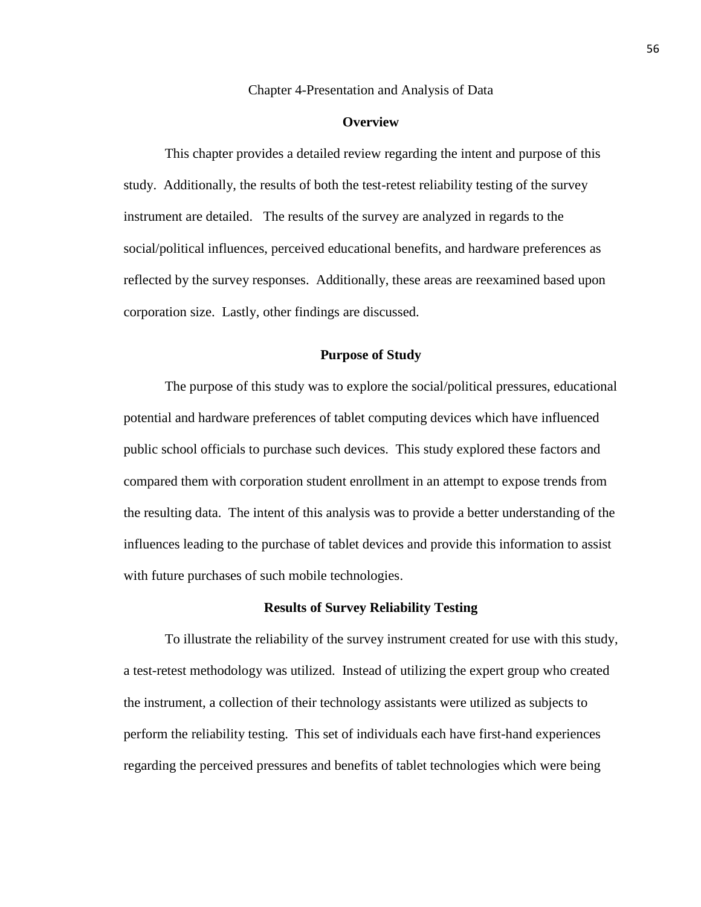#### Chapter 4-Presentation and Analysis of Data

# **Overview**

This chapter provides a detailed review regarding the intent and purpose of this study. Additionally, the results of both the test-retest reliability testing of the survey instrument are detailed. The results of the survey are analyzed in regards to the social/political influences, perceived educational benefits, and hardware preferences as reflected by the survey responses. Additionally, these areas are reexamined based upon corporation size. Lastly, other findings are discussed.

# **Purpose of Study**

The purpose of this study was to explore the social/political pressures, educational potential and hardware preferences of tablet computing devices which have influenced public school officials to purchase such devices. This study explored these factors and compared them with corporation student enrollment in an attempt to expose trends from the resulting data. The intent of this analysis was to provide a better understanding of the influences leading to the purchase of tablet devices and provide this information to assist with future purchases of such mobile technologies.

# **Results of Survey Reliability Testing**

To illustrate the reliability of the survey instrument created for use with this study, a test-retest methodology was utilized. Instead of utilizing the expert group who created the instrument, a collection of their technology assistants were utilized as subjects to perform the reliability testing. This set of individuals each have first-hand experiences regarding the perceived pressures and benefits of tablet technologies which were being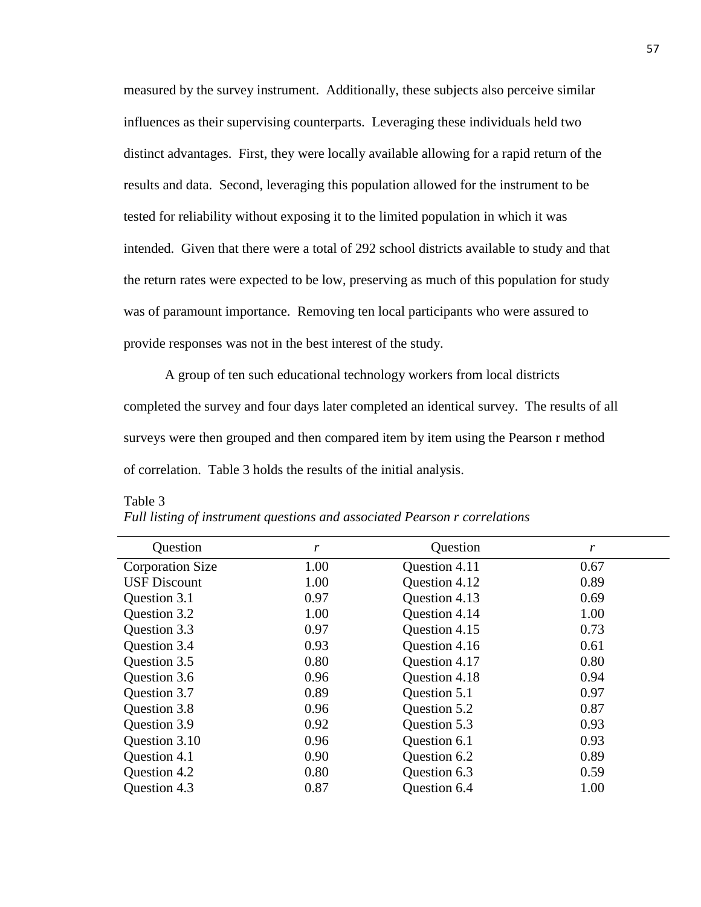measured by the survey instrument. Additionally, these subjects also perceive similar influences as their supervising counterparts. Leveraging these individuals held two distinct advantages. First, they were locally available allowing for a rapid return of the results and data. Second, leveraging this population allowed for the instrument to be tested for reliability without exposing it to the limited population in which it was intended. Given that there were a total of 292 school districts available to study and that the return rates were expected to be low, preserving as much of this population for study was of paramount importance. Removing ten local participants who were assured to provide responses was not in the best interest of the study.

A group of ten such educational technology workers from local districts completed the survey and four days later completed an identical survey. The results of all surveys were then grouped and then compared item by item using the Pearson r method of correlation. Table 3 holds the results of the initial analysis.

| Question                | r    | Question      | r    |
|-------------------------|------|---------------|------|
| <b>Corporation Size</b> | 1.00 | Question 4.11 | 0.67 |
| <b>USF Discount</b>     | 1.00 | Question 4.12 | 0.89 |
| Question 3.1            | 0.97 | Question 4.13 | 0.69 |
| Question 3.2            | 1.00 | Question 4.14 | 1.00 |
| Question 3.3            | 0.97 | Question 4.15 | 0.73 |
| Question 3.4            | 0.93 | Question 4.16 | 0.61 |
| Question 3.5            | 0.80 | Question 4.17 | 0.80 |
| Question 3.6            | 0.96 | Question 4.18 | 0.94 |
| Question 3.7            | 0.89 | Question 5.1  | 0.97 |
| Question 3.8            | 0.96 | Question 5.2  | 0.87 |
| Question 3.9            | 0.92 | Question 5.3  | 0.93 |
| Question 3.10           | 0.96 | Question 6.1  | 0.93 |
| Question 4.1            | 0.90 | Question 6.2  | 0.89 |
| Question 4.2            | 0.80 | Question 6.3  | 0.59 |
| Question 4.3            | 0.87 | Question 6.4  | 1.00 |

Table 3 *Full listing of instrument questions and associated Pearson r correlations*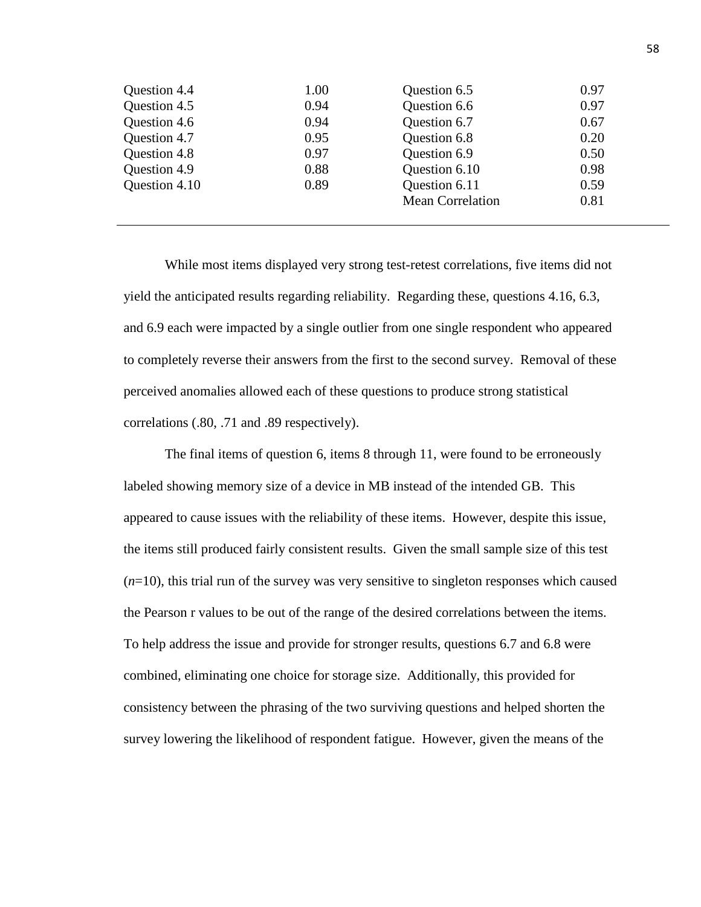| 0.97 |
|------|
| 0.67 |
| 0.20 |
| 0.50 |
| 0.98 |
| 0.59 |
| 0.81 |
|      |

While most items displayed very strong test-retest correlations, five items did not yield the anticipated results regarding reliability. Regarding these, questions 4.16, 6.3, and 6.9 each were impacted by a single outlier from one single respondent who appeared to completely reverse their answers from the first to the second survey. Removal of these perceived anomalies allowed each of these questions to produce strong statistical correlations (.80, .71 and .89 respectively).

The final items of question 6, items 8 through 11, were found to be erroneously labeled showing memory size of a device in MB instead of the intended GB. This appeared to cause issues with the reliability of these items. However, despite this issue, the items still produced fairly consistent results. Given the small sample size of this test  $(n=10)$ , this trial run of the survey was very sensitive to singleton responses which caused the Pearson r values to be out of the range of the desired correlations between the items. To help address the issue and provide for stronger results, questions 6.7 and 6.8 were combined, eliminating one choice for storage size. Additionally, this provided for consistency between the phrasing of the two surviving questions and helped shorten the survey lowering the likelihood of respondent fatigue. However, given the means of the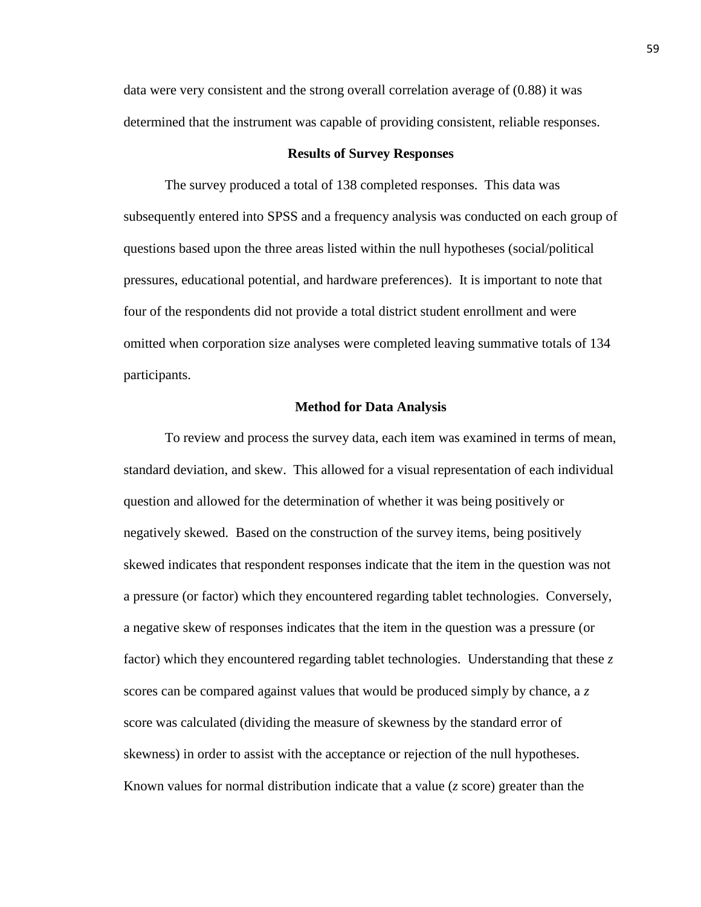data were very consistent and the strong overall correlation average of (0.88) it was determined that the instrument was capable of providing consistent, reliable responses.

#### **Results of Survey Responses**

The survey produced a total of 138 completed responses. This data was subsequently entered into SPSS and a frequency analysis was conducted on each group of questions based upon the three areas listed within the null hypotheses (social/political pressures, educational potential, and hardware preferences). It is important to note that four of the respondents did not provide a total district student enrollment and were omitted when corporation size analyses were completed leaving summative totals of 134 participants.

#### **Method for Data Analysis**

To review and process the survey data, each item was examined in terms of mean, standard deviation, and skew. This allowed for a visual representation of each individual question and allowed for the determination of whether it was being positively or negatively skewed. Based on the construction of the survey items, being positively skewed indicates that respondent responses indicate that the item in the question was not a pressure (or factor) which they encountered regarding tablet technologies. Conversely, a negative skew of responses indicates that the item in the question was a pressure (or factor) which they encountered regarding tablet technologies. Understanding that these *z* scores can be compared against values that would be produced simply by chance, a *z* score was calculated (dividing the measure of skewness by the standard error of skewness) in order to assist with the acceptance or rejection of the null hypotheses. Known values for normal distribution indicate that a value (*z* score) greater than the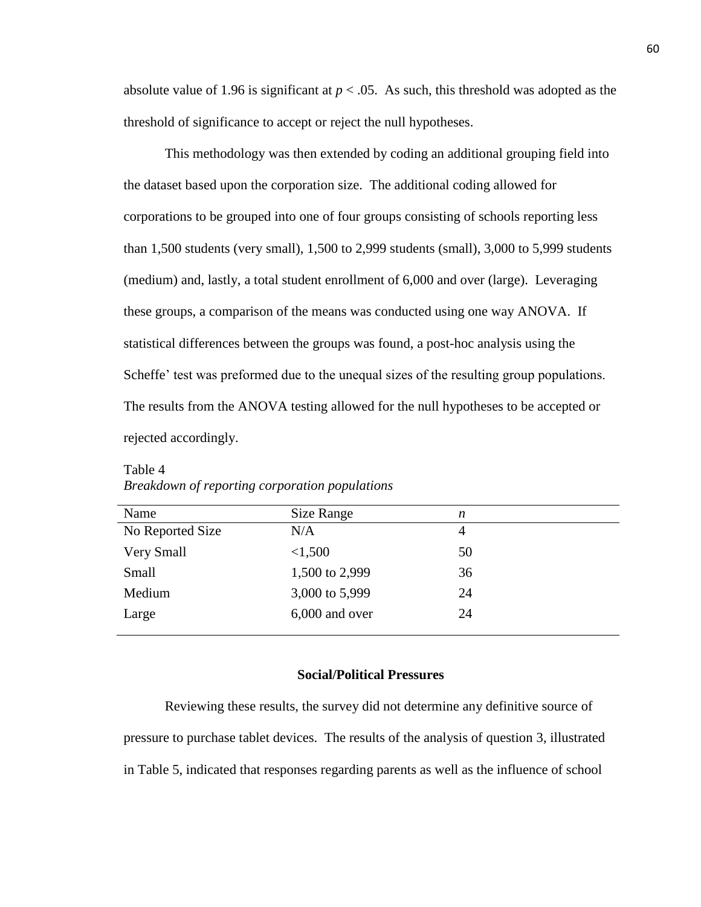absolute value of 1.96 is significant at  $p < .05$ . As such, this threshold was adopted as the threshold of significance to accept or reject the null hypotheses.

This methodology was then extended by coding an additional grouping field into the dataset based upon the corporation size. The additional coding allowed for corporations to be grouped into one of four groups consisting of schools reporting less than 1,500 students (very small), 1,500 to 2,999 students (small), 3,000 to 5,999 students (medium) and, lastly, a total student enrollment of 6,000 and over (large). Leveraging these groups, a comparison of the means was conducted using one way ANOVA. If statistical differences between the groups was found, a post-hoc analysis using the Scheffe' test was preformed due to the unequal sizes of the resulting group populations. The results from the ANOVA testing allowed for the null hypotheses to be accepted or rejected accordingly.

| Name              | Size Range     | n              |
|-------------------|----------------|----------------|
| No Reported Size  | N/A            | $\overline{4}$ |
| <b>Very Small</b> | < 1,500        | 50             |
| Small             | 1,500 to 2,999 | 36             |
| Medium            | 3,000 to 5,999 | 24             |
| Large             | 6,000 and over | 24             |
|                   |                |                |

Table 4 *Breakdown of reporting corporation populations*

# **Social/Political Pressures**

Reviewing these results, the survey did not determine any definitive source of pressure to purchase tablet devices. The results of the analysis of question 3, illustrated in Table 5, indicated that responses regarding parents as well as the influence of school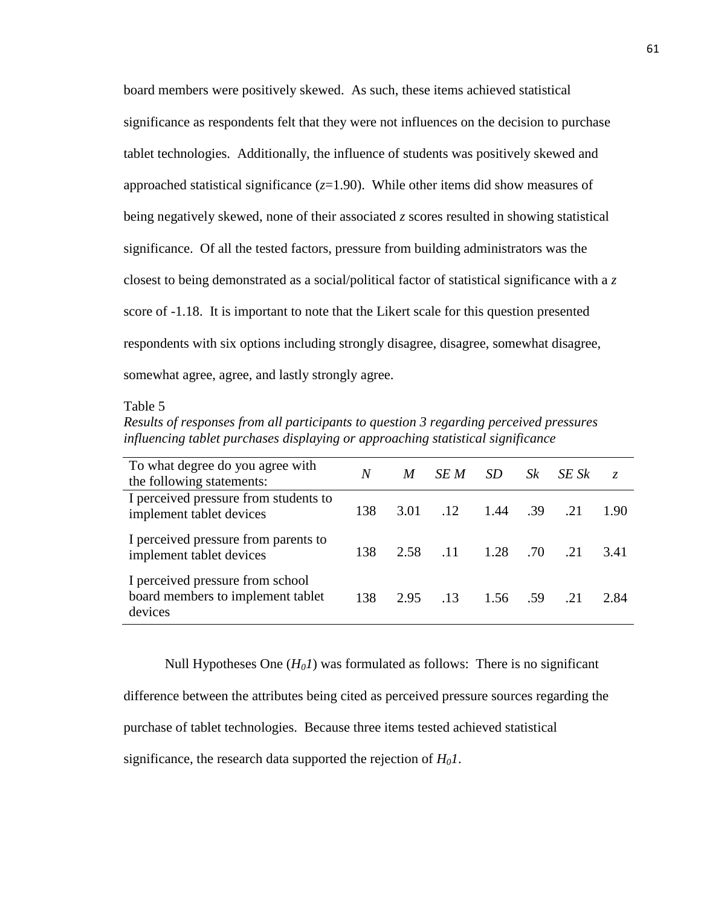board members were positively skewed. As such, these items achieved statistical significance as respondents felt that they were not influences on the decision to purchase tablet technologies. Additionally, the influence of students was positively skewed and approached statistical significance  $(z=1.90)$ . While other items did show measures of being negatively skewed, none of their associated *z* scores resulted in showing statistical significance. Of all the tested factors, pressure from building administrators was the closest to being demonstrated as a social/political factor of statistical significance with a *z*  score of -1.18. It is important to note that the Likert scale for this question presented respondents with six options including strongly disagree, disagree, somewhat disagree, somewhat agree, agree, and lastly strongly agree.

# Table 5

*Results of responses from all participants to question 3 regarding perceived pressures influencing tablet purchases displaying or approaching statistical significance*

| To what degree do you agree with<br>the following statements:                    | N   | M    | SE M       | <i>SD</i> | Sk   | SE Sk | Z.   |
|----------------------------------------------------------------------------------|-----|------|------------|-----------|------|-------|------|
| I perceived pressure from students to<br>implement tablet devices                | 138 | 3.01 | .12        | 1.44 .39  |      | 21    | 1.90 |
| I perceived pressure from parents to<br>implement tablet devices                 | 138 | 2.58 | $\Box$ .11 | 1.28      | .70  | 21    | 3.41 |
| I perceived pressure from school<br>board members to implement tablet<br>devices | 138 | 2.95 | 13         | 1.56      | - 59 | 21    | 2.84 |

Null Hypotheses One  $(H_0I)$  was formulated as follows: There is no significant difference between the attributes being cited as perceived pressure sources regarding the purchase of tablet technologies. Because three items tested achieved statistical significance, the research data supported the rejection of *H01*.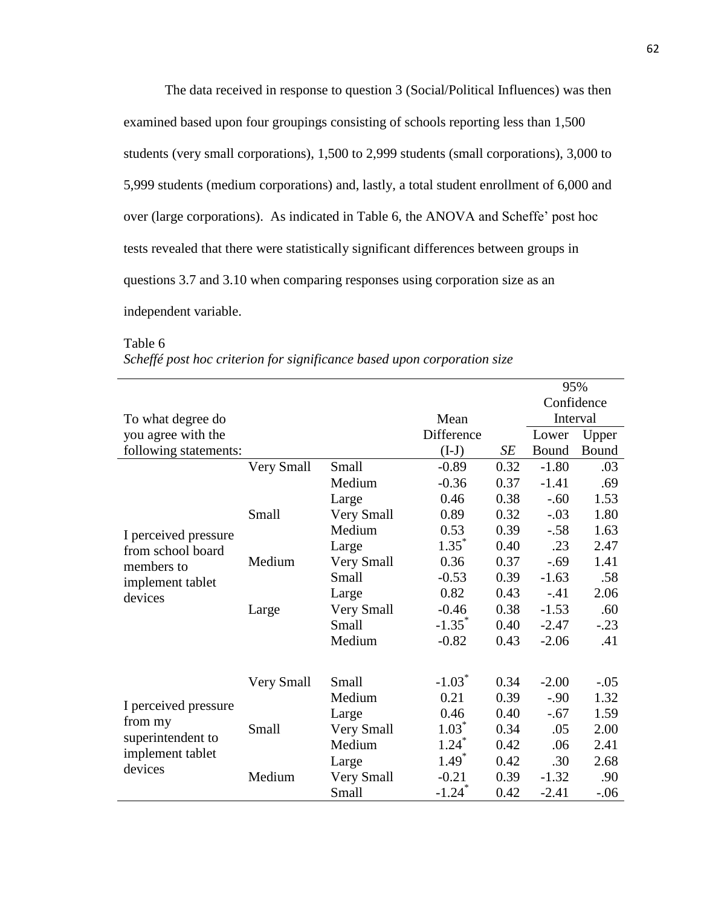The data received in response to question 3 (Social/Political Influences) was then examined based upon four groupings consisting of schools reporting less than 1,500 students (very small corporations), 1,500 to 2,999 students (small corporations), 3,000 to 5,999 students (medium corporations) and, lastly, a total student enrollment of 6,000 and over (large corporations). As indicated in Table 6, the ANOVA and Scheffe' post hoc tests revealed that there were statistically significant differences between groups in questions 3.7 and 3.10 when comparing responses using corporation size as an independent variable.

|                                                     |            |            |                      |      | 95%        |        |
|-----------------------------------------------------|------------|------------|----------------------|------|------------|--------|
|                                                     |            |            |                      |      | Confidence |        |
| To what degree do                                   |            |            | Mean                 |      | Interval   |        |
| you agree with the                                  |            |            | Difference           |      | Lower      | Upper  |
| following statements:                               |            |            | $(I-J)$              | SE   | Bound      | Bound  |
|                                                     | Very Small | Small      | $-0.89$              | 0.32 | $-1.80$    | .03    |
|                                                     |            | Medium     | $-0.36$              | 0.37 | $-1.41$    | .69    |
|                                                     |            | Large      | 0.46                 | 0.38 | $-.60$     | 1.53   |
|                                                     | Small      | Very Small | 0.89                 | 0.32 | $-.03$     | 1.80   |
| I perceived pressure                                |            | Medium     | 0.53                 | 0.39 | $-.58$     | 1.63   |
| from school board<br>members to<br>implement tablet |            | Large      | $1.35^*$             | 0.40 | .23        | 2.47   |
|                                                     | Medium     | Very Small | 0.36                 | 0.37 | $-.69$     | 1.41   |
|                                                     |            | Small      | $-0.53$              | 0.39 | $-1.63$    | .58    |
| devices                                             |            | Large      | 0.82                 | 0.43 | $-.41$     | 2.06   |
|                                                     | Large      | Very Small | $-0.46$              | 0.38 | $-1.53$    | .60    |
|                                                     |            | Small      | $-1.35$ <sup>*</sup> | 0.40 | $-2.47$    | $-.23$ |
|                                                     |            | Medium     | $-0.82$              | 0.43 | $-2.06$    | .41    |
|                                                     |            |            |                      |      |            |        |
|                                                     | Very Small | Small      | $-1.03$ <sup>*</sup> | 0.34 | $-2.00$    | $-.05$ |
|                                                     |            | Medium     | 0.21                 | 0.39 | $-.90$     | 1.32   |
| I perceived pressure                                |            | Large      | 0.46                 | 0.40 | $-.67$     | 1.59   |
| from my                                             | Small      | Very Small | $1.03^*$             | 0.34 | .05        | 2.00   |
| superintendent to                                   |            | Medium     | $1.24$ <sup>*</sup>  | 0.42 | .06        | 2.41   |
| implement tablet                                    |            | Large      | $1.49*$              | 0.42 | .30        | 2.68   |
| devices                                             | Medium     | Very Small | $-0.21$              | 0.39 | $-1.32$    | .90    |
|                                                     |            | Small      | $-1.24$ <sup>*</sup> | 0.42 | $-2.41$    | $-.06$ |

*Scheffé post hoc criterion for significance based upon corporation size*

Table 6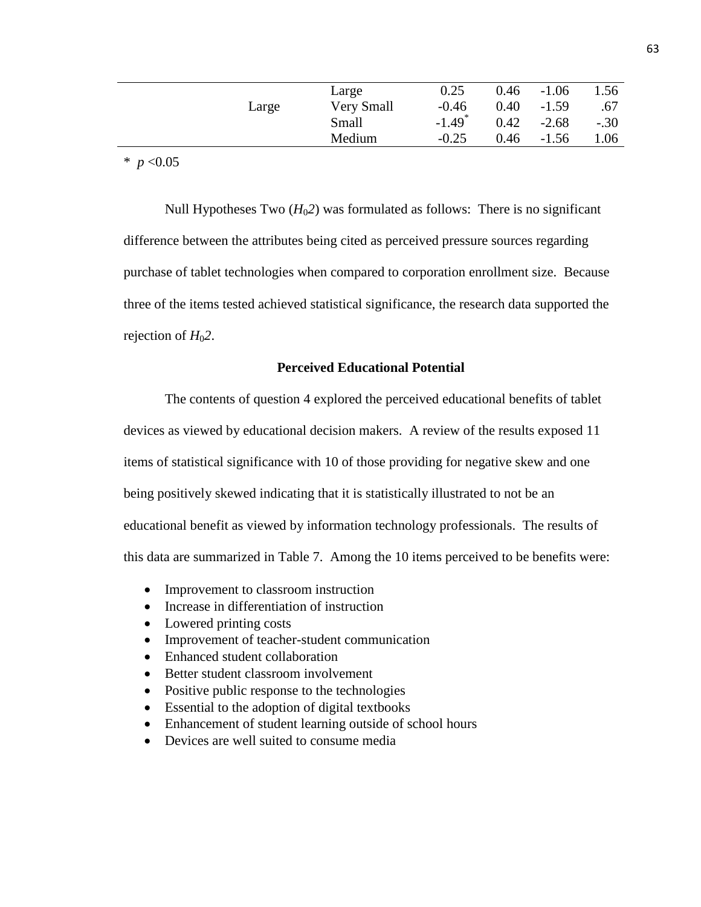|       | Large      | 0.25                 | 0.46 | $-1.06$ | 1.56   |
|-------|------------|----------------------|------|---------|--------|
| Large | Very Small | $-0.46$              | 0.40 | $-1.59$ | .67    |
|       | Small      | $-1.49$ <sup>*</sup> | 0.42 | $-2.68$ | $-.30$ |
|       | Medium     | $-0.25$              | 0.46 | $-1.56$ | 1.06   |
|       |            |                      |      |         |        |

 $*$  *p* <0.05

Null Hypotheses Two  $(H<sub>0</sub>2)$  was formulated as follows: There is no significant difference between the attributes being cited as perceived pressure sources regarding purchase of tablet technologies when compared to corporation enrollment size. Because three of the items tested achieved statistical significance, the research data supported the rejection of  $H<sub>0</sub>2$ .

# **Perceived Educational Potential**

The contents of question 4 explored the perceived educational benefits of tablet devices as viewed by educational decision makers. A review of the results exposed 11 items of statistical significance with 10 of those providing for negative skew and one being positively skewed indicating that it is statistically illustrated to not be an educational benefit as viewed by information technology professionals. The results of this data are summarized in Table 7. Among the 10 items perceived to be benefits were:

- Improvement to classroom instruction
- Increase in differentiation of instruction
- Lowered printing costs
- Improvement of teacher-student communication
- Enhanced student collaboration
- Better student classroom involvement
- Positive public response to the technologies
- Essential to the adoption of digital textbooks
- Enhancement of student learning outside of school hours
- Devices are well suited to consume media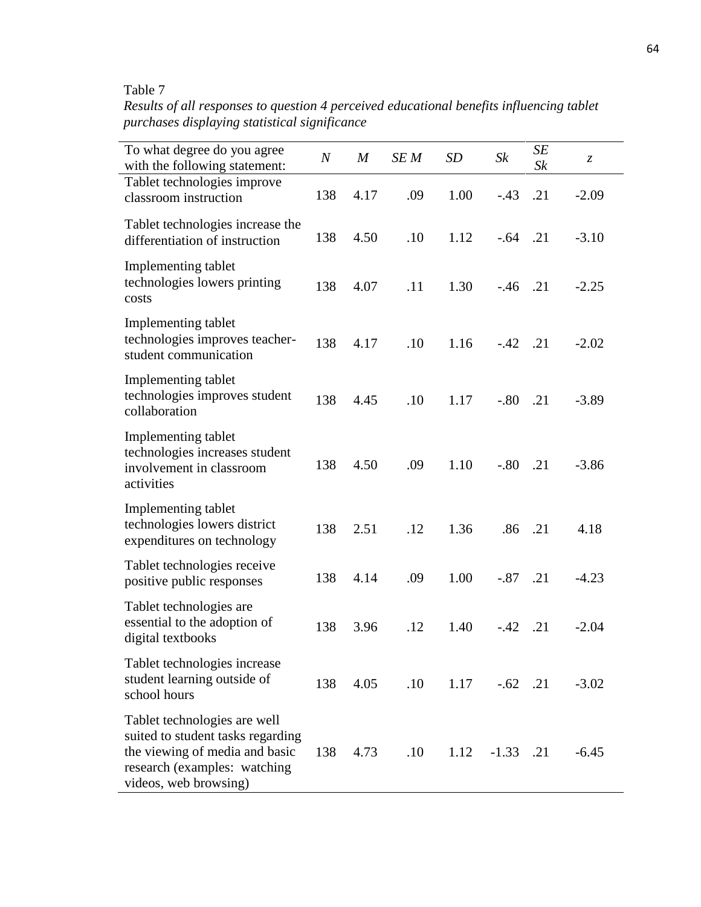# Table 7

*Results of all responses to question 4 perceived educational benefits influencing tablet purchases displaying statistical significance*

| To what degree do you agree<br>with the following statement:                                                                                                 | $\boldsymbol{N}$ | $\boldsymbol{M}$ | SE M | SD   | $S_k$       | SE<br>Sk | Z,      |
|--------------------------------------------------------------------------------------------------------------------------------------------------------------|------------------|------------------|------|------|-------------|----------|---------|
| Tablet technologies improve<br>classroom instruction                                                                                                         | 138              | 4.17             | .09  | 1.00 | $-.43$      | .21      | $-2.09$ |
| Tablet technologies increase the<br>differentiation of instruction                                                                                           | 138              | 4.50             | .10  | 1.12 | $-.64$ .21  |          | $-3.10$ |
| Implementing tablet<br>technologies lowers printing<br>costs                                                                                                 | 138              | 4.07             | .11  | 1.30 | $-.46$ .21  |          | $-2.25$ |
| Implementing tablet<br>technologies improves teacher-<br>student communication                                                                               | 138              | 4.17             | .10  | 1.16 | $-.42$ .21  |          | $-2.02$ |
| Implementing tablet<br>technologies improves student<br>collaboration                                                                                        | 138              | 4.45             | .10  | 1.17 | $-.80$      | .21      | $-3.89$ |
| Implementing tablet<br>technologies increases student<br>involvement in classroom<br>activities                                                              | 138              | 4.50             | .09  | 1.10 | $-.80$      | .21      | $-3.86$ |
| Implementing tablet<br>technologies lowers district<br>expenditures on technology                                                                            | 138              | 2.51             | .12  | 1.36 | .86         | .21      | 4.18    |
| Tablet technologies receive<br>positive public responses                                                                                                     | 138              | 4.14             | .09  | 1.00 | $-.87$      | .21      | $-4.23$ |
| Tablet technologies are<br>essential to the adoption of<br>digital textbooks                                                                                 | 138              | 3.96             | .12  | 1.40 | $-.42$      | .21      | $-2.04$ |
| Tablet technologies increase<br>student learning outside of<br>school hours                                                                                  | 138              | 4.05             | .10  | 1.17 | $-.62$ .21  |          | $-3.02$ |
| Tablet technologies are well<br>suited to student tasks regarding<br>the viewing of media and basic<br>research (examples: watching<br>videos, web browsing) | 138              | 4.73             | .10  | 1.12 | $-1.33$ .21 |          | $-6.45$ |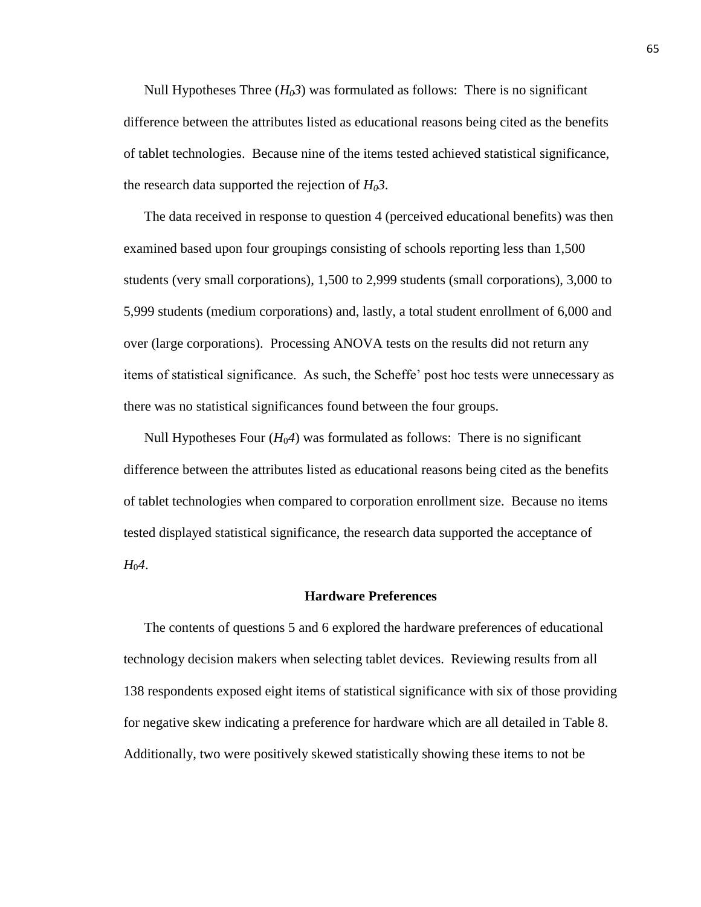Null Hypotheses Three  $(H_03)$  was formulated as follows: There is no significant difference between the attributes listed as educational reasons being cited as the benefits of tablet technologies. Because nine of the items tested achieved statistical significance, the research data supported the rejection of  $H_03$ .

The data received in response to question 4 (perceived educational benefits) was then examined based upon four groupings consisting of schools reporting less than 1,500 students (very small corporations), 1,500 to 2,999 students (small corporations), 3,000 to 5,999 students (medium corporations) and, lastly, a total student enrollment of 6,000 and over (large corporations). Processing ANOVA tests on the results did not return any items of statistical significance. As such, the Scheffe' post hoc tests were unnecessary as there was no statistical significances found between the four groups.

Null Hypotheses Four  $(H_0A)$  was formulated as follows: There is no significant difference between the attributes listed as educational reasons being cited as the benefits of tablet technologies when compared to corporation enrollment size. Because no items tested displayed statistical significance, the research data supported the acceptance of *H*<sup>0</sup>*4*.

## **Hardware Preferences**

The contents of questions 5 and 6 explored the hardware preferences of educational technology decision makers when selecting tablet devices. Reviewing results from all 138 respondents exposed eight items of statistical significance with six of those providing for negative skew indicating a preference for hardware which are all detailed in Table 8. Additionally, two were positively skewed statistically showing these items to not be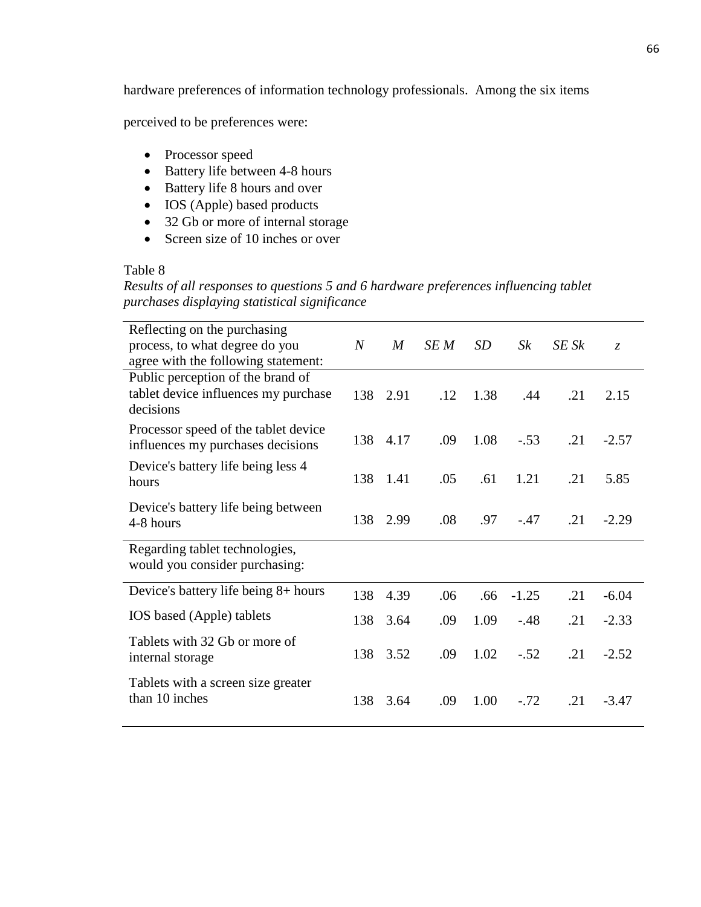hardware preferences of information technology professionals. Among the six items

perceived to be preferences were:

- Processor speed
- $\bullet$  Battery life between 4-8 hours
- Battery life 8 hours and over
- IOS (Apple) based products
- 32 Gb or more of internal storage
- Screen size of 10 inches or over

# Table 8

*Results of all responses to questions 5 and 6 hardware preferences influencing tablet purchases displaying statistical significance*

| Reflecting on the purchasing<br>process, to what degree do you<br>agree with the following statement: | $\overline{N}$ | $\boldsymbol{M}$ | SE M | SD   | $S_k$   | SE Sk | $\mathcal{Z}$ |
|-------------------------------------------------------------------------------------------------------|----------------|------------------|------|------|---------|-------|---------------|
| Public perception of the brand of<br>tablet device influences my purchase<br>decisions                | 138            | 2.91             | .12  | 1.38 | .44     | .21   | 2.15          |
| Processor speed of the tablet device<br>influences my purchases decisions                             | 138            | 4.17             | .09  | 1.08 | $-.53$  | .21   | $-2.57$       |
| Device's battery life being less 4<br>hours                                                           | 138            | 1.41             | .05  | .61  | 1.21    | .21   | 5.85          |
| Device's battery life being between<br>4-8 hours                                                      | 138            | 2.99             | .08  | .97  | $-.47$  | .21   | $-2.29$       |
| Regarding tablet technologies,<br>would you consider purchasing:                                      |                |                  |      |      |         |       |               |
| Device's battery life being 8+ hours                                                                  | 138            | 4.39             | .06  | .66  | $-1.25$ | .21   | $-6.04$       |
| IOS based (Apple) tablets                                                                             | 138            | 3.64             | .09  | 1.09 | $-.48$  | .21   | $-2.33$       |
| Tablets with 32 Gb or more of<br>internal storage                                                     | 138            | 3.52             | .09  | 1.02 | $-.52$  | .21   | $-2.52$       |
| Tablets with a screen size greater<br>than 10 inches                                                  | 138            | 3.64             | .09  | 1.00 | $-.72$  | .21   | $-3.47$       |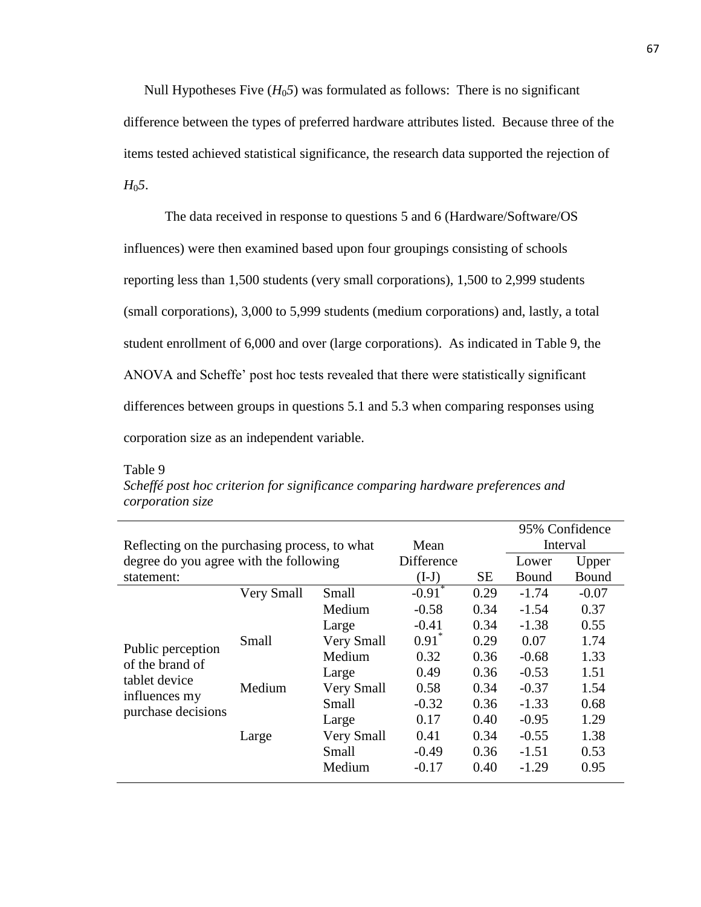Null Hypotheses Five  $(H_0 5)$  was formulated as follows: There is no significant difference between the types of preferred hardware attributes listed. Because three of the items tested achieved statistical significance, the research data supported the rejection of *H*0*5*.

The data received in response to questions 5 and 6 (Hardware/Software/OS influences) were then examined based upon four groupings consisting of schools reporting less than 1,500 students (very small corporations), 1,500 to 2,999 students (small corporations), 3,000 to 5,999 students (medium corporations) and, lastly, a total student enrollment of 6,000 and over (large corporations). As indicated in Table 9, the ANOVA and Scheffe' post hoc tests revealed that there were statistically significant differences between groups in questions 5.1 and 5.3 when comparing responses using corporation size as an independent variable.

| n<br>۱<br>٠. |  |
|--------------|--|
|              |  |

| Scheffé post hoc criterion for significance comparing hardware preferences and |  |  |  |
|--------------------------------------------------------------------------------|--|--|--|
| corporation size                                                               |  |  |  |

|                                               |            |            |                      |         |         | 95% Confidence |
|-----------------------------------------------|------------|------------|----------------------|---------|---------|----------------|
| Reflecting on the purchasing process, to what |            |            | Mean                 |         |         | Interval       |
| degree do you agree with the following        |            |            | Difference           |         | Lower   | Upper          |
| statement:                                    |            | $(I-J)$    | <b>SE</b>            | Bound   | Bound   |                |
|                                               | Very Small | Small      | $-0.91$ <sup>*</sup> | 0.29    | $-1.74$ | $-0.07$        |
| Small<br>Public perception<br>of the brand of | Medium     | $-0.58$    | 0.34                 | $-1.54$ | 0.37    |                |
|                                               |            | Large      | $-0.41$              | 0.34    | $-1.38$ | 0.55           |
|                                               |            | Very Small | $0.91^*$             | 0.29    | 0.07    | 1.74           |
|                                               |            | Medium     | 0.32                 | 0.36    | $-0.68$ | 1.33           |
| tablet device                                 |            | Large      | 0.49                 | 0.36    | $-0.53$ | 1.51           |
|                                               | Medium     | Very Small | 0.58                 | 0.34    | $-0.37$ | 1.54           |
| influences my<br>purchase decisions           |            | Small      | $-0.32$              | 0.36    | $-1.33$ | 0.68           |
|                                               |            | Large      | 0.17                 | 0.40    | $-0.95$ | 1.29           |
|                                               | Large      | Very Small | 0.41                 | 0.34    | $-0.55$ | 1.38           |
|                                               |            | Small      | $-0.49$              | 0.36    | $-1.51$ | 0.53           |
|                                               |            | Medium     | $-0.17$              | 0.40    | $-1.29$ | 0.95           |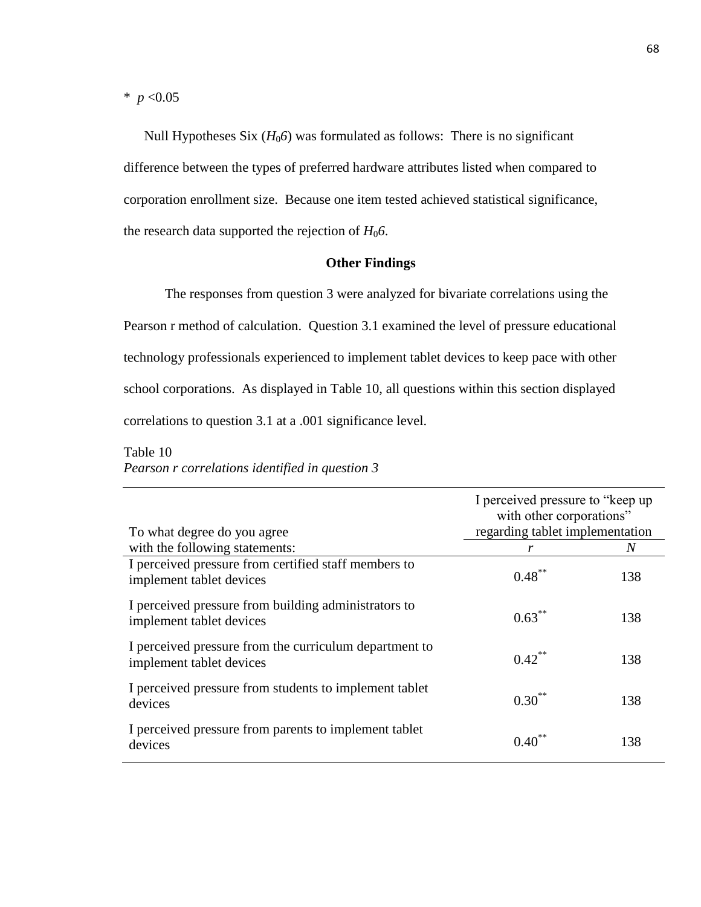$*$  *p* <0.05

Null Hypotheses Six  $(H_0)$  was formulated as follows: There is no significant difference between the types of preferred hardware attributes listed when compared to corporation enrollment size. Because one item tested achieved statistical significance, the research data supported the rejection of  $H_0$ 6.

# **Other Findings**

The responses from question 3 were analyzed for bivariate correlations using the Pearson r method of calculation. Question 3.1 examined the level of pressure educational technology professionals experienced to implement tablet devices to keep pace with other school corporations. As displayed in Table 10, all questions within this section displayed correlations to question 3.1 at a .001 significance level.

Table 10 *Pearson r correlations identified in question 3*

| To what degree do you agree                                                        | I perceived pressure to "keep up"<br>with other corporations"<br>regarding tablet implementation |     |
|------------------------------------------------------------------------------------|--------------------------------------------------------------------------------------------------|-----|
| with the following statements:                                                     | r                                                                                                | N   |
| I perceived pressure from certified staff members to<br>implement tablet devices   | $0.48***$                                                                                        | 138 |
| I perceived pressure from building administrators to<br>implement tablet devices   | $0.63***$                                                                                        | 138 |
| I perceived pressure from the curriculum department to<br>implement tablet devices | $0.42$ **                                                                                        | 138 |
| I perceived pressure from students to implement tablet<br>devices                  | $0.30^{**}$                                                                                      | 138 |
| I perceived pressure from parents to implement tablet<br>devices                   | $0.40^{**}$                                                                                      | 138 |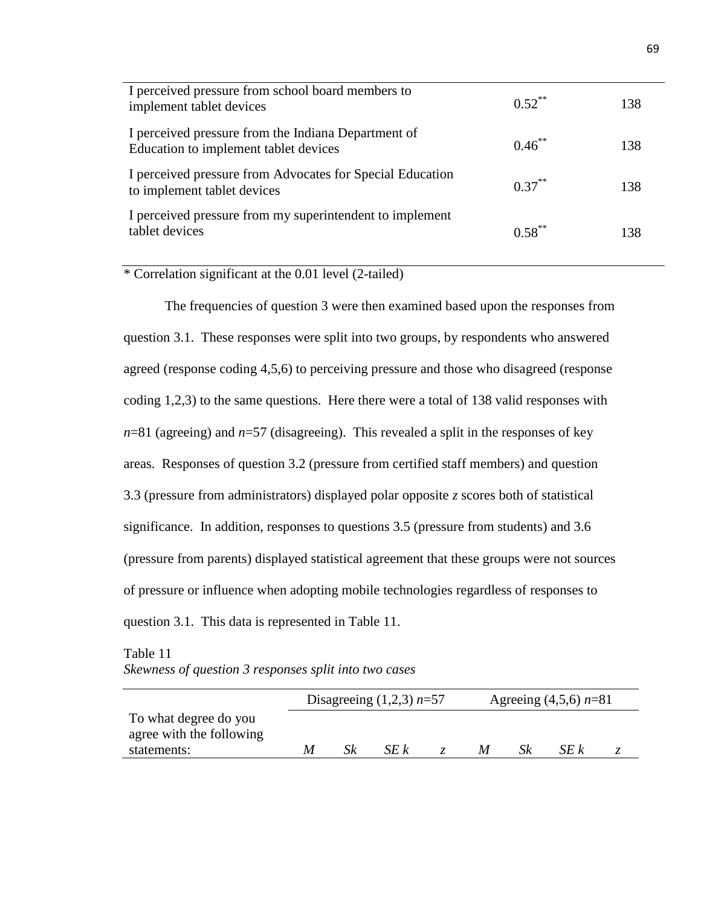| I perceived pressure from school board members to<br>implement tablet devices                | $0.52$ ** | 138 |
|----------------------------------------------------------------------------------------------|-----------|-----|
| I perceived pressure from the Indiana Department of<br>Education to implement tablet devices | $0.46***$ | 138 |
| I perceived pressure from Advocates for Special Education<br>to implement tablet devices     | $0.37***$ | 138 |
| I perceived pressure from my superintendent to implement<br>tablet devices                   | $0.58***$ | 138 |

\* Correlation significant at the 0.01 level (2-tailed)

The frequencies of question 3 were then examined based upon the responses from question 3.1. These responses were split into two groups, by respondents who answered agreed (response coding 4,5,6) to perceiving pressure and those who disagreed (response coding 1,2,3) to the same questions. Here there were a total of 138 valid responses with *n*=81 (agreeing) and *n*=57 (disagreeing). This revealed a split in the responses of key areas. Responses of question 3.2 (pressure from certified staff members) and question 3.3 (pressure from administrators) displayed polar opposite *z* scores both of statistical significance. In addition, responses to questions 3.5 (pressure from students) and 3.6 (pressure from parents) displayed statistical agreement that these groups were not sources of pressure or influence when adopting mobile technologies regardless of responses to question 3.1. This data is represented in Table 11.

Table 11 *Skewness of question 3 responses split into two cases*

|                                                   | Disagreeing $(1,2,3)$ n=57 |    |      |  | Agreeing $(4,5,6)$ n=81 |    |      |  |
|---------------------------------------------------|----------------------------|----|------|--|-------------------------|----|------|--|
| To what degree do you<br>agree with the following |                            |    |      |  |                         |    |      |  |
| statements:                                       | M                          | Sk | SE k |  | M                       | Sk | SE k |  |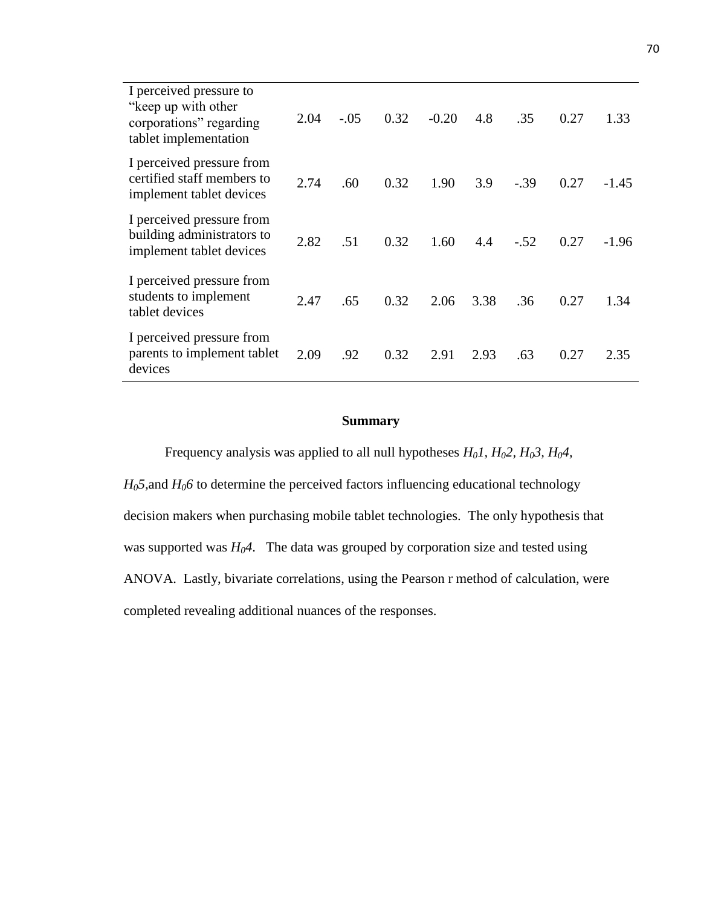| I perceived pressure to<br>"keep up with other"<br>corporations" regarding<br>tablet implementation | 2.04 | $-.05$ | 0.32 | $-0.20$ | 4.8  | .35    | 0.27 | 1.33    |
|-----------------------------------------------------------------------------------------------------|------|--------|------|---------|------|--------|------|---------|
| I perceived pressure from<br>certified staff members to<br>implement tablet devices                 | 2.74 | .60    | 0.32 | 1.90    | 3.9  | $-.39$ | 0.27 | $-1.45$ |
| I perceived pressure from<br>building administrators to<br>implement tablet devices                 | 2.82 | .51    | 0.32 | 1.60    | 4.4  | $-.52$ | 0.27 | $-1.96$ |
| I perceived pressure from<br>students to implement<br>tablet devices                                | 2.47 | .65    | 0.32 | 2.06    | 3.38 | .36    | 0.27 | 1.34    |
| I perceived pressure from<br>parents to implement tablet<br>devices                                 | 2.09 | .92    | 0.32 | 2.91    | 2.93 | .63    | 0.27 | 2.35    |

# **Summary**

Frequency analysis was applied to all null hypotheses *H01, H02, H03, H04,* 

 $H_0$ 5, and  $H_0$ 6 to determine the perceived factors influencing educational technology decision makers when purchasing mobile tablet technologies. The only hypothesis that was supported was *H04*. The data was grouped by corporation size and tested using ANOVA. Lastly, bivariate correlations, using the Pearson r method of calculation, were completed revealing additional nuances of the responses.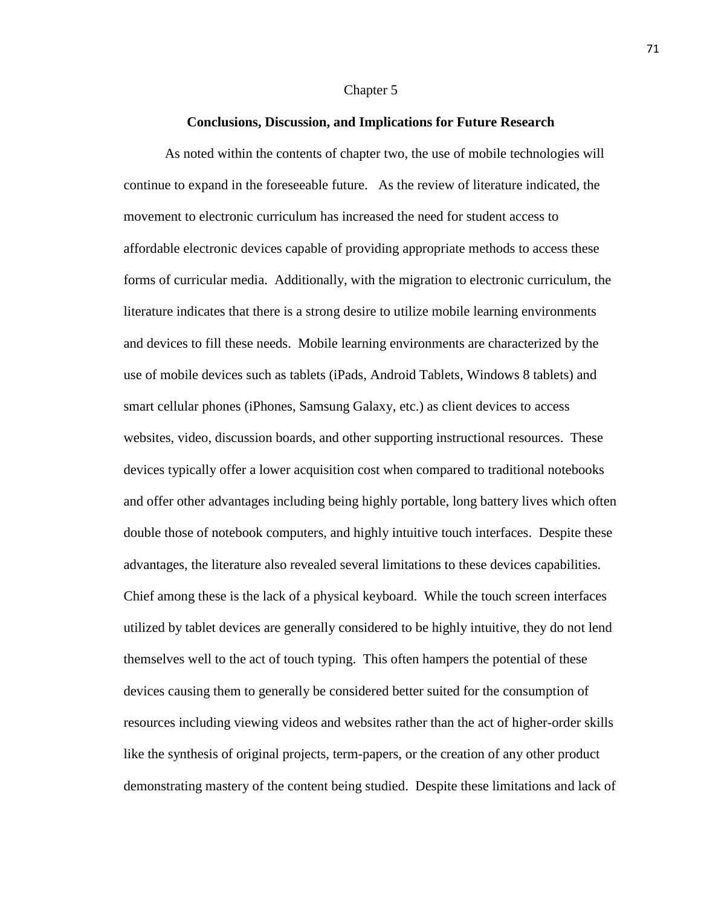#### Chapter 5

### **Conclusions, Discussion, and Implications for Future Research**

As noted within the contents of chapter two, the use of mobile technologies will continue to expand in the foreseeable future. As the review of literature indicated, the movement to electronic curriculum has increased the need for student access to affordable electronic devices capable of providing appropriate methods to access these forms of curricular media. Additionally, with the migration to electronic curriculum, the literature indicates that there is a strong desire to utilize mobile learning environments and devices to fill these needs. Mobile learning environments are characterized by the use of mobile devices such as tablets (iPads, Android Tablets, Windows 8 tablets) and smart cellular phones (iPhones, Samsung Galaxy, etc.) as client devices to access websites, video, discussion boards, and other supporting instructional resources. These devices typically offer a lower acquisition cost when compared to traditional notebooks and offer other advantages including being highly portable, long battery lives which often double those of notebook computers, and highly intuitive touch interfaces. Despite these advantages, the literature also revealed several limitations to these devices capabilities. Chief among these is the lack of a physical keyboard. While the touch screen interfaces utilized by tablet devices are generally considered to be highly intuitive, they do not lend themselves well to the act of touch typing. This often hampers the potential of these devices causing them to generally be considered better suited for the consumption of resources including viewing videos and websites rather than the act of higher-order skills like the synthesis of original projects, term-papers, or the creation of any other product demonstrating mastery of the content being studied. Despite these limitations and lack of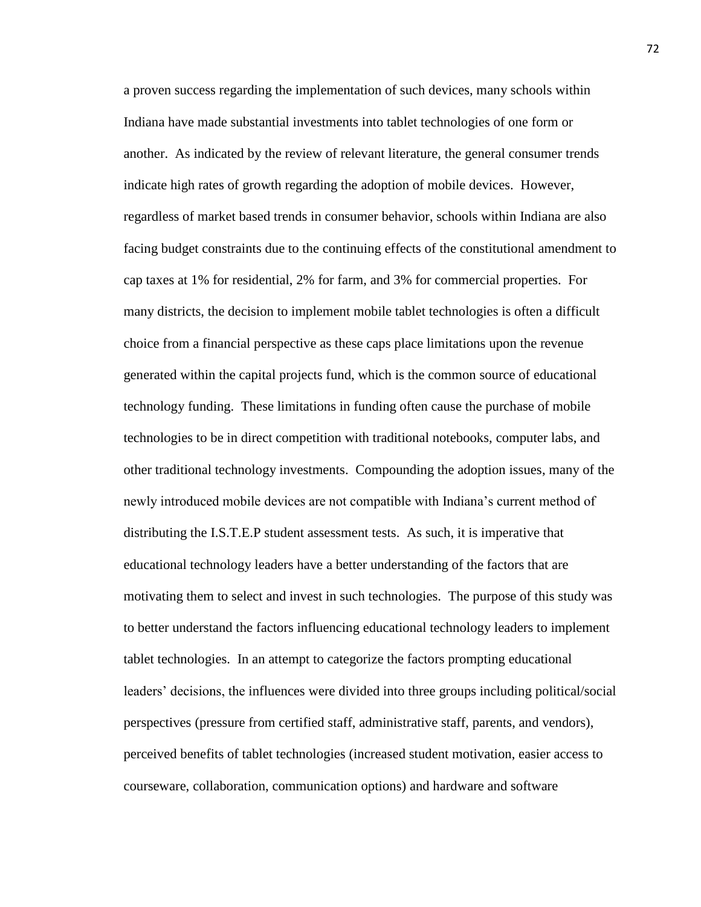a proven success regarding the implementation of such devices, many schools within Indiana have made substantial investments into tablet technologies of one form or another. As indicated by the review of relevant literature, the general consumer trends indicate high rates of growth regarding the adoption of mobile devices. However, regardless of market based trends in consumer behavior, schools within Indiana are also facing budget constraints due to the continuing effects of the constitutional amendment to cap taxes at 1% for residential, 2% for farm, and 3% for commercial properties. For many districts, the decision to implement mobile tablet technologies is often a difficult choice from a financial perspective as these caps place limitations upon the revenue generated within the capital projects fund, which is the common source of educational technology funding. These limitations in funding often cause the purchase of mobile technologies to be in direct competition with traditional notebooks, computer labs, and other traditional technology investments. Compounding the adoption issues, many of the newly introduced mobile devices are not compatible with Indiana's current method of distributing the I.S.T.E.P student assessment tests. As such, it is imperative that educational technology leaders have a better understanding of the factors that are motivating them to select and invest in such technologies. The purpose of this study was to better understand the factors influencing educational technology leaders to implement tablet technologies. In an attempt to categorize the factors prompting educational leaders' decisions, the influences were divided into three groups including political/social perspectives (pressure from certified staff, administrative staff, parents, and vendors), perceived benefits of tablet technologies (increased student motivation, easier access to courseware, collaboration, communication options) and hardware and software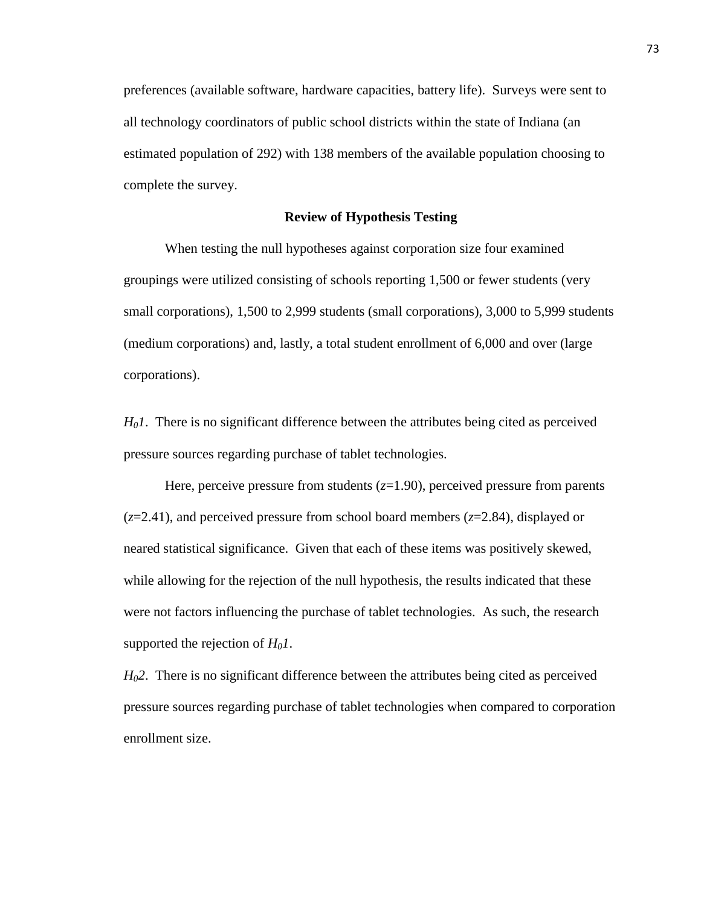preferences (available software, hardware capacities, battery life). Surveys were sent to all technology coordinators of public school districts within the state of Indiana (an estimated population of 292) with 138 members of the available population choosing to complete the survey.

# **Review of Hypothesis Testing**

When testing the null hypotheses against corporation size four examined groupings were utilized consisting of schools reporting 1,500 or fewer students (very small corporations), 1,500 to 2,999 students (small corporations), 3,000 to 5,999 students (medium corporations) and, lastly, a total student enrollment of 6,000 and over (large corporations).

*H01*. There is no significant difference between the attributes being cited as perceived pressure sources regarding purchase of tablet technologies.

Here, perceive pressure from students  $(z=1.90)$ , perceived pressure from parents (*z*=2.41), and perceived pressure from school board members (*z*=2.84), displayed or neared statistical significance. Given that each of these items was positively skewed, while allowing for the rejection of the null hypothesis, the results indicated that these were not factors influencing the purchase of tablet technologies. As such, the research supported the rejection of  $H_0I$ .

*H02*. There is no significant difference between the attributes being cited as perceived pressure sources regarding purchase of tablet technologies when compared to corporation enrollment size.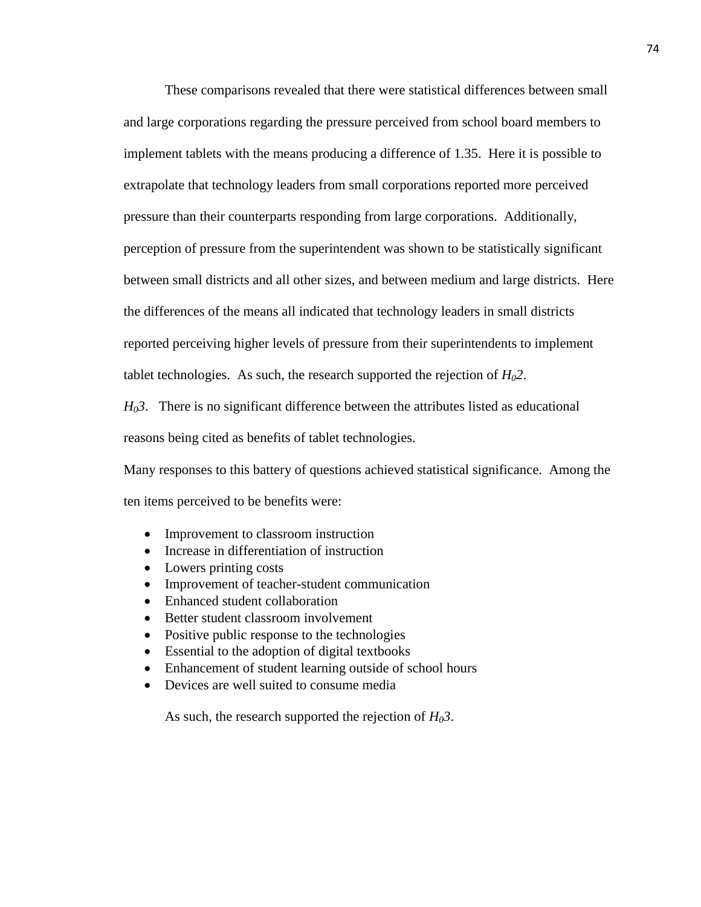These comparisons revealed that there were statistical differences between small and large corporations regarding the pressure perceived from school board members to implement tablets with the means producing a difference of 1.35. Here it is possible to extrapolate that technology leaders from small corporations reported more perceived pressure than their counterparts responding from large corporations. Additionally, perception of pressure from the superintendent was shown to be statistically significant between small districts and all other sizes, and between medium and large districts. Here the differences of the means all indicated that technology leaders in small districts reported perceiving higher levels of pressure from their superintendents to implement tablet technologies. As such, the research supported the rejection of  $H_02$ .

 $H_0$ 3. There is no significant difference between the attributes listed as educational reasons being cited as benefits of tablet technologies.

Many responses to this battery of questions achieved statistical significance. Among the ten items perceived to be benefits were:

- Improvement to classroom instruction
- Increase in differentiation of instruction
- Lowers printing costs
- Improvement of teacher-student communication
- Enhanced student collaboration
- Better student classroom involvement
- Positive public response to the technologies
- Essential to the adoption of digital textbooks
- Enhancement of student learning outside of school hours
- Devices are well suited to consume media

As such, the research supported the rejection of  $H_0$ 3.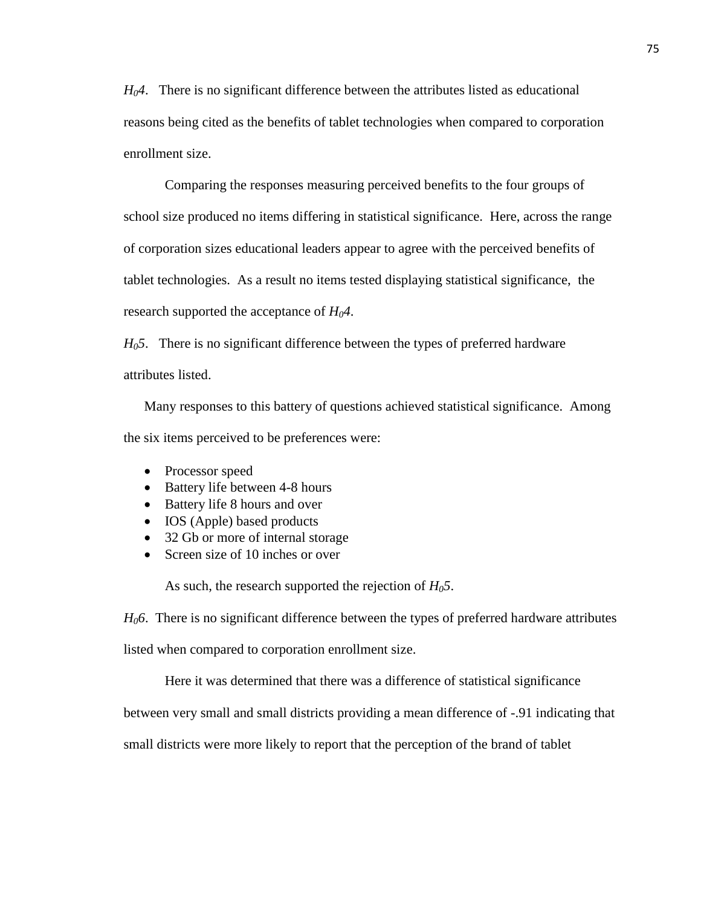$H_0A$ . There is no significant difference between the attributes listed as educational reasons being cited as the benefits of tablet technologies when compared to corporation enrollment size.

Comparing the responses measuring perceived benefits to the four groups of school size produced no items differing in statistical significance. Here, across the range of corporation sizes educational leaders appear to agree with the perceived benefits of tablet technologies. As a result no items tested displaying statistical significance, the research supported the acceptance of *H04*.

*H05*. There is no significant difference between the types of preferred hardware attributes listed.

Many responses to this battery of questions achieved statistical significance. Among the six items perceived to be preferences were:

- Processor speed
- Battery life between 4-8 hours
- Battery life 8 hours and over
- IOS (Apple) based products
- 32 Gb or more of internal storage
- Screen size of 10 inches or over

As such, the research supported the rejection of *H05*.

*H06*. There is no significant difference between the types of preferred hardware attributes

listed when compared to corporation enrollment size.

Here it was determined that there was a difference of statistical significance

between very small and small districts providing a mean difference of -.91 indicating that

small districts were more likely to report that the perception of the brand of tablet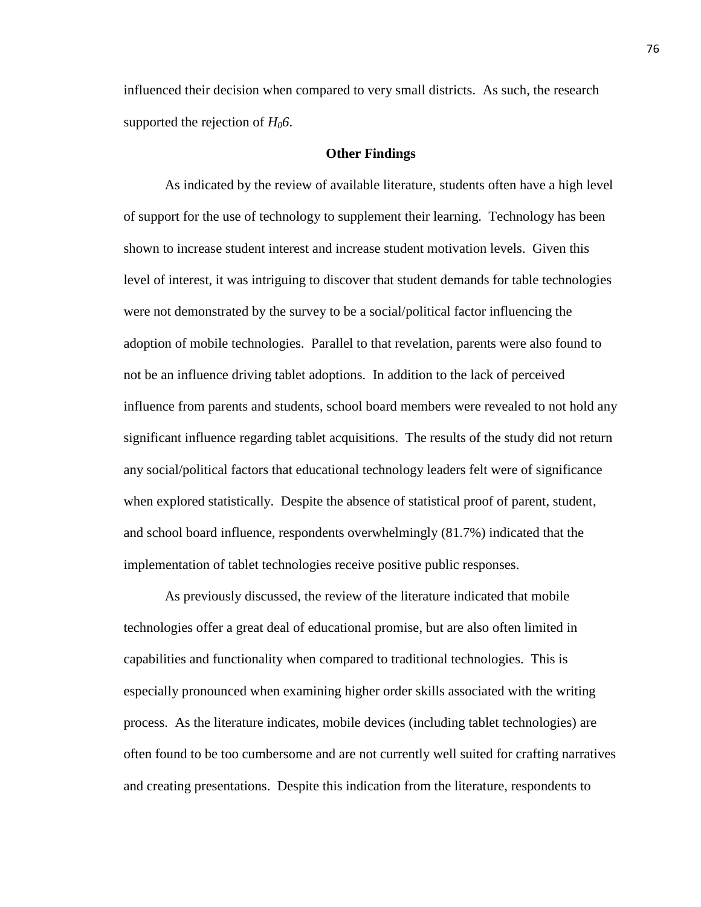influenced their decision when compared to very small districts. As such, the research supported the rejection of  $H_0$ 6.

#### **Other Findings**

As indicated by the review of available literature, students often have a high level of support for the use of technology to supplement their learning. Technology has been shown to increase student interest and increase student motivation levels. Given this level of interest, it was intriguing to discover that student demands for table technologies were not demonstrated by the survey to be a social/political factor influencing the adoption of mobile technologies. Parallel to that revelation, parents were also found to not be an influence driving tablet adoptions. In addition to the lack of perceived influence from parents and students, school board members were revealed to not hold any significant influence regarding tablet acquisitions. The results of the study did not return any social/political factors that educational technology leaders felt were of significance when explored statistically. Despite the absence of statistical proof of parent, student, and school board influence, respondents overwhelmingly (81.7%) indicated that the implementation of tablet technologies receive positive public responses.

As previously discussed, the review of the literature indicated that mobile technologies offer a great deal of educational promise, but are also often limited in capabilities and functionality when compared to traditional technologies. This is especially pronounced when examining higher order skills associated with the writing process. As the literature indicates, mobile devices (including tablet technologies) are often found to be too cumbersome and are not currently well suited for crafting narratives and creating presentations. Despite this indication from the literature, respondents to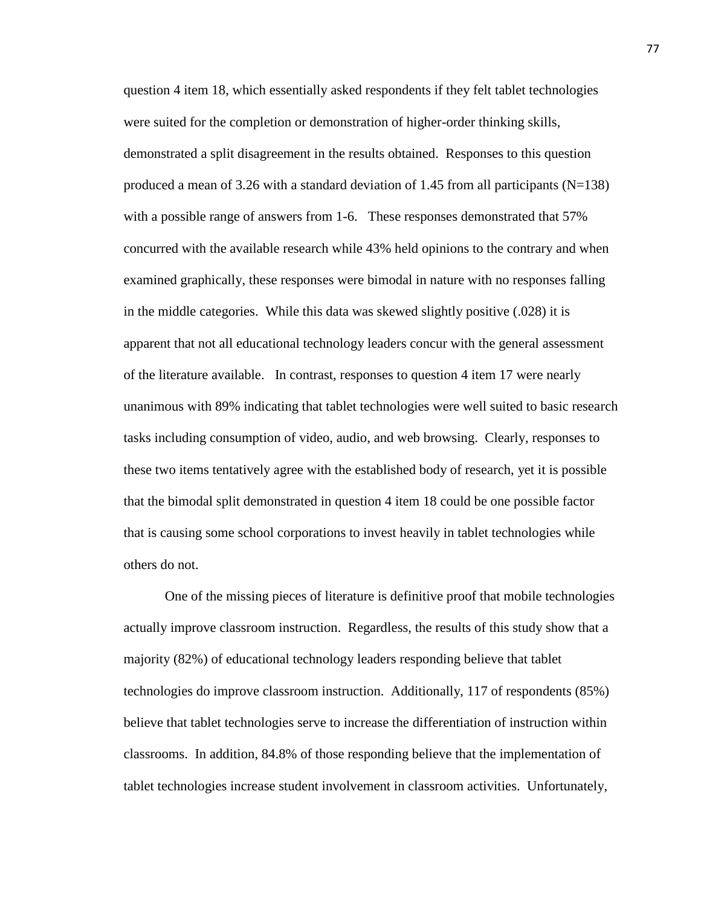question 4 item 18, which essentially asked respondents if they felt tablet technologies were suited for the completion or demonstration of higher-order thinking skills, demonstrated a split disagreement in the results obtained. Responses to this question produced a mean of 3.26 with a standard deviation of 1.45 from all participants ( $N=138$ ) with a possible range of answers from 1-6. These responses demonstrated that 57% concurred with the available research while 43% held opinions to the contrary and when examined graphically, these responses were bimodal in nature with no responses falling in the middle categories. While this data was skewed slightly positive (.028) it is apparent that not all educational technology leaders concur with the general assessment of the literature available. In contrast, responses to question 4 item 17 were nearly unanimous with 89% indicating that tablet technologies were well suited to basic research tasks including consumption of video, audio, and web browsing. Clearly, responses to these two items tentatively agree with the established body of research, yet it is possible that the bimodal split demonstrated in question 4 item 18 could be one possible factor that is causing some school corporations to invest heavily in tablet technologies while others do not.

One of the missing pieces of literature is definitive proof that mobile technologies actually improve classroom instruction. Regardless, the results of this study show that a majority (82%) of educational technology leaders responding believe that tablet technologies do improve classroom instruction. Additionally, 117 of respondents (85%) believe that tablet technologies serve to increase the differentiation of instruction within classrooms. In addition, 84.8% of those responding believe that the implementation of tablet technologies increase student involvement in classroom activities. Unfortunately,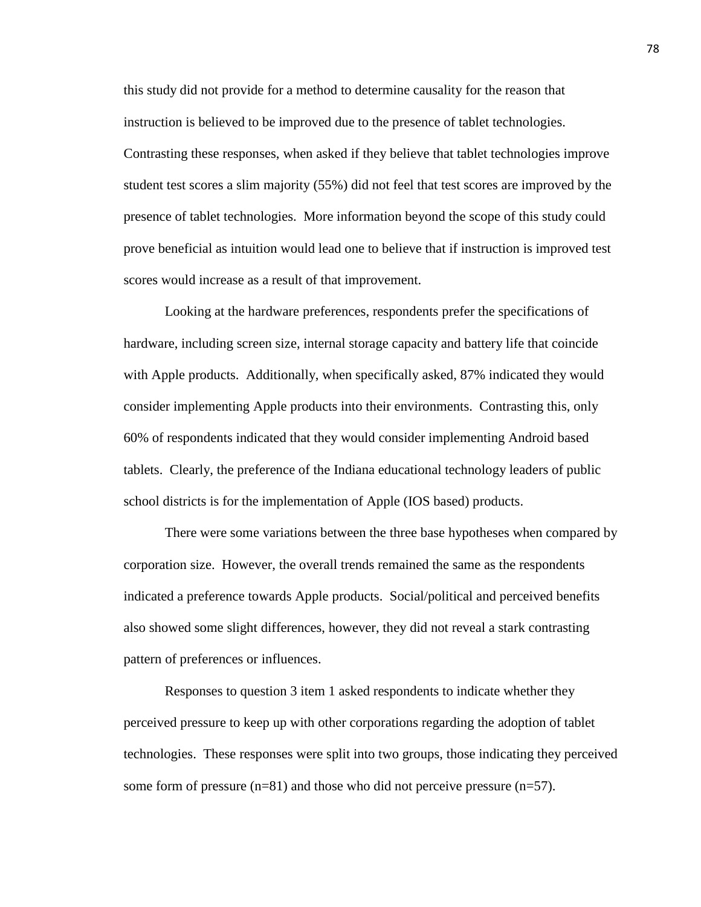this study did not provide for a method to determine causality for the reason that instruction is believed to be improved due to the presence of tablet technologies. Contrasting these responses, when asked if they believe that tablet technologies improve student test scores a slim majority (55%) did not feel that test scores are improved by the presence of tablet technologies. More information beyond the scope of this study could prove beneficial as intuition would lead one to believe that if instruction is improved test scores would increase as a result of that improvement.

Looking at the hardware preferences, respondents prefer the specifications of hardware, including screen size, internal storage capacity and battery life that coincide with Apple products. Additionally, when specifically asked, 87% indicated they would consider implementing Apple products into their environments. Contrasting this, only 60% of respondents indicated that they would consider implementing Android based tablets. Clearly, the preference of the Indiana educational technology leaders of public school districts is for the implementation of Apple (IOS based) products.

There were some variations between the three base hypotheses when compared by corporation size. However, the overall trends remained the same as the respondents indicated a preference towards Apple products. Social/political and perceived benefits also showed some slight differences, however, they did not reveal a stark contrasting pattern of preferences or influences.

Responses to question 3 item 1 asked respondents to indicate whether they perceived pressure to keep up with other corporations regarding the adoption of tablet technologies. These responses were split into two groups, those indicating they perceived some form of pressure  $(n=81)$  and those who did not perceive pressure  $(n=57)$ .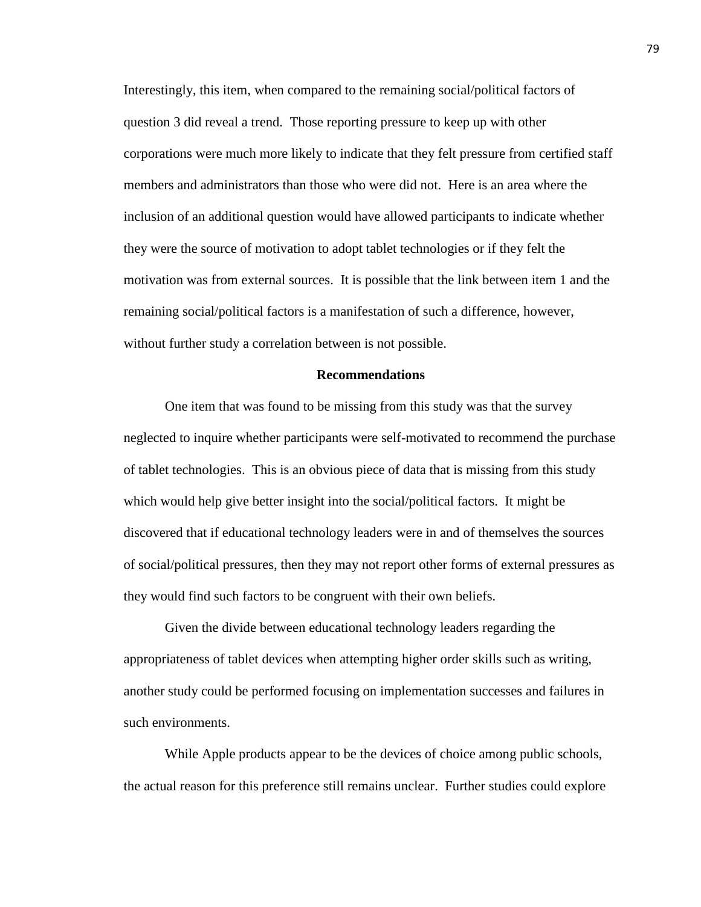Interestingly, this item, when compared to the remaining social/political factors of question 3 did reveal a trend. Those reporting pressure to keep up with other corporations were much more likely to indicate that they felt pressure from certified staff members and administrators than those who were did not. Here is an area where the inclusion of an additional question would have allowed participants to indicate whether they were the source of motivation to adopt tablet technologies or if they felt the motivation was from external sources. It is possible that the link between item 1 and the remaining social/political factors is a manifestation of such a difference, however, without further study a correlation between is not possible.

## **Recommendations**

One item that was found to be missing from this study was that the survey neglected to inquire whether participants were self-motivated to recommend the purchase of tablet technologies. This is an obvious piece of data that is missing from this study which would help give better insight into the social/political factors. It might be discovered that if educational technology leaders were in and of themselves the sources of social/political pressures, then they may not report other forms of external pressures as they would find such factors to be congruent with their own beliefs.

Given the divide between educational technology leaders regarding the appropriateness of tablet devices when attempting higher order skills such as writing, another study could be performed focusing on implementation successes and failures in such environments.

While Apple products appear to be the devices of choice among public schools, the actual reason for this preference still remains unclear. Further studies could explore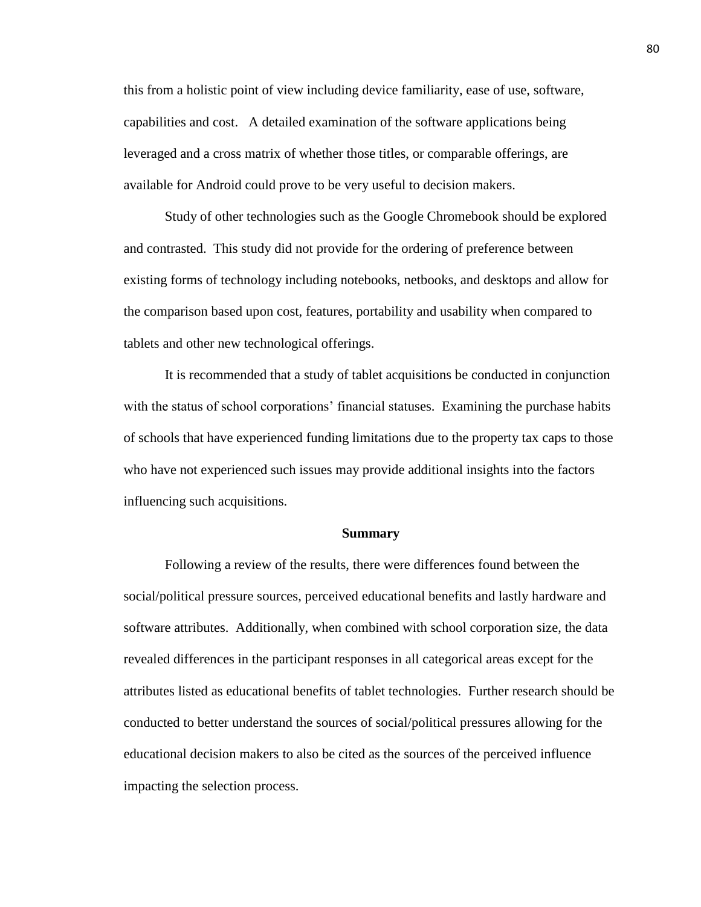this from a holistic point of view including device familiarity, ease of use, software, capabilities and cost. A detailed examination of the software applications being leveraged and a cross matrix of whether those titles, or comparable offerings, are available for Android could prove to be very useful to decision makers.

Study of other technologies such as the Google Chromebook should be explored and contrasted. This study did not provide for the ordering of preference between existing forms of technology including notebooks, netbooks, and desktops and allow for the comparison based upon cost, features, portability and usability when compared to tablets and other new technological offerings.

It is recommended that a study of tablet acquisitions be conducted in conjunction with the status of school corporations' financial statuses. Examining the purchase habits of schools that have experienced funding limitations due to the property tax caps to those who have not experienced such issues may provide additional insights into the factors influencing such acquisitions.

#### **Summary**

Following a review of the results, there were differences found between the social/political pressure sources, perceived educational benefits and lastly hardware and software attributes. Additionally, when combined with school corporation size, the data revealed differences in the participant responses in all categorical areas except for the attributes listed as educational benefits of tablet technologies. Further research should be conducted to better understand the sources of social/political pressures allowing for the educational decision makers to also be cited as the sources of the perceived influence impacting the selection process.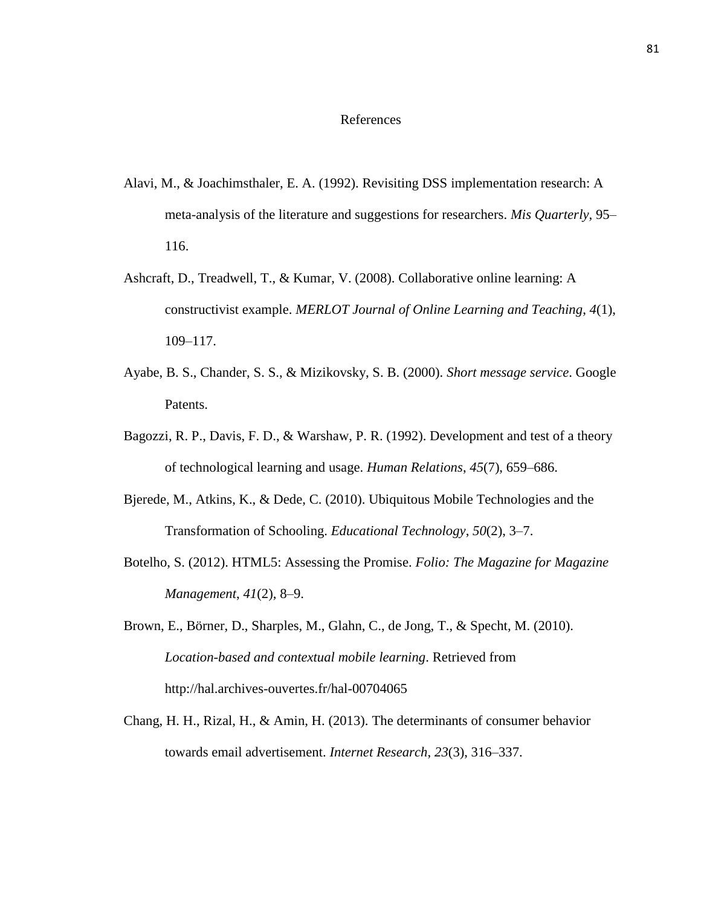## References

- Alavi, M., & Joachimsthaler, E. A. (1992). Revisiting DSS implementation research: A meta-analysis of the literature and suggestions for researchers. *Mis Quarterly*, 95– 116.
- Ashcraft, D., Treadwell, T., & Kumar, V. (2008). Collaborative online learning: A constructivist example. *MERLOT Journal of Online Learning and Teaching*, *4*(1), 109–117.
- Ayabe, B. S., Chander, S. S., & Mizikovsky, S. B. (2000). *Short message service*. Google Patents.
- Bagozzi, R. P., Davis, F. D., & Warshaw, P. R. (1992). Development and test of a theory of technological learning and usage. *Human Relations*, *45*(7), 659–686.
- Bjerede, M., Atkins, K., & Dede, C. (2010). Ubiquitous Mobile Technologies and the Transformation of Schooling. *Educational Technology*, *50*(2), 3–7.
- Botelho, S. (2012). HTML5: Assessing the Promise. *Folio: The Magazine for Magazine Management*, *41*(2), 8–9.
- Brown, E., Börner, D., Sharples, M., Glahn, C., de Jong, T., & Specht, M. (2010). *Location-based and contextual mobile learning*. Retrieved from http://hal.archives-ouvertes.fr/hal-00704065
- Chang, H. H., Rizal, H., & Amin, H. (2013). The determinants of consumer behavior towards email advertisement. *Internet Research*, *23*(3), 316–337.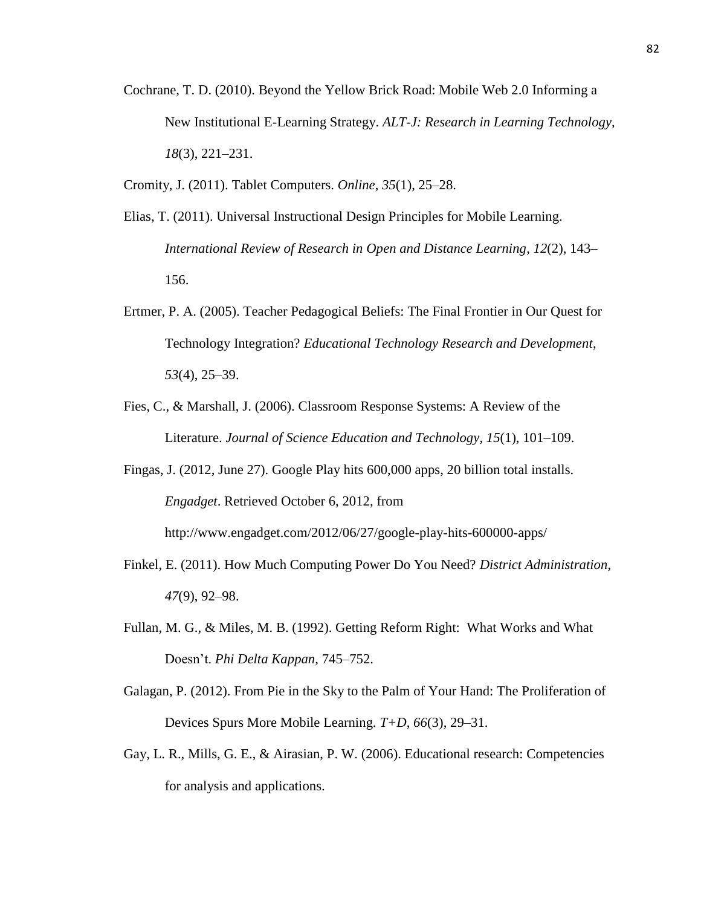Cochrane, T. D. (2010). Beyond the Yellow Brick Road: Mobile Web 2.0 Informing a New Institutional E-Learning Strategy. *ALT-J: Research in Learning Technology*, *18*(3), 221–231.

Cromity, J. (2011). Tablet Computers. *Online*, *35*(1), 25–28.

- Elias, T. (2011). Universal Instructional Design Principles for Mobile Learning. *International Review of Research in Open and Distance Learning*, *12*(2), 143– 156.
- Ertmer, P. A. (2005). Teacher Pedagogical Beliefs: The Final Frontier in Our Quest for Technology Integration? *Educational Technology Research and Development*, *53*(4), 25–39.
- Fies, C., & Marshall, J. (2006). Classroom Response Systems: A Review of the Literature. *Journal of Science Education and Technology*, *15*(1), 101–109.

Fingas, J. (2012, June 27). Google Play hits 600,000 apps, 20 billion total installs. *Engadget*. Retrieved October 6, 2012, from http://www.engadget.com/2012/06/27/google-play-hits-600000-apps/

Finkel, E. (2011). How Much Computing Power Do You Need? *District Administration*, *47*(9), 92–98.

- Fullan, M. G., & Miles, M. B. (1992). Getting Reform Right: What Works and What Doesn't. *Phi Delta Kappan*, 745–752.
- Galagan, P. (2012). From Pie in the Sky to the Palm of Your Hand: The Proliferation of Devices Spurs More Mobile Learning. *T+D*, *66*(3), 29–31.
- Gay, L. R., Mills, G. E., & Airasian, P. W. (2006). Educational research: Competencies for analysis and applications.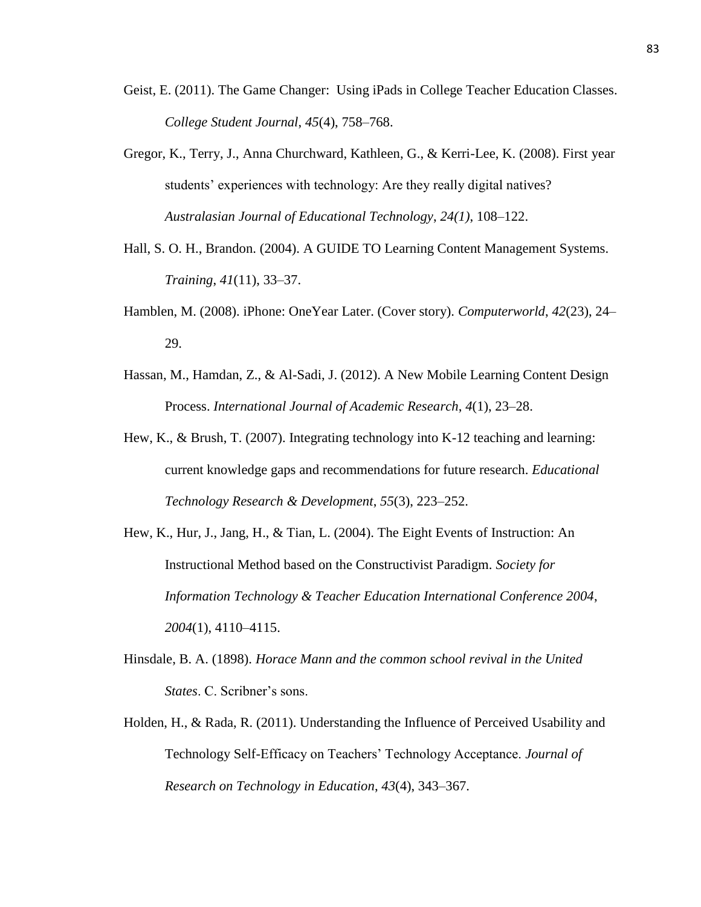- Geist, E. (2011). The Game Changer: Using iPads in College Teacher Education Classes. *College Student Journal*, *45*(4), 758–768.
- Gregor, K., Terry, J., Anna Churchward, Kathleen, G., & Kerri-Lee, K. (2008). First year students' experiences with technology: Are they really digital natives? *Australasian Journal of Educational Technology*, *24(1)*, 108–122.
- Hall, S. O. H., Brandon. (2004). A GUIDE TO Learning Content Management Systems. *Training*, *41*(11), 33–37.
- Hamblen, M. (2008). iPhone: OneYear Later. (Cover story). *Computerworld*, *42*(23), 24– 29.
- Hassan, M., Hamdan, Z., & Al-Sadi, J. (2012). A New Mobile Learning Content Design Process. *International Journal of Academic Research*, *4*(1), 23–28.
- Hew, K., & Brush, T. (2007). Integrating technology into K-12 teaching and learning: current knowledge gaps and recommendations for future research. *Educational Technology Research & Development*, *55*(3), 223–252.
- Hew, K., Hur, J., Jang, H., & Tian, L. (2004). The Eight Events of Instruction: An Instructional Method based on the Constructivist Paradigm. *Society for Information Technology & Teacher Education International Conference 2004*, *2004*(1), 4110–4115.
- Hinsdale, B. A. (1898). *Horace Mann and the common school revival in the United States*. C. Scribner's sons.
- Holden, H., & Rada, R. (2011). Understanding the Influence of Perceived Usability and Technology Self-Efficacy on Teachers' Technology Acceptance. *Journal of Research on Technology in Education*, *43*(4), 343–367.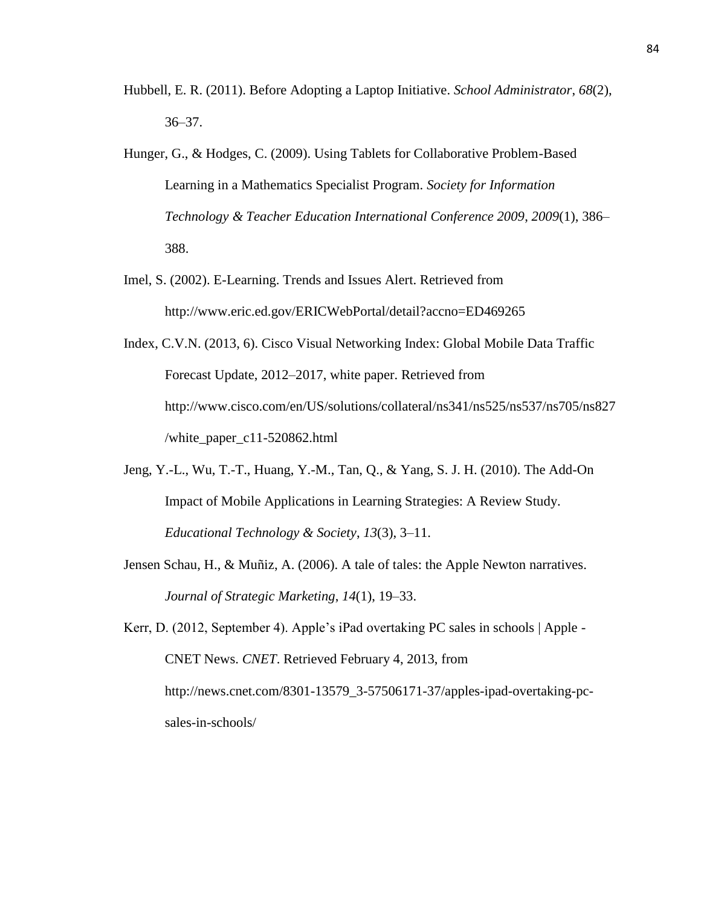- Hubbell, E. R. (2011). Before Adopting a Laptop Initiative. *School Administrator*, *68*(2), 36–37.
- Hunger, G., & Hodges, C. (2009). Using Tablets for Collaborative Problem-Based Learning in a Mathematics Specialist Program. *Society for Information Technology & Teacher Education International Conference 2009*, *2009*(1), 386– 388.
- Imel, S. (2002). E-Learning. Trends and Issues Alert. Retrieved from http://www.eric.ed.gov/ERICWebPortal/detail?accno=ED469265
- Index, C.V.N. (2013, 6). Cisco Visual Networking Index: Global Mobile Data Traffic Forecast Update, 2012–2017, white paper. Retrieved from http://www.cisco.com/en/US/solutions/collateral/ns341/ns525/ns537/ns705/ns827 /white\_paper\_c11-520862.html
- Jeng, Y.-L., Wu, T.-T., Huang, Y.-M., Tan, Q., & Yang, S. J. H. (2010). The Add-On Impact of Mobile Applications in Learning Strategies: A Review Study. *Educational Technology & Society*, *13*(3), 3–11.
- Jensen Schau, H., & Muñiz, A. (2006). A tale of tales: the Apple Newton narratives. *Journal of Strategic Marketing*, *14*(1), 19–33.

Kerr, D. (2012, September 4). Apple's iPad overtaking PC sales in schools | Apple - CNET News. *CNET*. Retrieved February 4, 2013, from http://news.cnet.com/8301-13579\_3-57506171-37/apples-ipad-overtaking-pcsales-in-schools/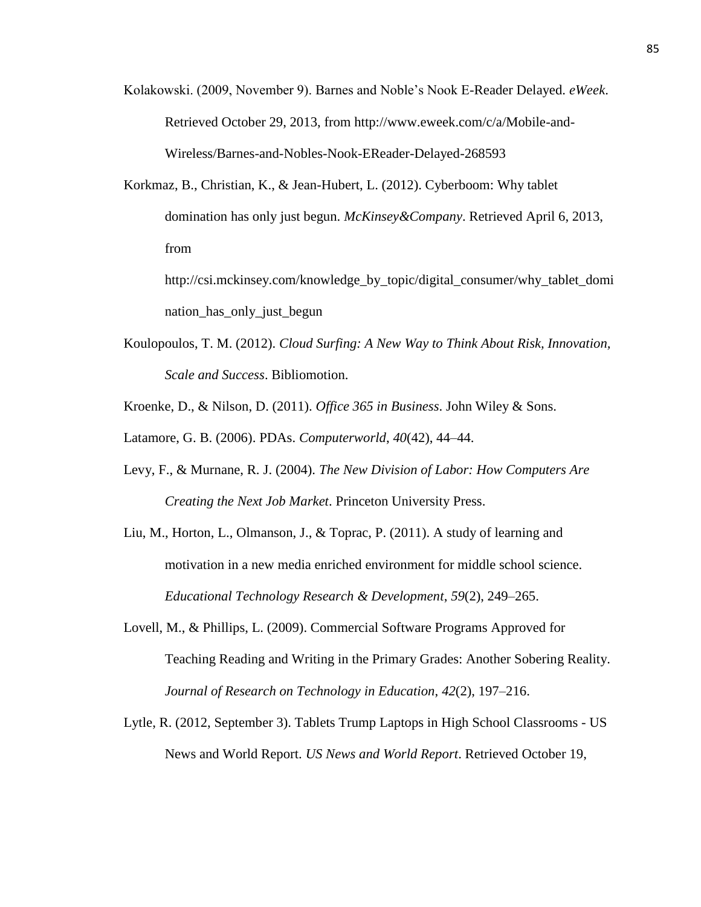- Kolakowski. (2009, November 9). Barnes and Noble's Nook E-Reader Delayed. *eWeek*. Retrieved October 29, 2013, from http://www.eweek.com/c/a/Mobile-and-Wireless/Barnes-and-Nobles-Nook-EReader-Delayed-268593
- Korkmaz, B., Christian, K., & Jean-Hubert, L. (2012). Cyberboom: Why tablet domination has only just begun. *McKinsey&Company*. Retrieved April 6, 2013, from

http://csi.mckinsey.com/knowledge\_by\_topic/digital\_consumer/why\_tablet\_domi nation\_has\_only\_just\_begun

- Koulopoulos, T. M. (2012). *Cloud Surfing: A New Way to Think About Risk, Innovation, Scale and Success*. Bibliomotion.
- Kroenke, D., & Nilson, D. (2011). *Office 365 in Business*. John Wiley & Sons.

Latamore, G. B. (2006). PDAs. *Computerworld*, *40*(42), 44–44.

- Levy, F., & Murnane, R. J. (2004). *The New Division of Labor: How Computers Are Creating the Next Job Market*. Princeton University Press.
- Liu, M., Horton, L., Olmanson, J., & Toprac, P. (2011). A study of learning and motivation in a new media enriched environment for middle school science. *Educational Technology Research & Development*, *59*(2), 249–265.
- Lovell, M., & Phillips, L. (2009). Commercial Software Programs Approved for Teaching Reading and Writing in the Primary Grades: Another Sobering Reality. *Journal of Research on Technology in Education*, *42*(2), 197–216.
- Lytle, R. (2012, September 3). Tablets Trump Laptops in High School Classrooms US News and World Report. *US News and World Report*. Retrieved October 19,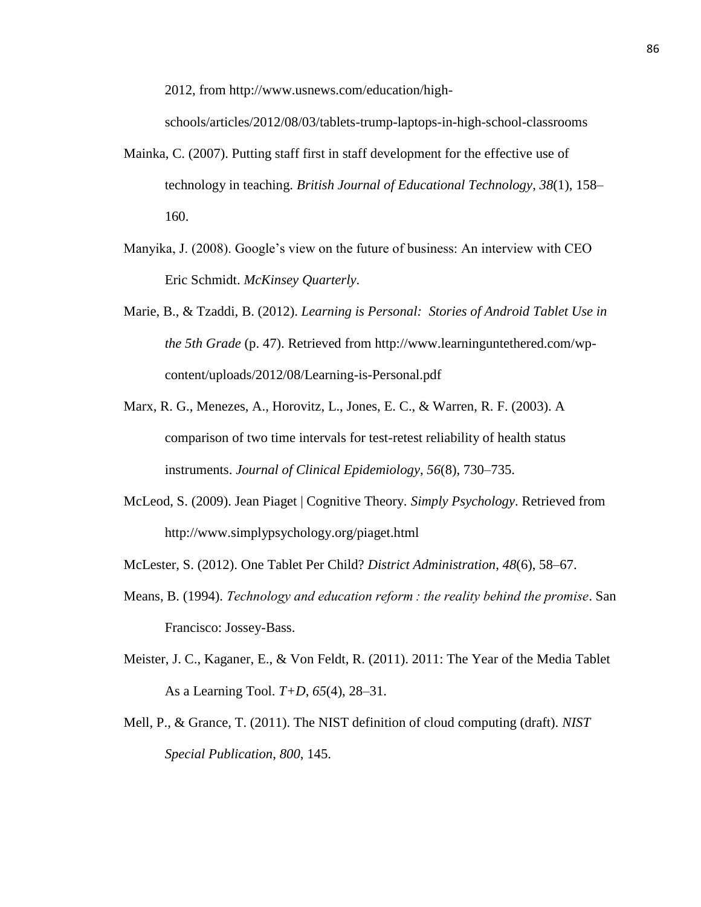2012, from http://www.usnews.com/education/high-

schools/articles/2012/08/03/tablets-trump-laptops-in-high-school-classrooms

- Mainka, C. (2007). Putting staff first in staff development for the effective use of technology in teaching. *British Journal of Educational Technology*, *38*(1), 158– 160.
- Manyika, J. (2008). Google's view on the future of business: An interview with CEO Eric Schmidt. *McKinsey Quarterly*.
- Marie, B., & Tzaddi, B. (2012). *Learning is Personal: Stories of Android Tablet Use in the 5th Grade* (p. 47). Retrieved from http://www.learninguntethered.com/wpcontent/uploads/2012/08/Learning-is-Personal.pdf
- Marx, R. G., Menezes, A., Horovitz, L., Jones, E. C., & Warren, R. F. (2003). A comparison of two time intervals for test-retest reliability of health status instruments. *Journal of Clinical Epidemiology*, *56*(8), 730–735.
- McLeod, S. (2009). Jean Piaget | Cognitive Theory. *Simply Psychology*. Retrieved from http://www.simplypsychology.org/piaget.html
- McLester, S. (2012). One Tablet Per Child? *District Administration*, *48*(6), 58–67.
- Means, B. (1994). *Technology and education reform : the reality behind the promise*. San Francisco: Jossey-Bass.
- Meister, J. C., Kaganer, E., & Von Feldt, R. (2011). 2011: The Year of the Media Tablet As a Learning Tool. *T+D*, *65*(4), 28–31.
- Mell, P., & Grance, T. (2011). The NIST definition of cloud computing (draft). *NIST Special Publication*, *800*, 145.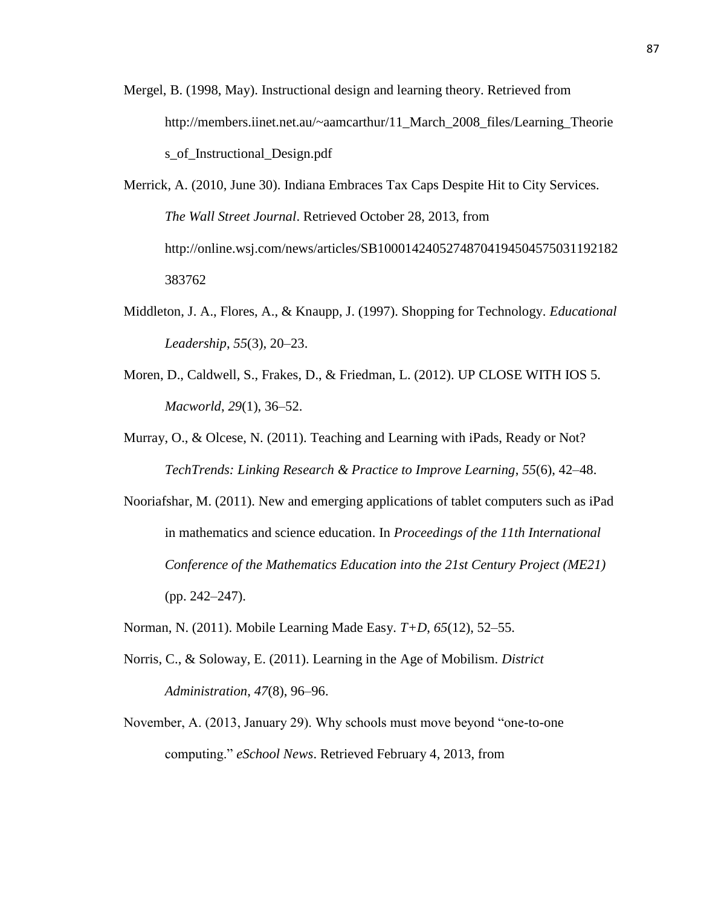- Mergel, B. (1998, May). Instructional design and learning theory. Retrieved from http://members.iinet.net.au/~aamcarthur/11\_March\_2008\_files/Learning\_Theorie s of Instructional Design.pdf
- Merrick, A. (2010, June 30). Indiana Embraces Tax Caps Despite Hit to City Services. *The Wall Street Journal*. Retrieved October 28, 2013, from http://online.wsj.com/news/articles/SB10001424052748704194504575031192182 383762
- Middleton, J. A., Flores, A., & Knaupp, J. (1997). Shopping for Technology. *Educational Leadership*, *55*(3), 20–23.
- Moren, D., Caldwell, S., Frakes, D., & Friedman, L. (2012). UP CLOSE WITH IOS 5. *Macworld*, *29*(1), 36–52.
- Murray, O., & Olcese, N. (2011). Teaching and Learning with iPads, Ready or Not? *TechTrends: Linking Research & Practice to Improve Learning*, *55*(6), 42–48.
- Nooriafshar, M. (2011). New and emerging applications of tablet computers such as iPad in mathematics and science education. In *Proceedings of the 11th International Conference of the Mathematics Education into the 21st Century Project (ME21)* (pp. 242–247).
- Norman, N. (2011). Mobile Learning Made Easy. *T+D*, *65*(12), 52–55.
- Norris, C., & Soloway, E. (2011). Learning in the Age of Mobilism. *District Administration*, *47*(8), 96–96.
- November, A. (2013, January 29). Why schools must move beyond "one-to-one computing." *eSchool News*. Retrieved February 4, 2013, from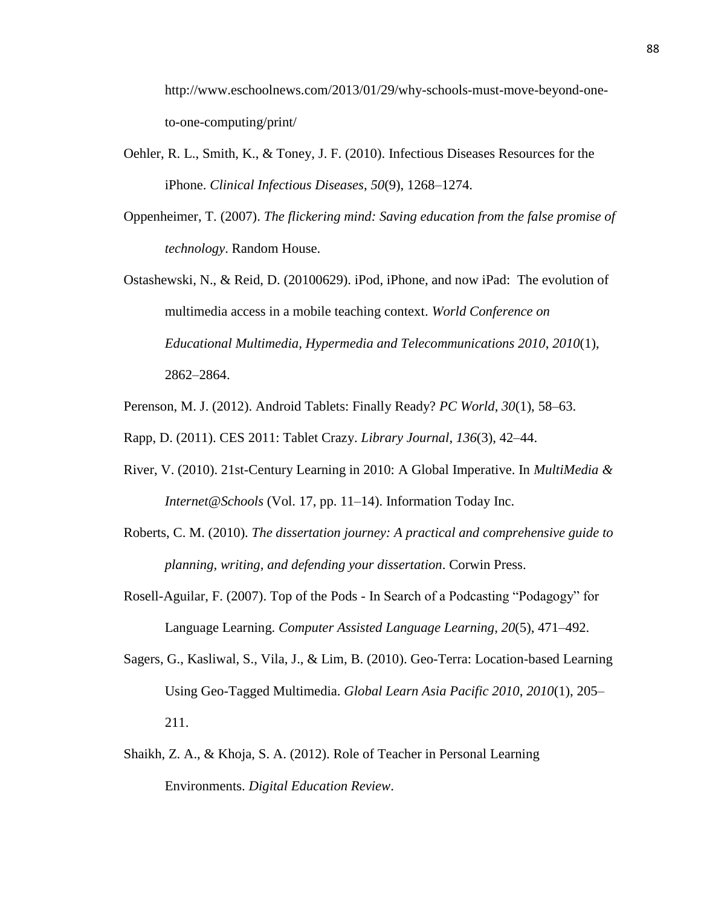http://www.eschoolnews.com/2013/01/29/why-schools-must-move-beyond-oneto-one-computing/print/

- Oehler, R. L., Smith, K., & Toney, J. F. (2010). Infectious Diseases Resources for the iPhone. *Clinical Infectious Diseases*, *50*(9), 1268–1274.
- Oppenheimer, T. (2007). *The flickering mind: Saving education from the false promise of technology*. Random House.
- Ostashewski, N., & Reid, D. (20100629). iPod, iPhone, and now iPad: The evolution of multimedia access in a mobile teaching context. *World Conference on Educational Multimedia, Hypermedia and Telecommunications 2010*, *2010*(1), 2862–2864.
- Perenson, M. J. (2012). Android Tablets: Finally Ready? *PC World*, *30*(1), 58–63.

Rapp, D. (2011). CES 2011: Tablet Crazy. *Library Journal*, *136*(3), 42–44.

- River, V. (2010). 21st-Century Learning in 2010: A Global Imperative. In *MultiMedia & Internet@Schools* (Vol. 17, pp. 11–14). Information Today Inc.
- Roberts, C. M. (2010). *The dissertation journey: A practical and comprehensive guide to planning, writing, and defending your dissertation*. Corwin Press.
- Rosell-Aguilar, F. (2007). Top of the Pods In Search of a Podcasting "Podagogy" for Language Learning. *Computer Assisted Language Learning*, *20*(5), 471–492.
- Sagers, G., Kasliwal, S., Vila, J., & Lim, B. (2010). Geo-Terra: Location-based Learning Using Geo-Tagged Multimedia. *Global Learn Asia Pacific 2010*, *2010*(1), 205– 211.
- Shaikh, Z. A., & Khoja, S. A. (2012). Role of Teacher in Personal Learning Environments. *Digital Education Review*.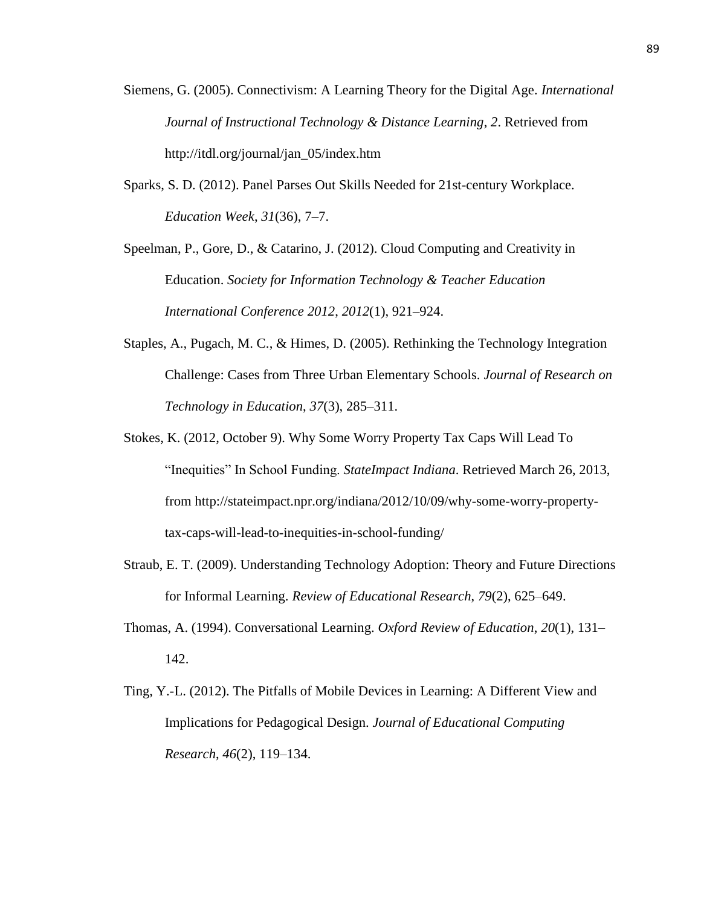- Siemens, G. (2005). Connectivism: A Learning Theory for the Digital Age. *International Journal of Instructional Technology & Distance Learning*, *2*. Retrieved from http://itdl.org/journal/jan\_05/index.htm
- Sparks, S. D. (2012). Panel Parses Out Skills Needed for 21st-century Workplace. *Education Week*, *31*(36), 7–7.

Speelman, P., Gore, D., & Catarino, J. (2012). Cloud Computing and Creativity in Education. *Society for Information Technology & Teacher Education International Conference 2012*, *2012*(1), 921–924.

- Staples, A., Pugach, M. C., & Himes, D. (2005). Rethinking the Technology Integration Challenge: Cases from Three Urban Elementary Schools. *Journal of Research on Technology in Education*, *37*(3), 285–311.
- Stokes, K. (2012, October 9). Why Some Worry Property Tax Caps Will Lead To "Inequities" In School Funding. *StateImpact Indiana*. Retrieved March 26, 2013, from http://stateimpact.npr.org/indiana/2012/10/09/why-some-worry-propertytax-caps-will-lead-to-inequities-in-school-funding/
- Straub, E. T. (2009). Understanding Technology Adoption: Theory and Future Directions for Informal Learning. *Review of Educational Research*, *79*(2), 625–649.
- Thomas, A. (1994). Conversational Learning. *Oxford Review of Education*, *20*(1), 131– 142.
- Ting, Y.-L. (2012). The Pitfalls of Mobile Devices in Learning: A Different View and Implications for Pedagogical Design. *Journal of Educational Computing Research*, *46*(2), 119–134.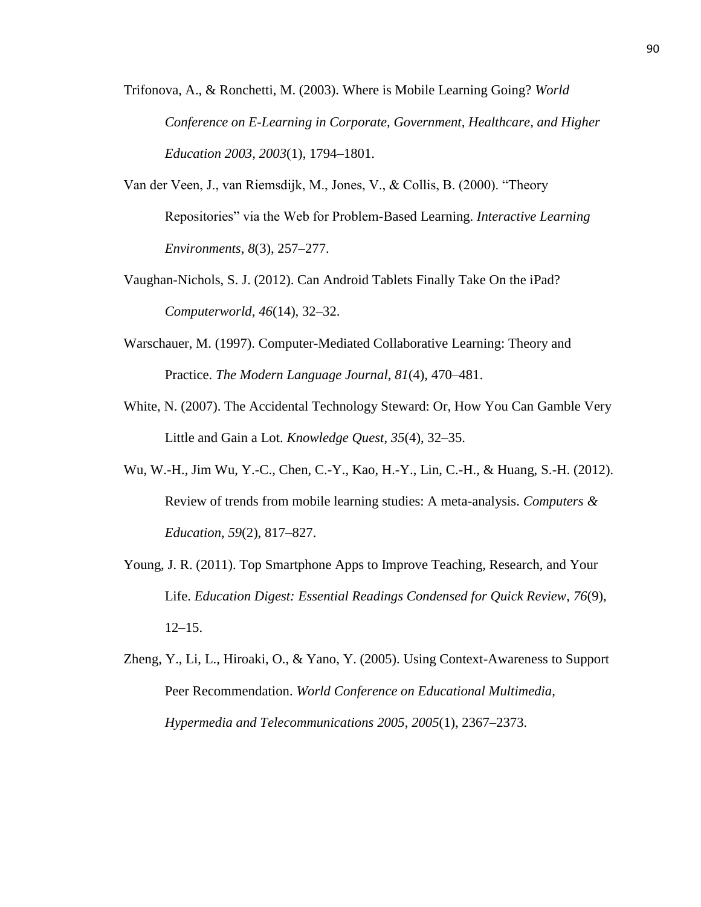- Trifonova, A., & Ronchetti, M. (2003). Where is Mobile Learning Going? *World Conference on E-Learning in Corporate, Government, Healthcare, and Higher Education 2003*, *2003*(1), 1794–1801.
- Van der Veen, J., van Riemsdijk, M., Jones, V., & Collis, B. (2000). "Theory Repositories" via the Web for Problem-Based Learning. *Interactive Learning Environments*, *8*(3), 257–277.
- Vaughan-Nichols, S. J. (2012). Can Android Tablets Finally Take On the iPad? *Computerworld*, *46*(14), 32–32.
- Warschauer, M. (1997). Computer-Mediated Collaborative Learning: Theory and Practice. *The Modern Language Journal*, *81*(4), 470–481.
- White, N. (2007). The Accidental Technology Steward: Or, How You Can Gamble Very Little and Gain a Lot. *Knowledge Quest*, *35*(4), 32–35.
- Wu, W.-H., Jim Wu, Y.-C., Chen, C.-Y., Kao, H.-Y., Lin, C.-H., & Huang, S.-H. (2012). Review of trends from mobile learning studies: A meta-analysis. *Computers & Education*, *59*(2), 817–827.
- Young, J. R. (2011). Top Smartphone Apps to Improve Teaching, Research, and Your Life. *Education Digest: Essential Readings Condensed for Quick Review*, *76*(9), 12–15.
- Zheng, Y., Li, L., Hiroaki, O., & Yano, Y. (2005). Using Context-Awareness to Support Peer Recommendation. *World Conference on Educational Multimedia, Hypermedia and Telecommunications 2005*, *2005*(1), 2367–2373.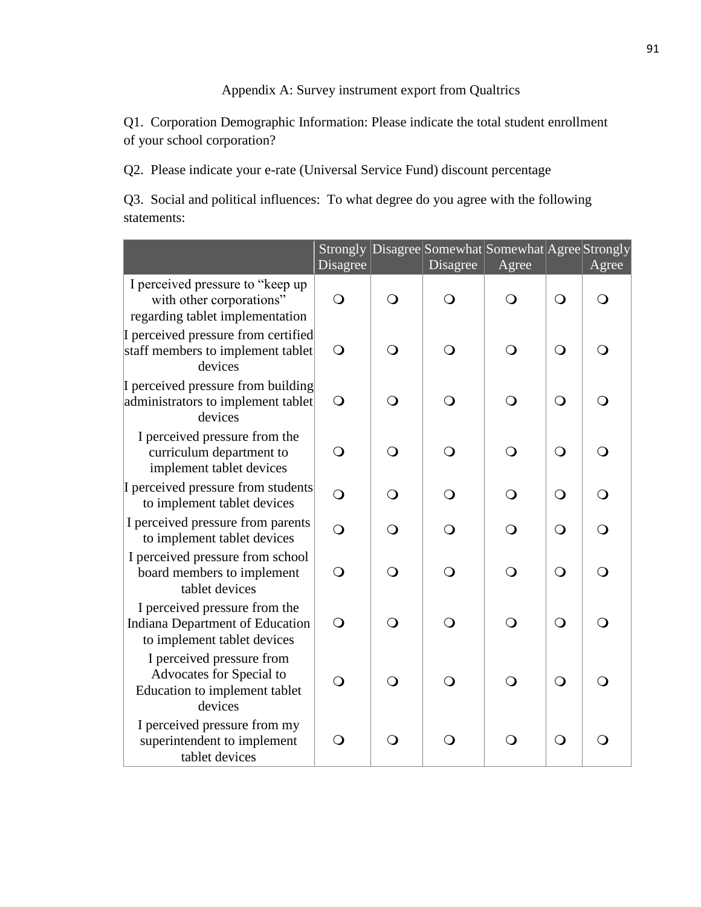# Appendix A: Survey instrument export from Qualtrics

Q1. Corporation Demographic Information: Please indicate the total student enrollment of your school corporation?

Q2. Please indicate your e-rate (Universal Service Fund) discount percentage

Q3. Social and political influences: To what degree do you agree with the following statements:

|                                                                                                        | Strongly<br>Disagree |            | Disagree   | Disagree Somewhat Somewhat Agree Strongly<br>Agree |            | Agree    |
|--------------------------------------------------------------------------------------------------------|----------------------|------------|------------|----------------------------------------------------|------------|----------|
| I perceived pressure to "keep up<br>with other corporations"<br>regarding tablet implementation        | $\bigcirc$           | $\Omega$   | $\bigcirc$ | $\overline{O}$                                     | $\bigcirc$ | $\Omega$ |
| I perceived pressure from certified<br>staff members to implement tablet<br>devices                    | $\bigcirc$           | ∩          | ∩          | $\bigcirc$                                         | $\bigcirc$ | ∩        |
| I perceived pressure from building<br>administrators to implement tablet<br>devices                    | $\bigcirc$           | $\Omega$   | $\bigcirc$ | $\bigcirc$                                         | $\bigcirc$ | $\Omega$ |
| I perceived pressure from the<br>curriculum department to<br>implement tablet devices                  | $\Omega$             | $\Omega$   | $\Omega$   | $\Omega$                                           | $\Omega$   | ∩        |
| I perceived pressure from students<br>to implement tablet devices                                      | $\overline{O}$       | $\Omega$   | ∩          | $\Omega$                                           | $\Omega$   | ∩        |
| I perceived pressure from parents<br>to implement tablet devices                                       | $\overline{O}$       | $\Omega$   | ∩          | ∩                                                  | $\bigcirc$ | ∩        |
| I perceived pressure from school<br>board members to implement<br>tablet devices                       | $\bigcirc$           | $\bigcirc$ | $\bigcirc$ | $\bigcirc$                                         | $\bigcirc$ | $\Omega$ |
| I perceived pressure from the<br><b>Indiana Department of Education</b><br>to implement tablet devices | $\bigcirc$           | $\Omega$   | $\bigcirc$ | $\overline{O}$                                     | $\bigcirc$ | ∩        |
| I perceived pressure from<br>Advocates for Special to<br>Education to implement tablet<br>devices      | $\overline{O}$       | $\bigcirc$ | $\bigcirc$ | $\Omega$                                           | $\bigcirc$ | ∩        |
| I perceived pressure from my<br>superintendent to implement<br>tablet devices                          | $\bigcirc$           | O          | O          | $\bigcirc$                                         | $\bigcirc$ | ∩        |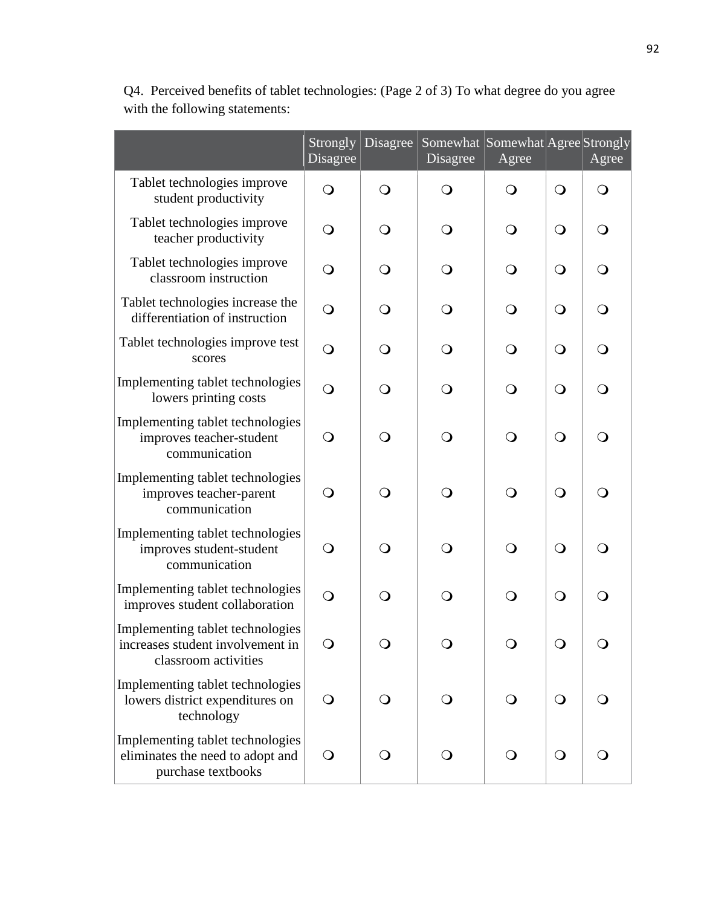|                                                                                              | Strongly<br>Disagree | Disagree       | Somewhat Somewhat Agree Strongly<br>Disagree | Agree      |            | Agree          |
|----------------------------------------------------------------------------------------------|----------------------|----------------|----------------------------------------------|------------|------------|----------------|
| Tablet technologies improve<br>student productivity                                          | $\overline{O}$       | $\bigcirc$     | $\bigcirc$                                   | $\bigcirc$ | $\bigcirc$ | $\bigcirc$     |
| Tablet technologies improve<br>teacher productivity                                          | $\bigcirc$           | $\mathsf{O}$   | O                                            | $\bigcirc$ | $\bigcirc$ | $\bigcirc$     |
| Tablet technologies improve<br>classroom instruction                                         | $\bigcirc$           | $\bigcirc$     | $\bigcirc$                                   | $\bigcirc$ | $\bigcirc$ | $\bigcirc$     |
| Tablet technologies increase the<br>differentiation of instruction                           | $\bigcirc$           | $\bigcirc$     | $\mathsf{O}$                                 | $\bigcirc$ | $\bigcirc$ | $\bigcirc$     |
| Tablet technologies improve test<br>scores                                                   | $\bigcirc$           | $\bigcirc$     | $\mathsf{O}$                                 | $\bigcirc$ | $\bigcirc$ | $\bigcirc$     |
| Implementing tablet technologies<br>lowers printing costs                                    | $\overline{O}$       | $\bigcirc$     | $\mathsf{O}$                                 | $\bigcirc$ | $\bigcirc$ | $\bigcirc$     |
| Implementing tablet technologies<br>improves teacher-student<br>communication                | $\overline{O}$       | $\overline{O}$ | $\bigcirc$                                   | $\bigcirc$ | $\bigcirc$ | $\overline{O}$ |
| Implementing tablet technologies<br>improves teacher-parent<br>communication                 | $\Omega$             | $\bigcirc$     | $\Omega$                                     | $\bigcirc$ | $\bigcirc$ | $\overline{O}$ |
| Implementing tablet technologies<br>improves student-student<br>communication                | O                    | $\Omega$       | $\mathsf{O}$                                 | $\bigcirc$ | $\bigcirc$ | $\overline{O}$ |
| Implementing tablet technologies<br>improves student collaboration                           | $\bigcirc$           | $\bigcirc$     | $\bigcirc$                                   | $\bigcirc$ | $\bigcirc$ | $\overline{O}$ |
| Implementing tablet technologies<br>increases student involvement in<br>classroom activities | $\Omega$             |                |                                              |            | $\cap$     |                |
| Implementing tablet technologies<br>lowers district expenditures on<br>technology            |                      |                |                                              |            | $\bigcirc$ |                |
| Implementing tablet technologies<br>eliminates the need to adopt and<br>purchase textbooks   | $\Omega$             |                |                                              | $\Omega$   | $\bigcirc$ | $\Omega$       |

Q4. Perceived benefits of tablet technologies: (Page 2 of 3) To what degree do you agree with the following statements: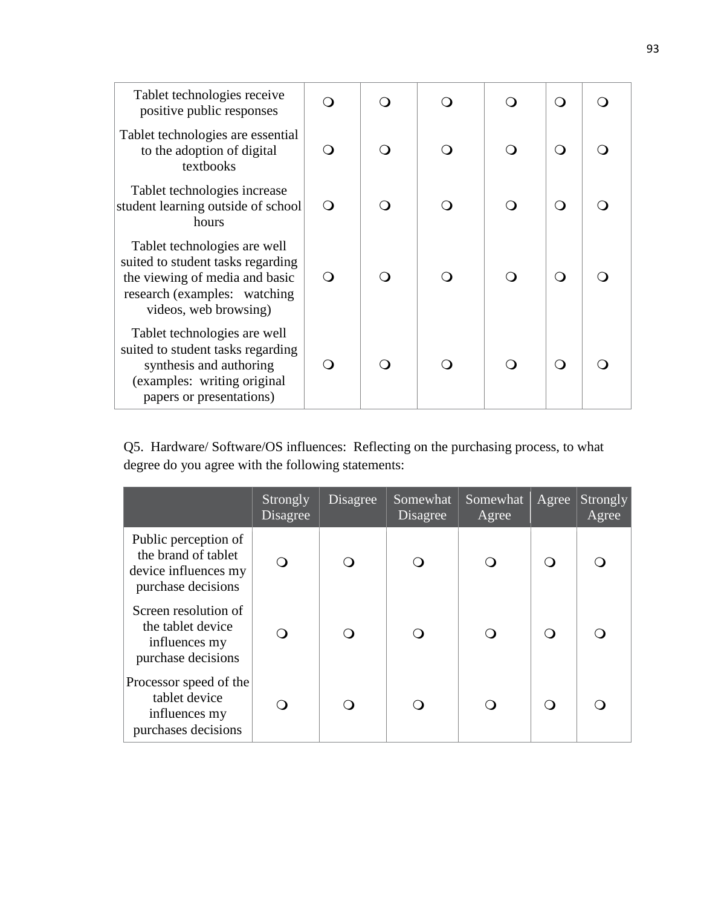| Tablet technologies receive<br>positive public responses                                                                                                      |   |  | ∩ |  |
|---------------------------------------------------------------------------------------------------------------------------------------------------------------|---|--|---|--|
| Tablet technologies are essential<br>to the adoption of digital<br>textbooks                                                                                  | ∩ |  | ∩ |  |
| Tablet technologies increase<br>student learning outside of school<br>hours                                                                                   | ∩ |  | ∩ |  |
| Tablet technologies are well<br>suited to student tasks regarding<br>the viewing of media and basic<br>research (examples: watching)<br>videos, web browsing) | ∩ |  | ∩ |  |
| Tablet technologies are well<br>suited to student tasks regarding<br>synthesis and authoring<br>(examples: writing original<br>papers or presentations)       |   |  | ∩ |  |

Q5. Hardware/ Software/OS influences: Reflecting on the purchasing process, to what degree do you agree with the following statements:

|                                                                                           | Strongly<br>Disagree | Disagree | Somewhat<br>Disagree | Somewhat<br>Agree | Agree | Strongly<br>Agree |
|-------------------------------------------------------------------------------------------|----------------------|----------|----------------------|-------------------|-------|-------------------|
| Public perception of<br>the brand of tablet<br>device influences my<br>purchase decisions |                      |          |                      |                   |       |                   |
| Screen resolution of<br>the tablet device<br>influences my<br>purchase decisions          |                      |          |                      |                   |       |                   |
| Processor speed of the<br>tablet device<br>influences my<br>purchases decisions           |                      |          |                      |                   |       |                   |